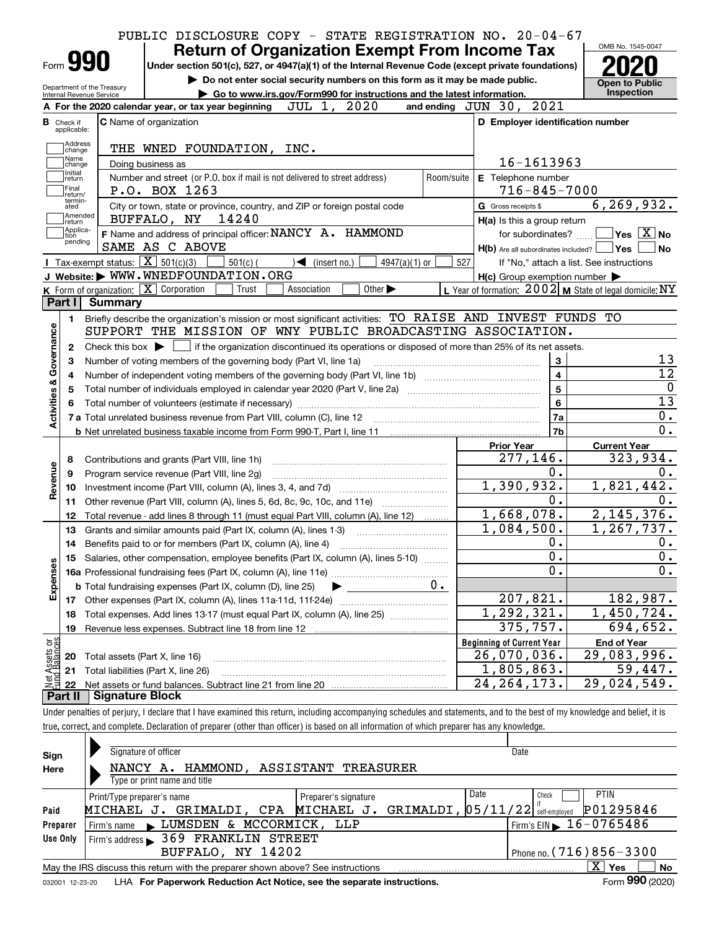|                                            |                                                                 | PUBLIC DISCLOSURE COPY - STATE REGISTRATION NO. 20-04-67<br><b>Return of Organization Exempt From Income Tax</b> |            |                                                     | OMB No. 1545-0047                                         |
|--------------------------------------------|-----------------------------------------------------------------|------------------------------------------------------------------------------------------------------------------|------------|-----------------------------------------------------|-----------------------------------------------------------|
|                                            | Form <b>990</b>                                                 | Under section 501(c), 527, or 4947(a)(1) of the Internal Revenue Code (except private foundations)               |            |                                                     |                                                           |
|                                            | Department of the Treasury                                      | Do not enter social security numbers on this form as it may be made public.                                      |            |                                                     | <b>Open to Public</b>                                     |
|                                            | Internal Revenue Service                                        | Go to www.irs.gov/Form990 for instructions and the latest information.                                           |            |                                                     | <b>Inspection</b>                                         |
|                                            |                                                                 | JUL 1,<br>2020<br>A For the 2020 calendar year, or tax year beginning                                            |            | and ending JUN 30, 2021                             |                                                           |
| <b>B</b> Check if<br>applicable:           |                                                                 | <b>C</b> Name of organization                                                                                    |            | D Employer identification number                    |                                                           |
| change                                     | Address                                                         | THE WNED FOUNDATION, INC.                                                                                        |            |                                                     |                                                           |
| Name<br>change                             |                                                                 | Doing business as                                                                                                |            | 16-1613963                                          |                                                           |
| Initial<br>return<br> Final<br>return/     |                                                                 | Number and street (or P.O. box if mail is not delivered to street address)<br>P.O. BOX 1263                      | Room/suite | E Telephone number<br>$716 - 845 - 7000$            |                                                           |
| termin-<br>ated                            |                                                                 | City or town, state or province, country, and ZIP or foreign postal code                                         |            | G Gross receipts \$                                 | 6, 269, 932.                                              |
| return                                     | Amended                                                         | 14240<br>BUFFALO, NY                                                                                             |            | H(a) Is this a group return                         |                                                           |
|                                            | Applica-<br>tion<br>pending                                     | F Name and address of principal officer: NANCY A. HAMMOND                                                        |            | for subordinates?                                   | $\sqrt{}$ Yes $\sqrt{}$ X $\sqrt{}$ No                    |
|                                            |                                                                 | SAME AS C ABOVE                                                                                                  |            | H(b) Are all subordinates included? Ves             | No                                                        |
|                                            | Tax-exempt status: $\boxed{\mathbf{X}}$ 501(c)(3)               | $\blacktriangleleft$ (insert no.)<br>$501(c)$ (<br>4947(a)(1) or                                                 | 527        |                                                     | If "No," attach a list. See instructions                  |
|                                            |                                                                 | J Website: WWW.WNEDFOUNDATION.ORG                                                                                |            | $H(c)$ Group exemption number $\blacktriangleright$ |                                                           |
|                                            | <b>K</b> Form of organization: $\boxed{\mathbf{X}}$ Corporation | Association<br>Other $\blacktriangleright$<br>Trust                                                              |            |                                                     | L Year of formation: $2002$ M State of legal domicile: NY |
| Part I                                     | <b>Summary</b>                                                  |                                                                                                                  |            |                                                     |                                                           |
| 1.                                         |                                                                 | Briefly describe the organization's mission or most significant activities: TO RAISE AND INVEST FUNDS TO         |            |                                                     |                                                           |
|                                            |                                                                 | SUPPORT THE MISSION OF WNY PUBLIC BROADCASTING ASSOCIATION.                                                      |            |                                                     |                                                           |
| 2                                          | Check this box $\blacktriangleright$ $\Box$                     | if the organization discontinued its operations or disposed of more than 25% of its net assets.                  |            |                                                     |                                                           |
| З                                          |                                                                 | Number of voting members of the governing body (Part VI, line 1a)                                                |            | 3                                                   | 13                                                        |
| 4                                          |                                                                 |                                                                                                                  |            | $\overline{\mathbf{4}}$                             | $\overline{12}$                                           |
| 5                                          |                                                                 |                                                                                                                  | 5          | 0                                                   |                                                           |
|                                            |                                                                 |                                                                                                                  |            | 6                                                   | $\overline{13}$                                           |
| Activities & Governance                    |                                                                 | 7 a Total unrelated business revenue from Part VIII, column (C), line 12                                         |            | 7a                                                  | 0.                                                        |
|                                            |                                                                 |                                                                                                                  |            | 7b                                                  | 0.                                                        |
|                                            |                                                                 |                                                                                                                  |            | <b>Prior Year</b>                                   | <b>Current Year</b>                                       |
|                                            |                                                                 |                                                                                                                  |            | 277,146.                                            | 323,934.                                                  |
| 8                                          |                                                                 | Contributions and grants (Part VIII, line 1h)                                                                    |            | 0.                                                  | 0.                                                        |
| Revenue<br>9                               |                                                                 | Program service revenue (Part VIII, line 2g)                                                                     |            | 1,390,932.                                          | 1,821,442.                                                |
| 10                                         |                                                                 |                                                                                                                  |            | 0.                                                  |                                                           |
| 11                                         |                                                                 |                                                                                                                  |            |                                                     | Ο.                                                        |
| 12                                         |                                                                 | Total revenue - add lines 8 through 11 (must equal Part VIII, column (A), line 12)                               |            | 1,668,078.                                          | 2,145,376.                                                |
|                                            |                                                                 | Grants and similar amounts paid (Part IX, column (A), lines 1-3)                                                 |            | 1,084,500.                                          | 1,267,737.                                                |
| 13                                         |                                                                 | Benefits paid to or for members (Part IX, column (A), line 4)                                                    |            | 0.                                                  | 0.                                                        |
| 14                                         |                                                                 |                                                                                                                  |            | 0.                                                  | 0.                                                        |
| 15                                         |                                                                 | Salaries, other compensation, employee benefits (Part IX, column (A), lines 5-10)                                |            |                                                     |                                                           |
|                                            |                                                                 |                                                                                                                  |            | $\overline{0}$ .                                    |                                                           |
|                                            |                                                                 | $0 \cdot$<br><b>b</b> Total fundraising expenses (Part IX, column (D), line 25)                                  |            |                                                     |                                                           |
| 17                                         |                                                                 |                                                                                                                  |            | 207,821.                                            |                                                           |
| 18                                         |                                                                 | Total expenses. Add lines 13-17 (must equal Part IX, column (A), line 25)                                        |            | 1, 292, 321.                                        |                                                           |
| 19                                         |                                                                 |                                                                                                                  |            | 375, 757.                                           |                                                           |
|                                            |                                                                 |                                                                                                                  |            |                                                     |                                                           |
| 20                                         |                                                                 |                                                                                                                  |            | <b>Beginning of Current Year</b>                    | <b>End of Year</b>                                        |
| Expenses                                   | Total assets (Part X, line 16)                                  |                                                                                                                  |            | $\overline{26}$ , 070, 036.                         | 0.<br>182,987.<br>1,450,724.<br>694,652.<br>29,083,996.   |
| Net Assets or<br>Fund Balances<br>21<br>22 | Total liabilities (Part X, line 26)                             |                                                                                                                  |            | 1,805,863.<br>24, 264, 173.                         | 59,447.<br>29,024,549.                                    |

true, correct, and complete. Declaration of preparer (other than officer) is based on all information of which preparer has any knowledge.

| Sign            | Signature of officer                                                            | Date                                        |  |  |  |  |  |  |  |  |
|-----------------|---------------------------------------------------------------------------------|---------------------------------------------|--|--|--|--|--|--|--|--|
| Here            | HAMMOND, ASSISTANT TREASURER<br>NANCY A.                                        |                                             |  |  |  |  |  |  |  |  |
|                 | Type or print name and title                                                    |                                             |  |  |  |  |  |  |  |  |
|                 | Print/Type preparer's name<br>Preparer's signature                              | Date<br><b>PTIN</b><br>Check                |  |  |  |  |  |  |  |  |
| Paid            | GRIMALDI, 05/11/22<br>GRIMALDI, CPA MICHAEL J.<br>MICHAEL J.                    | P01295846<br>self-emploved                  |  |  |  |  |  |  |  |  |
| Preparer        | LUMSDEN & MCCORMICK, LLP<br>Firm's name<br>$\mathbf{r}$                         | Firm's EIN $\blacktriangleright$ 16-0765486 |  |  |  |  |  |  |  |  |
| Use Only        | <b>369 FRANKLIN STREET</b><br>Firm's address                                    |                                             |  |  |  |  |  |  |  |  |
|                 | Phone no. $(716)856 - 3300$<br>BUFFALO, NY 14202                                |                                             |  |  |  |  |  |  |  |  |
|                 | May the IRS discuss this return with the preparer shown above? See instructions | $\mathbf{x}$<br>No<br>Yes                   |  |  |  |  |  |  |  |  |
| 032001 12-23-20 | LHA For Paperwork Reduction Act Notice, see the separate instructions.          | Form 990 (2020)                             |  |  |  |  |  |  |  |  |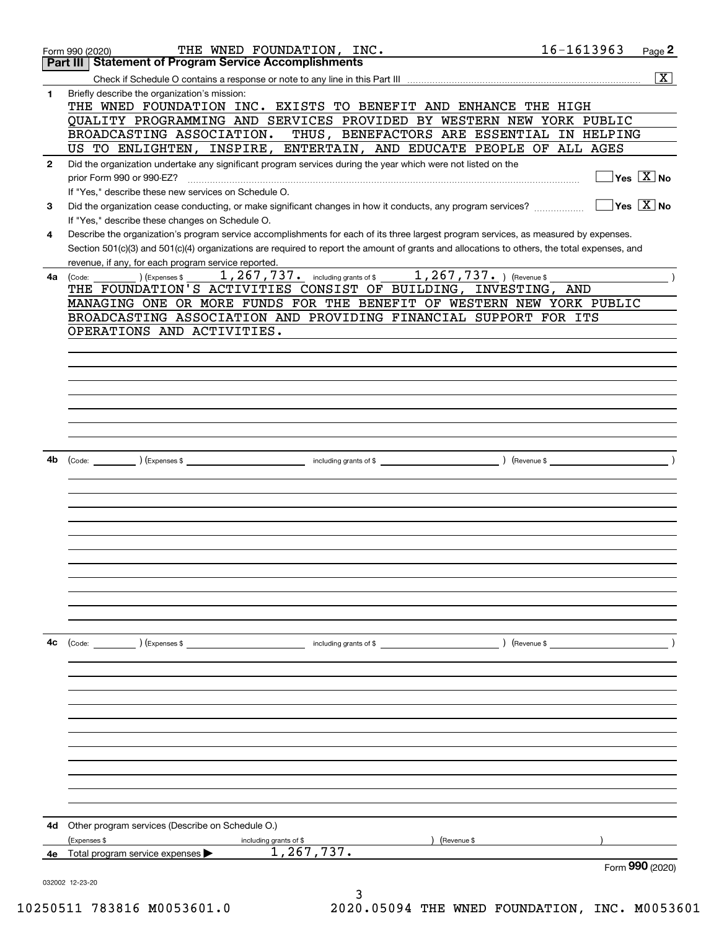|              | THE WNED FOUNDATION, INC.<br>Form 990 (2020)<br><b>Part III   Statement of Program Service Accomplishments</b>                               | 16-1613963<br>Page 2                   |
|--------------|----------------------------------------------------------------------------------------------------------------------------------------------|----------------------------------------|
|              |                                                                                                                                              |                                        |
|              |                                                                                                                                              | $\boxed{\text{X}}$                     |
| 1            | Briefly describe the organization's mission:<br>THE WNED FOUNDATION INC. EXISTS TO BENEFIT AND ENHANCE THE HIGH                              |                                        |
|              | OUALITY PROGRAMMING AND SERVICES PROVIDED BY WESTERN NEW YORK PUBLIC                                                                         |                                        |
|              | BROADCASTING ASSOCIATION. THUS, BENEFACTORS ARE ESSENTIAL IN HELPING                                                                         |                                        |
|              | US TO ENLIGHTEN, INSPIRE, ENTERTAIN, AND EDUCATE PEOPLE OF ALL AGES                                                                          |                                        |
| $\mathbf{2}$ | Did the organization undertake any significant program services during the year which were not listed on the                                 |                                        |
|              | prior Form 990 or 990-EZ?                                                                                                                    | $\sqrt{\ }$ Yes $\sqrt{\ \text{X}}$ No |
|              | If "Yes," describe these new services on Schedule O.                                                                                         |                                        |
| 3            | Did the organization cease conducting, or make significant changes in how it conducts, any program services?                                 | $\Box$ Yes $\boxed{\mathrm{X}}$ No     |
|              | If "Yes," describe these changes on Schedule O.                                                                                              |                                        |
| 4            | Describe the organization's program service accomplishments for each of its three largest program services, as measured by expenses.         |                                        |
|              | Section 501(c)(3) and 501(c)(4) organizations are required to report the amount of grants and allocations to others, the total expenses, and |                                        |
|              | revenue, if any, for each program service reported.                                                                                          |                                        |
| 4a           | 1, 267, 737. including grants of \$1, 267, 737. ) (Revenue \$<br>(Expenses \$<br>(Code:                                                      |                                        |
|              | THE FOUNDATION'S ACTIVITIES CONSIST OF BUILDING, INVESTING, AND                                                                              |                                        |
|              | MANAGING ONE OR MORE FUNDS FOR THE BENEFIT OF WESTERN NEW YORK PUBLIC                                                                        |                                        |
|              | BROADCASTING ASSOCIATION AND PROVIDING FINANCIAL SUPPORT FOR ITS                                                                             |                                        |
|              | OPERATIONS AND ACTIVITIES.                                                                                                                   |                                        |
|              |                                                                                                                                              |                                        |
|              |                                                                                                                                              |                                        |
|              |                                                                                                                                              |                                        |
|              |                                                                                                                                              |                                        |
|              |                                                                                                                                              |                                        |
|              |                                                                                                                                              |                                        |
|              |                                                                                                                                              |                                        |
|              |                                                                                                                                              |                                        |
| 4b           |                                                                                                                                              |                                        |
|              |                                                                                                                                              |                                        |
|              |                                                                                                                                              |                                        |
|              |                                                                                                                                              |                                        |
|              |                                                                                                                                              |                                        |
|              |                                                                                                                                              |                                        |
|              |                                                                                                                                              |                                        |
|              |                                                                                                                                              |                                        |
|              |                                                                                                                                              |                                        |
|              |                                                                                                                                              |                                        |
|              |                                                                                                                                              |                                        |
|              |                                                                                                                                              |                                        |
|              |                                                                                                                                              |                                        |
| 4c           | including grants of \$                                                                                                                       |                                        |
|              | (Code: ) (Expenses \$                                                                                                                        | ) (Revenue \$                          |
|              |                                                                                                                                              |                                        |
|              |                                                                                                                                              |                                        |
|              |                                                                                                                                              |                                        |
|              |                                                                                                                                              |                                        |
|              |                                                                                                                                              |                                        |
|              |                                                                                                                                              |                                        |
|              |                                                                                                                                              |                                        |
|              |                                                                                                                                              |                                        |
|              |                                                                                                                                              |                                        |
|              |                                                                                                                                              |                                        |
|              |                                                                                                                                              |                                        |
|              |                                                                                                                                              |                                        |
| 4d           | Other program services (Describe on Schedule O.)                                                                                             |                                        |
|              | (Expenses \$<br>(Revenue \$<br>including grants of \$                                                                                        |                                        |
| 4е           | 1,267,737.<br>Total program service expenses                                                                                                 |                                        |
|              |                                                                                                                                              | Form 990 (2020)                        |
|              | 032002 12-23-20<br>3                                                                                                                         |                                        |
|              |                                                                                                                                              |                                        |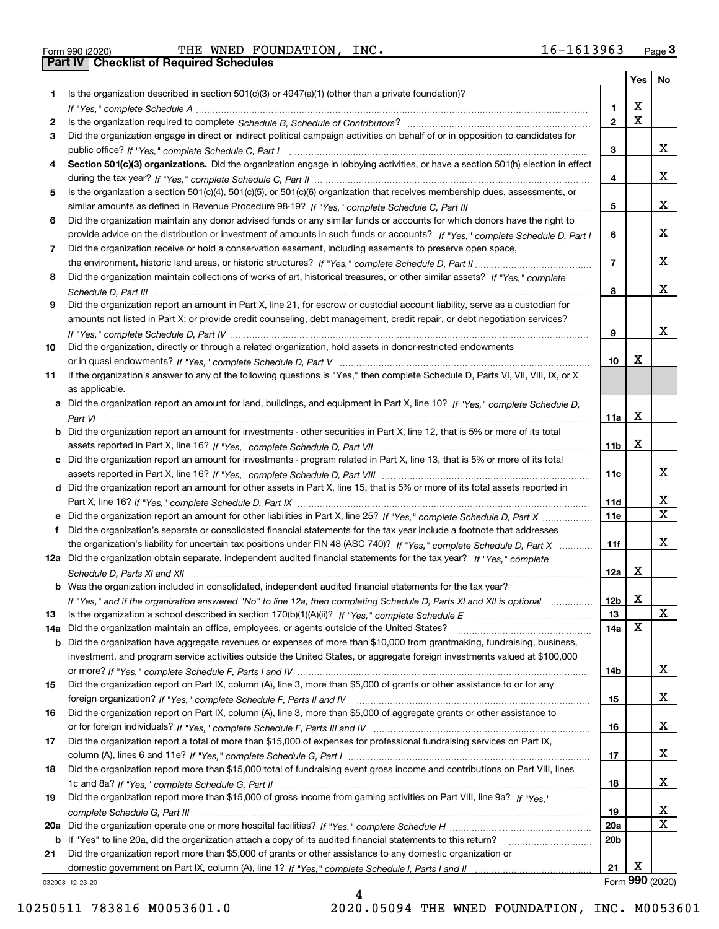Form 990 (2020) THE WNED FOUNDATION, INC. 16-1613963 <sub>Page</sub> 3<br>**Part IV** | Checklist of Required Schedules

|     |                                                                                                                                       |                 | Yes                     | No                      |
|-----|---------------------------------------------------------------------------------------------------------------------------------------|-----------------|-------------------------|-------------------------|
| 1.  | Is the organization described in section $501(c)(3)$ or $4947(a)(1)$ (other than a private foundation)?                               |                 |                         |                         |
|     |                                                                                                                                       | 1.              | х                       |                         |
| 2   | Is the organization required to complete Schedule B, Schedule of Contributors?                                                        | $\overline{2}$  | $\overline{\mathbf{x}}$ |                         |
| 3   | Did the organization engage in direct or indirect political campaign activities on behalf of or in opposition to candidates for       |                 |                         |                         |
|     |                                                                                                                                       | 3               |                         | х                       |
| 4   | Section 501(c)(3) organizations. Did the organization engage in lobbying activities, or have a section 501(h) election in effect      |                 |                         |                         |
|     |                                                                                                                                       | 4               |                         | х                       |
| 5   | Is the organization a section 501(c)(4), 501(c)(5), or 501(c)(6) organization that receives membership dues, assessments, or          |                 |                         |                         |
|     |                                                                                                                                       | 5               |                         | x                       |
| 6   | Did the organization maintain any donor advised funds or any similar funds or accounts for which donors have the right to             |                 |                         |                         |
|     | provide advice on the distribution or investment of amounts in such funds or accounts? If "Yes," complete Schedule D, Part I          | 6               |                         | х                       |
| 7   | Did the organization receive or hold a conservation easement, including easements to preserve open space,                             |                 |                         |                         |
|     |                                                                                                                                       | $\overline{7}$  |                         | х                       |
| 8   | Did the organization maintain collections of works of art, historical treasures, or other similar assets? If "Yes," complete          |                 |                         |                         |
|     |                                                                                                                                       | 8               |                         | х                       |
| 9   | Did the organization report an amount in Part X, line 21, for escrow or custodial account liability, serve as a custodian for         |                 |                         |                         |
|     | amounts not listed in Part X; or provide credit counseling, debt management, credit repair, or debt negotiation services?             |                 |                         |                         |
|     |                                                                                                                                       | 9               |                         | х                       |
| 10  | Did the organization, directly or through a related organization, hold assets in donor-restricted endowments                          |                 | x                       |                         |
|     |                                                                                                                                       | 10              |                         |                         |
| 11  | If the organization's answer to any of the following questions is "Yes," then complete Schedule D, Parts VI, VIII, VIII, IX, or X     |                 |                         |                         |
|     | as applicable.                                                                                                                        |                 |                         |                         |
|     | a Did the organization report an amount for land, buildings, and equipment in Part X, line 10? If "Yes." complete Schedule D.         |                 | X                       |                         |
|     | <b>b</b> Did the organization report an amount for investments - other securities in Part X, line 12, that is 5% or more of its total | 11a             |                         |                         |
|     |                                                                                                                                       | 11b             | X                       |                         |
|     | c Did the organization report an amount for investments - program related in Part X, line 13, that is 5% or more of its total         |                 |                         |                         |
|     |                                                                                                                                       | 11c             |                         | х                       |
|     | d Did the organization report an amount for other assets in Part X, line 15, that is 5% or more of its total assets reported in       |                 |                         |                         |
|     |                                                                                                                                       | 11d             |                         | x                       |
|     |                                                                                                                                       | <b>11e</b>      |                         | $\overline{\mathbf{x}}$ |
| f   | Did the organization's separate or consolidated financial statements for the tax year include a footnote that addresses               |                 |                         |                         |
|     | the organization's liability for uncertain tax positions under FIN 48 (ASC 740)? If "Yes," complete Schedule D, Part X                | 11f             |                         | х                       |
|     | 12a Did the organization obtain separate, independent audited financial statements for the tax year? If "Yes," complete               |                 |                         |                         |
|     |                                                                                                                                       | 12a             | Х                       |                         |
|     | <b>b</b> Was the organization included in consolidated, independent audited financial statements for the tax year?                    |                 |                         |                         |
|     | If "Yes," and if the organization answered "No" to line 12a, then completing Schedule D, Parts XI and XII is optional                 | 12b             | X                       |                         |
| 13  |                                                                                                                                       | 13              |                         | X                       |
| 14a | Did the organization maintain an office, employees, or agents outside of the United States?                                           | 14a             | X                       |                         |
|     | <b>b</b> Did the organization have aggregate revenues or expenses of more than \$10,000 from grantmaking, fundraising, business,      |                 |                         |                         |
|     | investment, and program service activities outside the United States, or aggregate foreign investments valued at \$100,000            |                 |                         |                         |
|     |                                                                                                                                       | 14b             |                         | x                       |
| 15  | Did the organization report on Part IX, column (A), line 3, more than \$5,000 of grants or other assistance to or for any             |                 |                         |                         |
|     |                                                                                                                                       | 15              |                         | X                       |
| 16  | Did the organization report on Part IX, column (A), line 3, more than \$5,000 of aggregate grants or other assistance to              |                 |                         |                         |
|     |                                                                                                                                       | 16              |                         | x                       |
| 17  | Did the organization report a total of more than \$15,000 of expenses for professional fundraising services on Part IX,               |                 |                         |                         |
|     |                                                                                                                                       | 17              |                         | x                       |
| 18  | Did the organization report more than \$15,000 total of fundraising event gross income and contributions on Part VIII, lines          |                 |                         |                         |
|     |                                                                                                                                       | 18              |                         | X                       |
| 19  | Did the organization report more than \$15,000 of gross income from gaming activities on Part VIII, line 9a? If "Yes."                |                 |                         |                         |
|     |                                                                                                                                       | 19              |                         | X                       |
|     |                                                                                                                                       | <b>20a</b>      |                         | $\mathbf X$             |
|     | b If "Yes" to line 20a, did the organization attach a copy of its audited financial statements to this return?                        | 20 <sub>b</sub> |                         |                         |
| 21  | Did the organization report more than \$5,000 of grants or other assistance to any domestic organization or                           |                 |                         |                         |
|     |                                                                                                                                       | 21              | х                       | Form 990 (2020)         |
|     | 032003 12-23-20                                                                                                                       |                 |                         |                         |

032003 12-23-20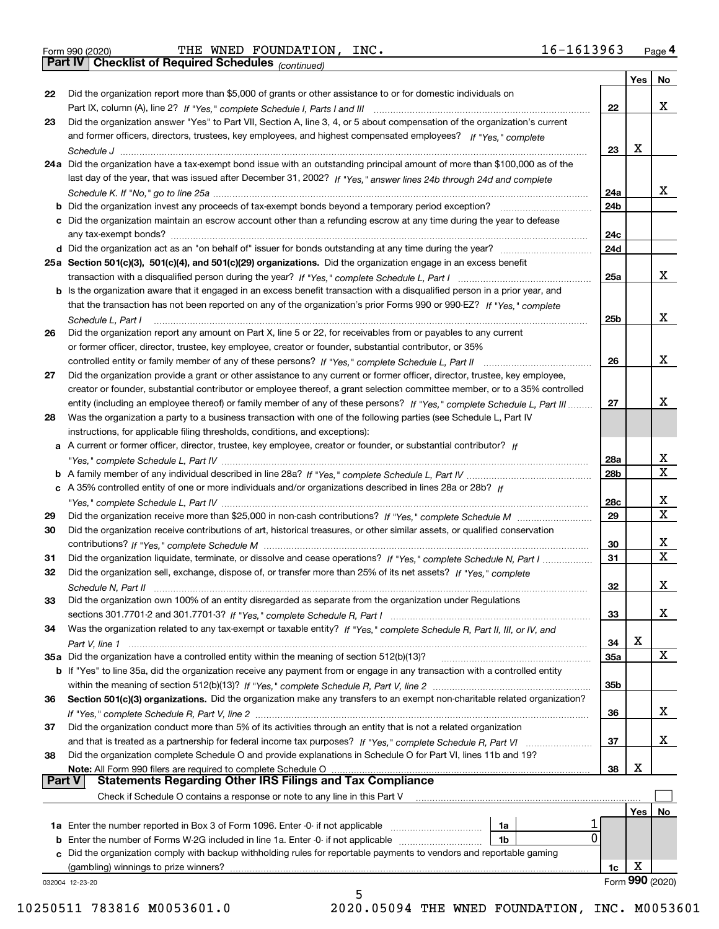|  | Form 990 (2020) |
|--|-----------------|
|  |                 |

Form 990 (2020) THE WNED FOUNDATION,INC. 16-1613963 <sub>Page</sub> 4<br>**Part IV | Checklist of Required Schedules** <sub>(continued)</sub>

*(continued)*

|               |                                                                                                                                   |                 | Yes | No.             |
|---------------|-----------------------------------------------------------------------------------------------------------------------------------|-----------------|-----|-----------------|
| 22            | Did the organization report more than \$5,000 of grants or other assistance to or for domestic individuals on                     |                 |     |                 |
|               |                                                                                                                                   | 22              |     | х               |
| 23            | Did the organization answer "Yes" to Part VII, Section A, line 3, 4, or 5 about compensation of the organization's current        |                 |     |                 |
|               | and former officers, directors, trustees, key employees, and highest compensated employees? If "Yes," complete                    |                 |     |                 |
|               | Schedule J                                                                                                                        | 23              | х   |                 |
|               | 24a Did the organization have a tax-exempt bond issue with an outstanding principal amount of more than \$100,000 as of the       |                 |     |                 |
|               | last day of the year, that was issued after December 31, 2002? If "Yes," answer lines 24b through 24d and complete                |                 |     |                 |
|               |                                                                                                                                   | 24a             |     | x               |
|               | <b>b</b> Did the organization invest any proceeds of tax-exempt bonds beyond a temporary period exception?                        | 24 <sub>b</sub> |     |                 |
|               | c Did the organization maintain an escrow account other than a refunding escrow at any time during the year to defease            |                 |     |                 |
|               | any tax-exempt bonds?                                                                                                             | 24c             |     |                 |
|               | d Did the organization act as an "on behalf of" issuer for bonds outstanding at any time during the year?                         | 24d             |     |                 |
|               | 25a Section 501(c)(3), 501(c)(4), and 501(c)(29) organizations. Did the organization engage in an excess benefit                  |                 |     |                 |
|               |                                                                                                                                   | 25a             |     | х               |
|               |                                                                                                                                   |                 |     |                 |
|               | b Is the organization aware that it engaged in an excess benefit transaction with a disqualified person in a prior year, and      |                 |     |                 |
|               | that the transaction has not been reported on any of the organization's prior Forms 990 or 990-EZ? If "Yes," complete             |                 |     | х               |
|               | Schedule L, Part I                                                                                                                | 25 <sub>b</sub> |     |                 |
| 26            | Did the organization report any amount on Part X, line 5 or 22, for receivables from or payables to any current                   |                 |     |                 |
|               | or former officer, director, trustee, key employee, creator or founder, substantial contributor, or 35%                           |                 |     |                 |
|               |                                                                                                                                   | 26              |     | х               |
| 27            | Did the organization provide a grant or other assistance to any current or former officer, director, trustee, key employee,       |                 |     |                 |
|               | creator or founder, substantial contributor or employee thereof, a grant selection committee member, or to a 35% controlled       |                 |     |                 |
|               | entity (including an employee thereof) or family member of any of these persons? If "Yes," complete Schedule L, Part III          | 27              |     | х               |
| 28            | Was the organization a party to a business transaction with one of the following parties (see Schedule L, Part IV                 |                 |     |                 |
|               | instructions, for applicable filing thresholds, conditions, and exceptions):                                                      |                 |     |                 |
|               | a A current or former officer, director, trustee, key employee, creator or founder, or substantial contributor? If                |                 |     |                 |
|               |                                                                                                                                   | 28a             |     | x               |
|               |                                                                                                                                   | 28 <sub>b</sub> |     | $\mathbf X$     |
|               | c A 35% controlled entity of one or more individuals and/or organizations described in lines 28a or 28b? If                       |                 |     |                 |
|               |                                                                                                                                   | 28c             |     | x               |
| 29            |                                                                                                                                   | 29              |     | $\mathbf X$     |
| 30            | Did the organization receive contributions of art, historical treasures, or other similar assets, or qualified conservation       |                 |     |                 |
|               |                                                                                                                                   | 30              |     | x               |
| 31            | Did the organization liquidate, terminate, or dissolve and cease operations? If "Yes," complete Schedule N, Part I                | 31              |     | $\mathbf x$     |
| 32            | Did the organization sell, exchange, dispose of, or transfer more than 25% of its net assets? If "Yes," complete                  |                 |     |                 |
|               | Schedule N, Part II                                                                                                               | 32              |     | x               |
| 33            | Did the organization own 100% of an entity disregarded as separate from the organization under Regulations                        |                 |     |                 |
|               |                                                                                                                                   | 33              |     | X               |
| 34            | Was the organization related to any tax-exempt or taxable entity? If "Yes," complete Schedule R, Part II, III, or IV, and         |                 |     |                 |
|               |                                                                                                                                   | 34              | X   |                 |
|               | 35a Did the organization have a controlled entity within the meaning of section 512(b)(13)?                                       | <b>35a</b>      |     | X               |
|               |                                                                                                                                   |                 |     |                 |
|               | b If "Yes" to line 35a, did the organization receive any payment from or engage in any transaction with a controlled entity       |                 |     |                 |
|               |                                                                                                                                   | 35b             |     |                 |
| 36            | Section 501(c)(3) organizations. Did the organization make any transfers to an exempt non-charitable related organization?        |                 |     |                 |
|               |                                                                                                                                   | 36              |     | x               |
| 37            | Did the organization conduct more than 5% of its activities through an entity that is not a related organization                  |                 |     |                 |
|               | and that is treated as a partnership for federal income tax purposes? If "Yes," complete Schedule R, Part VI                      | 37              |     | x               |
| 38            | Did the organization complete Schedule O and provide explanations in Schedule O for Part VI, lines 11b and 19?                    |                 |     |                 |
| <b>Part V</b> | Note: All Form 990 filers are required to complete Schedule O<br><b>Statements Regarding Other IRS Filings and Tax Compliance</b> | 38              | х   |                 |
|               |                                                                                                                                   |                 |     |                 |
|               | Check if Schedule O contains a response or note to any line in this Part V                                                        |                 |     |                 |
|               |                                                                                                                                   |                 | Yes | No              |
|               | <b>1a</b> Enter the number reported in Box 3 of Form 1096. Enter -0- if not applicable <i>manumumumum</i><br>1a                   |                 |     |                 |
|               | 0<br><b>b</b> Enter the number of Forms W-2G included in line 1a. Enter -0- if not applicable<br>1b                               |                 |     |                 |
|               | c Did the organization comply with backup withholding rules for reportable payments to vendors and reportable gaming              |                 |     |                 |
|               | (gambling) winnings to prize winners?                                                                                             | 1c              | х   |                 |
|               | 032004 12-23-20<br>5                                                                                                              |                 |     | Form 990 (2020) |
|               |                                                                                                                                   |                 |     |                 |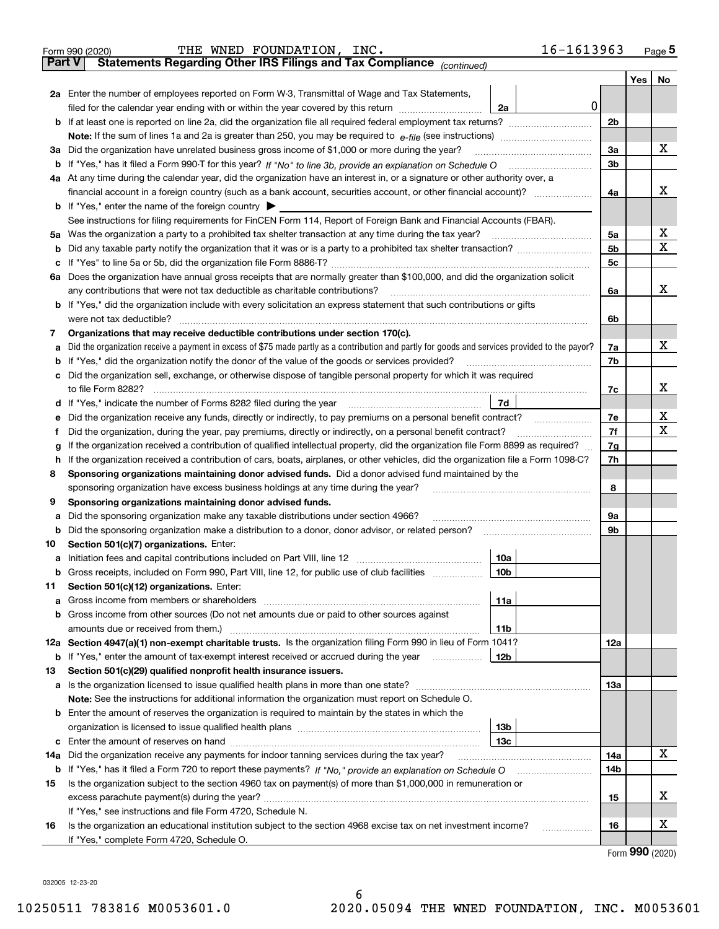| Part V  | 16-1613963<br>THE WNED FOUNDATION, INC.<br>Form 990 (2020)<br>Statements Regarding Other IRS Filings and Tax Compliance (continued)                                                                                                              |                |     | Page $5$ |
|---------|--------------------------------------------------------------------------------------------------------------------------------------------------------------------------------------------------------------------------------------------------|----------------|-----|----------|
|         |                                                                                                                                                                                                                                                  |                |     |          |
|         |                                                                                                                                                                                                                                                  |                | Yes | No       |
|         | 2a Enter the number of employees reported on Form W-3, Transmittal of Wage and Tax Statements,                                                                                                                                                   |                |     |          |
|         | 0<br>filed for the calendar year ending with or within the year covered by this return [11] [11] filed for the calendar year ending with or within the year covered by this return<br>2a                                                         |                |     |          |
|         | <b>b</b> If at least one is reported on line 2a, did the organization file all required federal employment tax returns?                                                                                                                          | 2b             |     |          |
|         | Note: If the sum of lines 1a and 2a is greater than 250, you may be required to $e$ -file (see instructions) <i>marrouum</i> manu-                                                                                                               |                |     | х        |
|         | 3a Did the organization have unrelated business gross income of \$1,000 or more during the year?                                                                                                                                                 | За             |     |          |
|         | <b>b</b> If "Yes," has it filed a Form 990-T for this year? If "No" to line 3b, provide an explanation on Schedule O                                                                                                                             | 3b             |     |          |
|         | 4a At any time during the calendar year, did the organization have an interest in, or a signature or other authority over, a<br>financial account in a foreign country (such as a bank account, securities account, or other financial account)? | 4a             |     | x        |
|         | <b>b</b> If "Yes," enter the name of the foreign country $\triangleright$                                                                                                                                                                        |                |     |          |
|         | See instructions for filing requirements for FinCEN Form 114, Report of Foreign Bank and Financial Accounts (FBAR).                                                                                                                              |                |     |          |
| 5a      | Was the organization a party to a prohibited tax shelter transaction at any time during the tax year?                                                                                                                                            | 5а             |     | х        |
| b       |                                                                                                                                                                                                                                                  | 5b             |     | х        |
| с       | If "Yes" to line 5a or 5b, did the organization file Form 8886-T?                                                                                                                                                                                | 5 <sub>c</sub> |     |          |
| 6а      | Does the organization have annual gross receipts that are normally greater than \$100,000, and did the organization solicit                                                                                                                      |                |     |          |
|         | any contributions that were not tax deductible as charitable contributions?                                                                                                                                                                      | 6a             |     | x        |
|         | b If "Yes," did the organization include with every solicitation an express statement that such contributions or gifts                                                                                                                           |                |     |          |
|         | were not tax deductible?                                                                                                                                                                                                                         | 6b             |     |          |
| 7       | Organizations that may receive deductible contributions under section 170(c).                                                                                                                                                                    |                |     |          |
| а       | Did the organization receive a payment in excess of \$75 made partly as a contribution and partly for goods and services provided to the payor?                                                                                                  | 7a             |     | х        |
| b       | If "Yes," did the organization notify the donor of the value of the goods or services provided?                                                                                                                                                  | 7b             |     |          |
| c       | Did the organization sell, exchange, or otherwise dispose of tangible personal property for which it was required                                                                                                                                |                |     |          |
|         | to file Form 8282?                                                                                                                                                                                                                               | 7c             |     | х        |
| d       | If "Yes," indicate the number of Forms 8282 filed during the year<br>7d                                                                                                                                                                          |                |     |          |
| е       | Did the organization receive any funds, directly or indirectly, to pay premiums on a personal benefit contract?                                                                                                                                  | 7е             |     | х        |
| f       | Did the organization, during the year, pay premiums, directly or indirectly, on a personal benefit contract?                                                                                                                                     | 7f             |     | х        |
| g       | If the organization received a contribution of qualified intellectual property, did the organization file Form 8899 as required?                                                                                                                 | 7g             |     |          |
| h       | If the organization received a contribution of cars, boats, airplanes, or other vehicles, did the organization file a Form 1098-C?                                                                                                               | 7h             |     |          |
| 8       | Sponsoring organizations maintaining donor advised funds. Did a donor advised fund maintained by the                                                                                                                                             |                |     |          |
|         | sponsoring organization have excess business holdings at any time during the year?                                                                                                                                                               | 8              |     |          |
| 9       | Sponsoring organizations maintaining donor advised funds.                                                                                                                                                                                        |                |     |          |
| а       | Did the sponsoring organization make any taxable distributions under section 4966?<br>Did the sponsoring organization make a distribution to a donor, donor advisor, or related person?                                                          | 9а<br>9b       |     |          |
| b<br>10 | Section 501(c)(7) organizations. Enter:                                                                                                                                                                                                          |                |     |          |
| а       | 10a<br>Initiation fees and capital contributions included on Part VIII, line 12                                                                                                                                                                  |                |     |          |
| b       | 10 <sub>b</sub><br>Gross receipts, included on Form 990, Part VIII, line 12, for public use of club facilities                                                                                                                                   |                |     |          |
| 11      | Section 501(c)(12) organizations. Enter:                                                                                                                                                                                                         |                |     |          |
| а       | 11a<br>Gross income from members or shareholders                                                                                                                                                                                                 |                |     |          |
| b       | Gross income from other sources (Do not net amounts due or paid to other sources against                                                                                                                                                         |                |     |          |
|         | 11 <sub>b</sub>                                                                                                                                                                                                                                  |                |     |          |
|         | 12a Section 4947(a)(1) non-exempt charitable trusts. Is the organization filing Form 990 in lieu of Form 1041?                                                                                                                                   | 12a            |     |          |
| b       | If "Yes," enter the amount of tax-exempt interest received or accrued during the year<br>12 <sub>b</sub>                                                                                                                                         |                |     |          |
| 13      | Section 501(c)(29) qualified nonprofit health insurance issuers.                                                                                                                                                                                 |                |     |          |
| а       | Is the organization licensed to issue qualified health plans in more than one state?                                                                                                                                                             | 13a            |     |          |
|         | Note: See the instructions for additional information the organization must report on Schedule O.                                                                                                                                                |                |     |          |
| b       | Enter the amount of reserves the organization is required to maintain by the states in which the                                                                                                                                                 |                |     |          |
|         | 13 <sub>b</sub>                                                                                                                                                                                                                                  |                |     |          |
| с       | 13с                                                                                                                                                                                                                                              |                |     |          |
| 14a     | Did the organization receive any payments for indoor tanning services during the tax year?                                                                                                                                                       | 14a            |     | х        |
| b       |                                                                                                                                                                                                                                                  | 14b            |     |          |
| 15      | Is the organization subject to the section 4960 tax on payment(s) of more than \$1,000,000 in remuneration or                                                                                                                                    |                |     |          |
|         |                                                                                                                                                                                                                                                  | 15             |     | X        |
|         | If "Yes," see instructions and file Form 4720, Schedule N.                                                                                                                                                                                       |                |     | x        |
| 16      | Is the organization an educational institution subject to the section 4968 excise tax on net investment income?<br>.<br>If "Yes," complete Form 4720, Schedule O.                                                                                | 16             |     |          |
|         |                                                                                                                                                                                                                                                  |                |     |          |

Form (2020) **990**

032005 12-23-20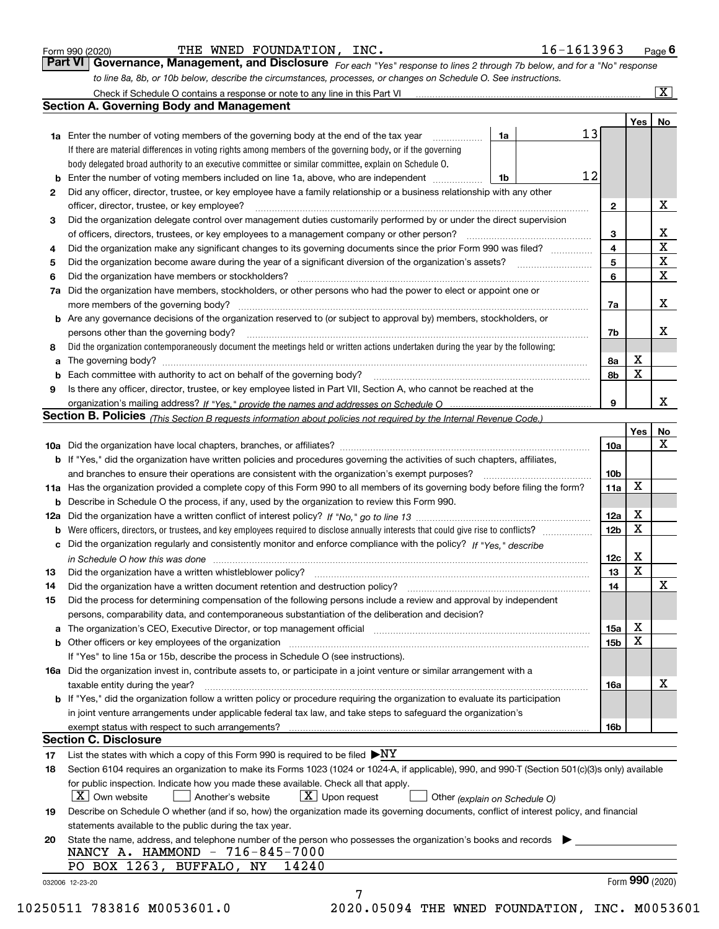|  | Form 990 (2020) |
|--|-----------------|
|  |                 |

THE WNED FOUNDATION, INC. 16-1613963

*For each "Yes" response to lines 2 through 7b below, and for a "No" response to line 8a, 8b, or 10b below, describe the circumstances, processes, or changes on Schedule O. See instructions.* Form 990 (2020) **Form 990 (2020)** THE WNED FOUNDATION, INC.<br>**Part VI Governance, Management, and Disclosure** For each "Yes" response to lines 2 through 7b below, and for a "No" response

|     | Check if Schedule O contains a response or note to any line in this Part VI                                                                                                                                                   |    |    |                 |             | $\overline{\mathbf{x}}$ |  |  |  |  |
|-----|-------------------------------------------------------------------------------------------------------------------------------------------------------------------------------------------------------------------------------|----|----|-----------------|-------------|-------------------------|--|--|--|--|
|     | <b>Section A. Governing Body and Management</b>                                                                                                                                                                               |    |    |                 |             |                         |  |  |  |  |
|     |                                                                                                                                                                                                                               |    |    |                 | Yes         | No                      |  |  |  |  |
|     | <b>1a</b> Enter the number of voting members of the governing body at the end of the tax year<br>.                                                                                                                            | 1a | 13 |                 |             |                         |  |  |  |  |
|     | If there are material differences in voting rights among members of the governing body, or if the governing                                                                                                                   |    |    |                 |             |                         |  |  |  |  |
|     | body delegated broad authority to an executive committee or similar committee, explain on Schedule O.                                                                                                                         |    |    |                 |             |                         |  |  |  |  |
| b   | Enter the number of voting members included on line 1a, above, who are independent                                                                                                                                            | 1b | 12 |                 |             |                         |  |  |  |  |
| 2   | Did any officer, director, trustee, or key employee have a family relationship or a business relationship with any other                                                                                                      |    |    |                 |             |                         |  |  |  |  |
|     | officer, director, trustee, or key employee?                                                                                                                                                                                  |    |    |                 |             |                         |  |  |  |  |
| 3   | Did the organization delegate control over management duties customarily performed by or under the direct supervision                                                                                                         |    |    |                 |             | X                       |  |  |  |  |
|     | of officers, directors, trustees, or key employees to a management company or other person?                                                                                                                                   |    |    |                 |             |                         |  |  |  |  |
| 4   | Did the organization make any significant changes to its governing documents since the prior Form 990 was filed?                                                                                                              |    |    | 3<br>4          |             | х<br>$\mathbf X$        |  |  |  |  |
| 5   |                                                                                                                                                                                                                               |    |    | 5               |             | $\mathbf X$             |  |  |  |  |
| 6   | Did the organization have members or stockholders?                                                                                                                                                                            |    |    | 6               |             | $\mathbf X$             |  |  |  |  |
| 7a  | Did the organization have members, stockholders, or other persons who had the power to elect or appoint one or                                                                                                                |    |    |                 |             |                         |  |  |  |  |
|     | more members of the governing body?                                                                                                                                                                                           |    |    | 7a              |             | х                       |  |  |  |  |
| b   | Are any governance decisions of the organization reserved to (or subject to approval by) members, stockholders, or                                                                                                            |    |    |                 |             |                         |  |  |  |  |
|     | persons other than the governing body?                                                                                                                                                                                        |    |    | 7b              |             | х                       |  |  |  |  |
|     | Did the organization contemporaneously document the meetings held or written actions undertaken during the year by the following:                                                                                             |    |    |                 |             |                         |  |  |  |  |
| 8   |                                                                                                                                                                                                                               |    |    |                 | X           |                         |  |  |  |  |
| a   | Each committee with authority to act on behalf of the governing body?                                                                                                                                                         |    |    | 8а              | X           |                         |  |  |  |  |
| b   |                                                                                                                                                                                                                               |    |    | 8b              |             |                         |  |  |  |  |
| 9   | Is there any officer, director, trustee, or key employee listed in Part VII, Section A, who cannot be reached at the                                                                                                          |    |    |                 |             | x                       |  |  |  |  |
|     |                                                                                                                                                                                                                               |    |    | 9               |             |                         |  |  |  |  |
|     | Section B. Policies <sub>(This Section B requests information about policies not required by the Internal Revenue Code.)</sub>                                                                                                |    |    |                 |             |                         |  |  |  |  |
|     |                                                                                                                                                                                                                               |    |    |                 | Yes         | No                      |  |  |  |  |
|     |                                                                                                                                                                                                                               |    |    | 10a             |             | х                       |  |  |  |  |
|     | <b>b</b> If "Yes," did the organization have written policies and procedures governing the activities of such chapters, affiliates,                                                                                           |    |    |                 |             |                         |  |  |  |  |
|     | and branches to ensure their operations are consistent with the organization's exempt purposes?                                                                                                                               |    |    | 10 <sub>b</sub> |             |                         |  |  |  |  |
| 11a | Has the organization provided a complete copy of this Form 990 to all members of its governing body before filing the form?                                                                                                   |    |    | 11a             | $\mathbf X$ |                         |  |  |  |  |
| b   | Describe in Schedule O the process, if any, used by the organization to review this Form 990.                                                                                                                                 |    |    |                 |             |                         |  |  |  |  |
| 12a |                                                                                                                                                                                                                               |    |    | 12a             | X           |                         |  |  |  |  |
| b   | Were officers, directors, or trustees, and key employees required to disclose annually interests that could give rise to conflicts?                                                                                           |    |    | 12 <sub>b</sub> | X           |                         |  |  |  |  |
| c   | Did the organization regularly and consistently monitor and enforce compliance with the policy? If "Yes." describe                                                                                                            |    |    |                 |             |                         |  |  |  |  |
|     | in Schedule O how this was done measured and continuum control of the control of the state of the state of the                                                                                                                |    |    | 12c             | X           |                         |  |  |  |  |
| 13  | Did the organization have a written whistleblower policy?                                                                                                                                                                     |    |    | 13              | $\mathbf X$ |                         |  |  |  |  |
| 14  | Did the organization have a written document retention and destruction policy?                                                                                                                                                |    |    | 14              |             | х                       |  |  |  |  |
| 15  | Did the process for determining compensation of the following persons include a review and approval by independent                                                                                                            |    |    |                 |             |                         |  |  |  |  |
|     | persons, comparability data, and contemporaneous substantiation of the deliberation and decision?                                                                                                                             |    |    |                 |             |                         |  |  |  |  |
|     | The organization's CEO, Executive Director, or top management official manufactured contains and contained a support of the Director, or top management official manufactured and contain a support of the state of the state |    |    | 15a             | х           |                         |  |  |  |  |
| b   | Other officers or key employees of the organization                                                                                                                                                                           |    |    | 15 <sub>b</sub> | X           |                         |  |  |  |  |
|     | If "Yes" to line 15a or 15b, describe the process in Schedule O (see instructions).                                                                                                                                           |    |    |                 |             |                         |  |  |  |  |
|     | 16a Did the organization invest in, contribute assets to, or participate in a joint venture or similar arrangement with a                                                                                                     |    |    |                 |             |                         |  |  |  |  |
|     | taxable entity during the year?                                                                                                                                                                                               |    |    | 16a             |             | х                       |  |  |  |  |
|     | b If "Yes," did the organization follow a written policy or procedure requiring the organization to evaluate its participation                                                                                                |    |    |                 |             |                         |  |  |  |  |
|     | in joint venture arrangements under applicable federal tax law, and take steps to safeguard the organization's                                                                                                                |    |    |                 |             |                         |  |  |  |  |
|     | exempt status with respect to such arrangements?                                                                                                                                                                              |    |    | 16b             |             |                         |  |  |  |  |
|     | <b>Section C. Disclosure</b>                                                                                                                                                                                                  |    |    |                 |             |                         |  |  |  |  |
| 17  | List the states with which a copy of this Form 990 is required to be filed $\blacktriangleright$ NY                                                                                                                           |    |    |                 |             |                         |  |  |  |  |
| 18  | Section 6104 requires an organization to make its Forms 1023 (1024 or 1024-A, if applicable), 990, and 990-T (Section 501(c)(3)s only) available                                                                              |    |    |                 |             |                         |  |  |  |  |
|     | for public inspection. Indicate how you made these available. Check all that apply.                                                                                                                                           |    |    |                 |             |                         |  |  |  |  |
|     | $X$ Own website<br>$X$ Upon request<br>Another's website<br>Other (explain on Schedule O)                                                                                                                                     |    |    |                 |             |                         |  |  |  |  |
| 19  | Describe on Schedule O whether (and if so, how) the organization made its governing documents, conflict of interest policy, and financial                                                                                     |    |    |                 |             |                         |  |  |  |  |
|     | statements available to the public during the tax year.                                                                                                                                                                       |    |    |                 |             |                         |  |  |  |  |
| 20  | State the name, address, and telephone number of the person who possesses the organization's books and records                                                                                                                |    |    |                 |             |                         |  |  |  |  |
|     | NANCY A. HAMMOND - 716-845-7000                                                                                                                                                                                               |    |    |                 |             |                         |  |  |  |  |
|     | PO BOX 1263, BUFFALO, NY<br>14240                                                                                                                                                                                             |    |    |                 |             |                         |  |  |  |  |
|     | 032006 12-23-20                                                                                                                                                                                                               |    |    |                 |             | Form 990 (2020)         |  |  |  |  |
|     | 7<br>$EAC11$ 700016 MODEDCO1 O<br>2020 AEAAA mur wurp roundamtou                                                                                                                                                              |    |    |                 |             |                         |  |  |  |  |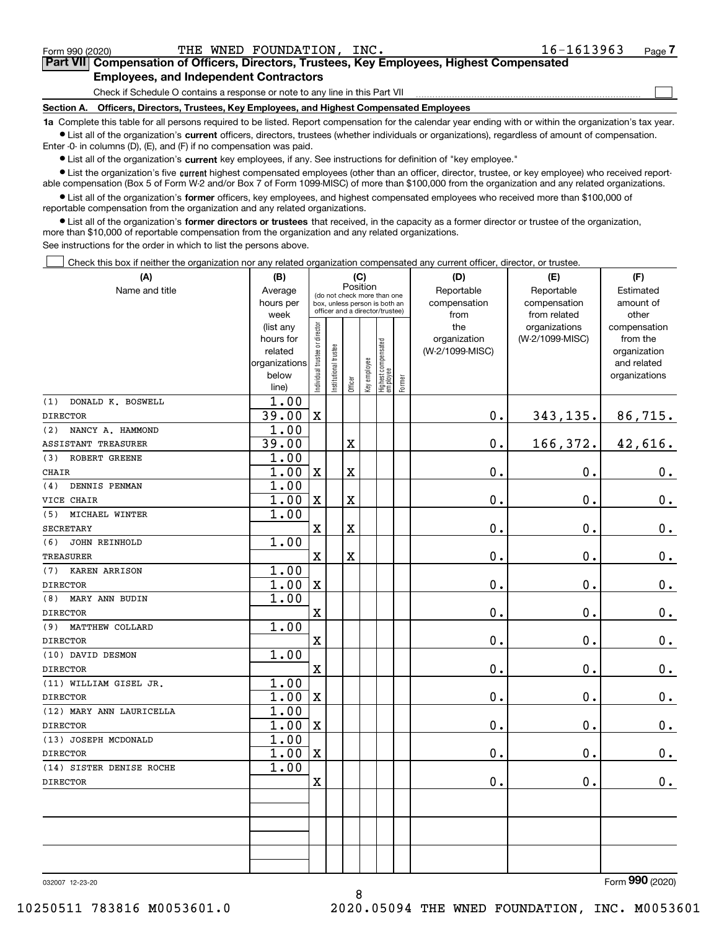$\mathcal{L}^{\text{max}}$ 

# **7Part VII Compensation of Officers, Directors, Trustees, Key Employees, Highest Compensated Employees, and Independent Contractors**

Check if Schedule O contains a response or note to any line in this Part VII

**Section A. Officers, Directors, Trustees, Key Employees, and Highest Compensated Employees**

**1a**  Complete this table for all persons required to be listed. Report compensation for the calendar year ending with or within the organization's tax year. **•** List all of the organization's current officers, directors, trustees (whether individuals or organizations), regardless of amount of compensation.

Enter -0- in columns (D), (E), and (F) if no compensation was paid.

 $\bullet$  List all of the organization's  $\,$ current key employees, if any. See instructions for definition of "key employee."

**•** List the organization's five current highest compensated employees (other than an officer, director, trustee, or key employee) who received reportable compensation (Box 5 of Form W-2 and/or Box 7 of Form 1099-MISC) of more than \$100,000 from the organization and any related organizations.

**•** List all of the organization's former officers, key employees, and highest compensated employees who received more than \$100,000 of reportable compensation from the organization and any related organizations.

**former directors or trustees**  ¥ List all of the organization's that received, in the capacity as a former director or trustee of the organization, more than \$10,000 of reportable compensation from the organization and any related organizations.

See instructions for the order in which to list the persons above.

Check this box if neither the organization nor any related organization compensated any current officer, director, or trustee.  $\mathcal{L}^{\text{max}}$ 

| (A)                        | (B)                      |                               |                                                                  |                         | (C)          |                                   |        | (D)             | (E)             | (F)                         |
|----------------------------|--------------------------|-------------------------------|------------------------------------------------------------------|-------------------------|--------------|-----------------------------------|--------|-----------------|-----------------|-----------------------------|
| Name and title             | Average                  |                               | (do not check more than one                                      |                         | Position     |                                   |        | Reportable      | Reportable      | Estimated                   |
|                            | hours per                |                               | box, unless person is both an<br>officer and a director/trustee) |                         |              |                                   |        | compensation    | compensation    | amount of                   |
|                            | week                     |                               |                                                                  |                         |              |                                   |        | from            | from related    | other                       |
|                            | (list any                |                               |                                                                  |                         |              |                                   |        | the             | organizations   | compensation                |
|                            | hours for                |                               |                                                                  |                         |              |                                   |        | organization    | (W-2/1099-MISC) | from the                    |
|                            | related<br>organizations |                               |                                                                  |                         |              |                                   |        | (W-2/1099-MISC) |                 | organization<br>and related |
|                            | below                    |                               |                                                                  |                         |              |                                   |        |                 |                 | organizations               |
|                            | line)                    | ndividual trustee or director | nstitutional trustee                                             | Officer                 | Key employee | Highest compensated<br>  employee | Former |                 |                 |                             |
| DONALD K. BOSWELL<br>(1)   | 1.00                     |                               |                                                                  |                         |              |                                   |        |                 |                 |                             |
| <b>DIRECTOR</b>            | 39.00                    | $\mathbf X$                   |                                                                  |                         |              |                                   |        | 0.              | 343,135.        | 86,715.                     |
| NANCY A. HAMMOND<br>(2)    | 1.00                     |                               |                                                                  |                         |              |                                   |        |                 |                 |                             |
| <b>ASSISTANT TREASURER</b> | 39.00                    |                               |                                                                  | X                       |              |                                   |        | 0.              | 166,372.        | 42,616.                     |
| ROBERT GREENE<br>(3)       | 1.00                     |                               |                                                                  |                         |              |                                   |        |                 |                 |                             |
| <b>CHAIR</b>               | 1.00                     | $\mathbf X$                   |                                                                  | $\overline{\textbf{X}}$ |              |                                   |        | 0.              | 0.              | 0.                          |
| DENNIS PENMAN<br>(4)       | 1.00                     |                               |                                                                  |                         |              |                                   |        |                 |                 |                             |
| VICE CHAIR                 | 1.00                     | $\mathbf X$                   |                                                                  | $\overline{\textbf{X}}$ |              |                                   |        | 0.              | $\mathbf 0$ .   | $\mathbf 0$ .               |
| MICHAEL WINTER<br>(5)      | 1.00                     |                               |                                                                  |                         |              |                                   |        |                 |                 |                             |
| <b>SECRETARY</b>           |                          | $\mathbf X$                   |                                                                  | $\overline{\textbf{X}}$ |              |                                   |        | 0.              | $\mathbf 0$ .   | $0_{.}$                     |
| (6)<br>JOHN REINHOLD       | 1.00                     |                               |                                                                  |                         |              |                                   |        |                 |                 |                             |
| <b>TREASURER</b>           |                          | $\mathbf X$                   |                                                                  | $\overline{\textbf{X}}$ |              |                                   |        | 0.              | $\mathbf 0$ .   | $\mathbf 0$ .               |
| KAREN ARRISON<br>(7)       | 1.00                     |                               |                                                                  |                         |              |                                   |        |                 |                 |                             |
| <b>DIRECTOR</b>            | 1.00                     | $\mathbf X$                   |                                                                  |                         |              |                                   |        | 0.              | $\mathbf 0$ .   | $\mathbf 0$ .               |
| MARY ANN BUDIN<br>(8)      | 1.00                     |                               |                                                                  |                         |              |                                   |        |                 |                 |                             |
| <b>DIRECTOR</b>            |                          | $\mathbf X$                   |                                                                  |                         |              |                                   |        | 0.              | 0.              | $\mathbf 0$ .               |
| MATTHEW COLLARD<br>(9)     | 1.00                     |                               |                                                                  |                         |              |                                   |        |                 |                 |                             |
| <b>DIRECTOR</b>            |                          | $\mathbf X$                   |                                                                  |                         |              |                                   |        | 0.              | $\mathbf 0$ .   | $\mathbf 0$ .               |
| (10) DAVID DESMON          | 1.00                     |                               |                                                                  |                         |              |                                   |        |                 |                 |                             |
| <b>DIRECTOR</b>            |                          | $\mathbf X$                   |                                                                  |                         |              |                                   |        | 0.              | $\mathbf 0$ .   | 0.                          |
| (11) WILLIAM GISEL JR.     | 1.00                     |                               |                                                                  |                         |              |                                   |        |                 |                 |                             |
| <b>DIRECTOR</b>            | 1.00                     | $\mathbf X$                   |                                                                  |                         |              |                                   |        | 0.              | $\mathbf 0$ .   | $0$ .                       |
| (12) MARY ANN LAURICELLA   | 1.00                     |                               |                                                                  |                         |              |                                   |        |                 |                 |                             |
| <b>DIRECTOR</b>            | 1.00                     | $\mathbf X$                   |                                                                  |                         |              |                                   |        | 0.              | $\mathbf 0$ .   | $\mathbf 0$ .               |
| (13) JOSEPH MCDONALD       | 1.00                     |                               |                                                                  |                         |              |                                   |        |                 |                 |                             |
| <b>DIRECTOR</b>            | 1.00                     | $\mathbf X$                   |                                                                  |                         |              |                                   |        | 0.              | $\mathbf 0$ .   | 0.                          |
| (14) SISTER DENISE ROCHE   | 1.00                     |                               |                                                                  |                         |              |                                   |        |                 |                 |                             |
| <b>DIRECTOR</b>            |                          | $\mathbf X$                   |                                                                  |                         |              |                                   |        | 0.              | $\mathbf 0$ .   | $\mathbf 0$ .               |
|                            |                          |                               |                                                                  |                         |              |                                   |        |                 |                 |                             |
|                            |                          |                               |                                                                  |                         |              |                                   |        |                 |                 |                             |
|                            |                          |                               |                                                                  |                         |              |                                   |        |                 |                 |                             |
|                            |                          |                               |                                                                  |                         |              |                                   |        |                 |                 |                             |
|                            |                          |                               |                                                                  |                         |              |                                   |        |                 |                 |                             |
|                            |                          |                               |                                                                  |                         |              |                                   |        |                 |                 |                             |

8

032007 12-23-20

Form (2020) **990**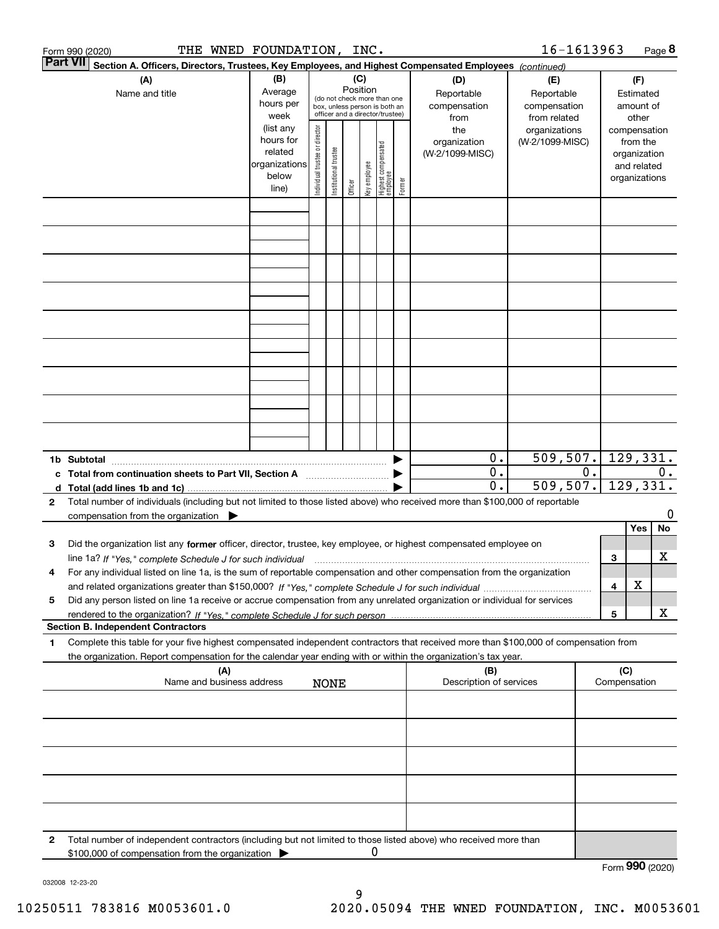|                 | THE WNED FOUNDATION, INC.<br>Form 990 (2020)                                                                                                                                                                                                                        |                                                                      |                                |                        |                 |              |                                                                                                 |        |                                                 | 16-1613963                                        |                  |                     | Page 8                                                                   |
|-----------------|---------------------------------------------------------------------------------------------------------------------------------------------------------------------------------------------------------------------------------------------------------------------|----------------------------------------------------------------------|--------------------------------|------------------------|-----------------|--------------|-------------------------------------------------------------------------------------------------|--------|-------------------------------------------------|---------------------------------------------------|------------------|---------------------|--------------------------------------------------------------------------|
| <b>Part VII</b> | Section A. Officers, Directors, Trustees, Key Employees, and Highest Compensated Employees (continued)                                                                                                                                                              |                                                                      |                                |                        |                 |              |                                                                                                 |        |                                                 |                                                   |                  |                     |                                                                          |
|                 | (A)<br>Name and title                                                                                                                                                                                                                                               | (B)<br>Average<br>hours per<br>week                                  |                                |                        | (C)<br>Position |              | (do not check more than one<br>box, unless person is both an<br>officer and a director/trustee) |        | (D)<br>Reportable<br>compensation<br>from       | (E)<br>Reportable<br>compensation<br>from related |                  |                     | (F)<br>Estimated<br>amount of<br>other                                   |
|                 |                                                                                                                                                                                                                                                                     | (list any<br>hours for<br>related<br>organizations<br>below<br>line) | Individual trustee or director | In stitutional trustee | Officer         | key employee | Highest compensated<br>employee                                                                 | Former | the<br>organization<br>(W-2/1099-MISC)          | organizations<br>(W-2/1099-MISC)                  |                  |                     | compensation<br>from the<br>organization<br>and related<br>organizations |
|                 |                                                                                                                                                                                                                                                                     |                                                                      |                                |                        |                 |              |                                                                                                 |        |                                                 |                                                   |                  |                     |                                                                          |
|                 |                                                                                                                                                                                                                                                                     |                                                                      |                                |                        |                 |              |                                                                                                 |        |                                                 |                                                   |                  |                     |                                                                          |
|                 |                                                                                                                                                                                                                                                                     |                                                                      |                                |                        |                 |              |                                                                                                 |        |                                                 |                                                   |                  |                     |                                                                          |
|                 |                                                                                                                                                                                                                                                                     |                                                                      |                                |                        |                 |              |                                                                                                 |        |                                                 |                                                   |                  |                     |                                                                          |
|                 |                                                                                                                                                                                                                                                                     |                                                                      |                                |                        |                 |              |                                                                                                 |        |                                                 |                                                   |                  |                     |                                                                          |
|                 |                                                                                                                                                                                                                                                                     |                                                                      |                                |                        |                 |              |                                                                                                 |        |                                                 |                                                   |                  |                     |                                                                          |
|                 |                                                                                                                                                                                                                                                                     |                                                                      |                                |                        |                 |              |                                                                                                 |        |                                                 |                                                   |                  |                     |                                                                          |
|                 |                                                                                                                                                                                                                                                                     |                                                                      |                                |                        |                 |              |                                                                                                 |        |                                                 |                                                   |                  |                     |                                                                          |
|                 | 1b Subtotal                                                                                                                                                                                                                                                         |                                                                      |                                |                        |                 |              |                                                                                                 |        | 0.                                              | 509, 507.                                         |                  |                     | 129,331.                                                                 |
|                 | c Total from continuation sheets to Part VII, Section A                                                                                                                                                                                                             |                                                                      |                                |                        |                 |              |                                                                                                 |        | $\overline{0}$ .<br>$\overline{\mathfrak{o}}$ . | 509, 507.                                         | $\overline{0}$ . |                     | 0.<br>129,331.                                                           |
| 2               | Total number of individuals (including but not limited to those listed above) who received more than \$100,000 of reportable<br>compensation from the organization $\blacktriangleright$                                                                            |                                                                      |                                |                        |                 |              |                                                                                                 |        |                                                 |                                                   |                  |                     | 0                                                                        |
| з               | Did the organization list any former officer, director, trustee, key employee, or highest compensated employee on                                                                                                                                                   |                                                                      |                                |                        |                 |              |                                                                                                 |        |                                                 |                                                   |                  |                     | No<br>Yes                                                                |
| 4               | line 1a? If "Yes," complete Schedule J for such individual manufactured contained and the Yes," complete Schedule J for such individual<br>For any individual listed on line 1a, is the sum of reportable compensation and other compensation from the organization |                                                                      |                                |                        |                 |              |                                                                                                 |        |                                                 |                                                   |                  | 3                   | х                                                                        |
| 5               | Did any person listed on line 1a receive or accrue compensation from any unrelated organization or individual for services                                                                                                                                          |                                                                      |                                |                        |                 |              |                                                                                                 |        |                                                 |                                                   |                  | 4                   | X                                                                        |
|                 | <b>Section B. Independent Contractors</b>                                                                                                                                                                                                                           |                                                                      |                                |                        |                 |              |                                                                                                 |        |                                                 |                                                   |                  | 5                   | х                                                                        |
| 1               | Complete this table for your five highest compensated independent contractors that received more than \$100,000 of compensation from<br>the organization. Report compensation for the calendar year ending with or within the organization's tax year.              |                                                                      |                                |                        |                 |              |                                                                                                 |        |                                                 |                                                   |                  |                     |                                                                          |
|                 | (A)<br>Name and business address                                                                                                                                                                                                                                    |                                                                      |                                | <b>NONE</b>            |                 |              |                                                                                                 |        | (B)<br>Description of services                  |                                                   |                  | (C)<br>Compensation |                                                                          |
|                 |                                                                                                                                                                                                                                                                     |                                                                      |                                |                        |                 |              |                                                                                                 |        |                                                 |                                                   |                  |                     |                                                                          |
|                 |                                                                                                                                                                                                                                                                     |                                                                      |                                |                        |                 |              |                                                                                                 |        |                                                 |                                                   |                  |                     |                                                                          |
|                 |                                                                                                                                                                                                                                                                     |                                                                      |                                |                        |                 |              |                                                                                                 |        |                                                 |                                                   |                  |                     |                                                                          |
|                 |                                                                                                                                                                                                                                                                     |                                                                      |                                |                        |                 |              |                                                                                                 |        |                                                 |                                                   |                  |                     |                                                                          |
|                 |                                                                                                                                                                                                                                                                     |                                                                      |                                |                        |                 |              |                                                                                                 |        |                                                 |                                                   |                  |                     |                                                                          |
| 2               | Total number of independent contractors (including but not limited to those listed above) who received more than<br>\$100,000 of compensation from the organization                                                                                                 |                                                                      |                                |                        |                 | 0            |                                                                                                 |        |                                                 |                                                   |                  |                     | Form 990 (2020)                                                          |

032008 12-23-20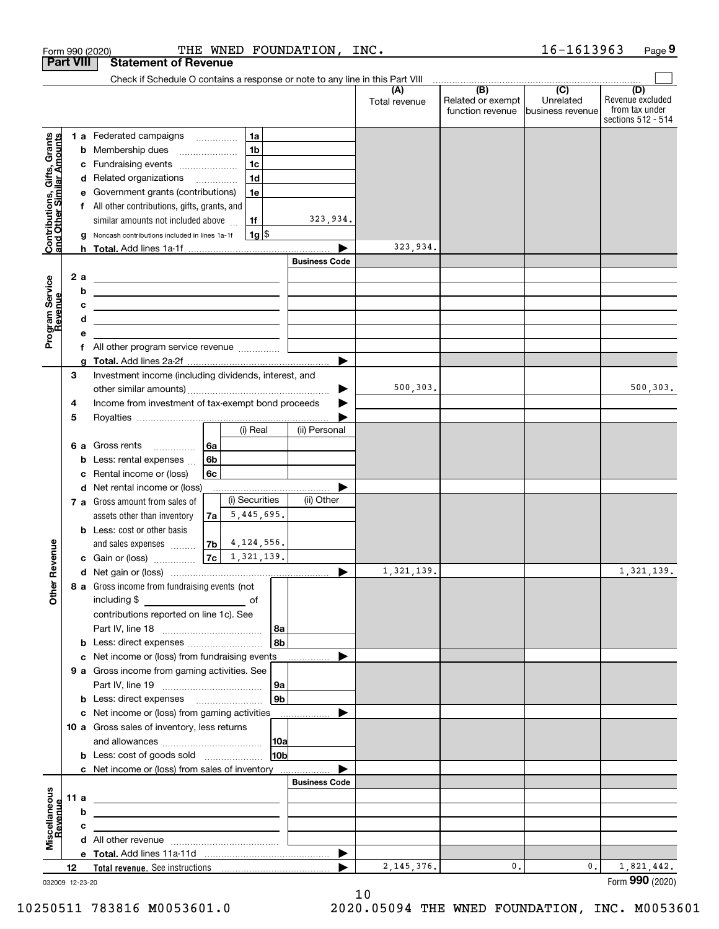|                                                           |                  | THE WNED FOUNDATION,<br>Form 990 (2020)                                                                             | INC.                 |                                       | 16-1613963                    | Page 9                                                          |
|-----------------------------------------------------------|------------------|---------------------------------------------------------------------------------------------------------------------|----------------------|---------------------------------------|-------------------------------|-----------------------------------------------------------------|
|                                                           | <b>Part VIII</b> | <b>Statement of Revenue</b>                                                                                         |                      |                                       |                               |                                                                 |
|                                                           |                  | Check if Schedule O contains a response or note to any line in this Part VIII                                       |                      | $\overbrace{ }$ (B) (C)               |                               |                                                                 |
|                                                           |                  |                                                                                                                     | (A)<br>Total revenue | Related or exempt<br>function revenue | Unrelated<br>business revenue | (D)<br>Revenue excluded<br>from tax under<br>sections 512 - 514 |
|                                                           |                  | 1 a Federated campaigns<br>1a                                                                                       |                      |                                       |                               |                                                                 |
|                                                           | b                | 1 <sub>b</sub><br>Membership dues                                                                                   |                      |                                       |                               |                                                                 |
|                                                           |                  | 1 <sub>c</sub><br>c Fundraising events                                                                              |                      |                                       |                               |                                                                 |
| Contributions, Gifts, Grants<br>and Other Similar Amounts |                  | 1 <sub>d</sub><br>d Related organizations                                                                           |                      |                                       |                               |                                                                 |
|                                                           |                  | e Government grants (contributions)<br>1e                                                                           |                      |                                       |                               |                                                                 |
|                                                           |                  | f All other contributions, gifts, grants, and                                                                       |                      |                                       |                               |                                                                 |
|                                                           |                  | similar amounts not included above<br>1f                                                                            | 323,934.             |                                       |                               |                                                                 |
|                                                           | g                | $1g$ \$<br>Noncash contributions included in lines 1a-1f                                                            |                      |                                       |                               |                                                                 |
|                                                           |                  |                                                                                                                     | 323,934.             |                                       |                               |                                                                 |
|                                                           |                  |                                                                                                                     | <b>Business Code</b> |                                       |                               |                                                                 |
|                                                           | 2 a              | <u> 1989 - Andrea Barbara, amerikan personal (h. 1989).</u>                                                         |                      |                                       |                               |                                                                 |
|                                                           | b                | the contract of the contract of the contract of the contract of the contract of                                     |                      |                                       |                               |                                                                 |
| Program Service<br>Revenue                                | с                | <u> 2000 - Jan Barbara (h. 1888).</u>                                                                               |                      |                                       |                               |                                                                 |
|                                                           | d                | <u> 1980 - Johann Barn, mars ann an t-Amhair ann an t-Amhair an t-Amhair ann an t-Amhair an t-Amhair ann an t-A</u> |                      |                                       |                               |                                                                 |
|                                                           | е                | f All other program service revenue                                                                                 |                      |                                       |                               |                                                                 |
|                                                           | a                |                                                                                                                     |                      |                                       |                               |                                                                 |
|                                                           | 3                | Investment income (including dividends, interest, and                                                               |                      |                                       |                               |                                                                 |
|                                                           |                  |                                                                                                                     | 500,303.             |                                       |                               | 500, 303.                                                       |
|                                                           | 4                | Income from investment of tax-exempt bond proceeds                                                                  |                      |                                       |                               |                                                                 |
|                                                           | 5                |                                                                                                                     |                      |                                       |                               |                                                                 |
|                                                           |                  | (i) Real                                                                                                            | (ii) Personal        |                                       |                               |                                                                 |
|                                                           |                  | 6а<br>6 a Gross rents                                                                                               |                      |                                       |                               |                                                                 |
|                                                           | b                | 6b<br>Less: rental expenses                                                                                         |                      |                                       |                               |                                                                 |
|                                                           | с                | Rental income or (loss)<br>6c                                                                                       |                      |                                       |                               |                                                                 |
|                                                           |                  | d Net rental income or (loss)                                                                                       |                      |                                       |                               |                                                                 |
|                                                           |                  | (i) Securities<br>7 a Gross amount from sales of                                                                    | (ii) Other           |                                       |                               |                                                                 |
|                                                           |                  | 5,445,695.<br>assets other than inventory<br>7a                                                                     |                      |                                       |                               |                                                                 |
|                                                           |                  | <b>b</b> Less: cost or other basis                                                                                  |                      |                                       |                               |                                                                 |
|                                                           |                  | 4, 124, 556.<br>7 <sub>b</sub><br>and sales expenses                                                                |                      |                                       |                               |                                                                 |
| evenue                                                    |                  | 1,321,139.<br>7c<br>c Gain or (loss)                                                                                |                      |                                       |                               |                                                                 |
| Œ                                                         |                  |                                                                                                                     | 1,321,139.           |                                       |                               | 1,321,139.                                                      |
| Other                                                     |                  | 8 a Gross income from fundraising events (not                                                                       |                      |                                       |                               |                                                                 |
|                                                           |                  | including \$<br><u>_________________________</u> of                                                                 |                      |                                       |                               |                                                                 |
|                                                           |                  | contributions reported on line 1c). See                                                                             |                      |                                       |                               |                                                                 |
|                                                           |                  | <b>∣8a</b><br>8bl<br><b>b</b> Less: direct expenses                                                                 |                      |                                       |                               |                                                                 |
|                                                           |                  | c Net income or (loss) from fundraising events                                                                      |                      |                                       |                               |                                                                 |
|                                                           |                  | 9 a Gross income from gaming activities. See                                                                        |                      |                                       |                               |                                                                 |
|                                                           |                  | ∣9a                                                                                                                 |                      |                                       |                               |                                                                 |
|                                                           |                  | 9b l<br><b>b</b> Less: direct expenses <b>manually</b>                                                              |                      |                                       |                               |                                                                 |
|                                                           |                  | c Net income or (loss) from gaming activities _______________                                                       |                      |                                       |                               |                                                                 |
|                                                           |                  | 10 a Gross sales of inventory, less returns                                                                         |                      |                                       |                               |                                                                 |
|                                                           |                  | 10a                                                                                                                 |                      |                                       |                               |                                                                 |
|                                                           |                  | 10 <sub>b</sub>                                                                                                     |                      |                                       |                               |                                                                 |
|                                                           |                  | c Net income or (loss) from sales of inventory                                                                      |                      |                                       |                               |                                                                 |
|                                                           |                  |                                                                                                                     | <b>Business Code</b> |                                       |                               |                                                                 |
|                                                           | 11 a             | <u> 1989 - Johann John Stone, markin fizikar (</u>                                                                  |                      |                                       |                               |                                                                 |
| evenue                                                    | b                | the contract of the contract of the contract of the contract of the contract of                                     |                      |                                       |                               |                                                                 |
|                                                           | с                | the contract of the contract of the contract of the contract of the contract of                                     |                      |                                       |                               |                                                                 |
| Miscellaneous                                             |                  |                                                                                                                     |                      |                                       |                               |                                                                 |
|                                                           |                  |                                                                                                                     |                      |                                       |                               |                                                                 |
|                                                           | 12               |                                                                                                                     | 2, 145, 376.<br>▶    | 0.                                    | 0.                            | 1,821,442.                                                      |
|                                                           | 032009 12-23-20  |                                                                                                                     |                      |                                       |                               | Form 990 (2020)                                                 |

10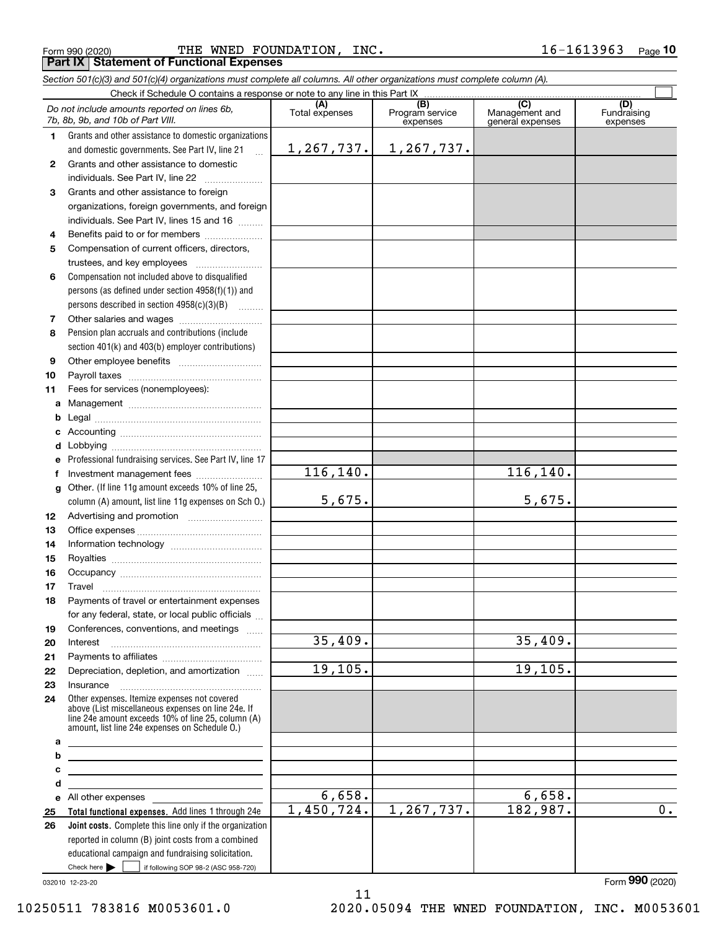|  | Form 990 (2020) |
|--|-----------------|
|  |                 |

Form 990 (2020) FOUNDATION , INC . 1 6-1 6 1 3 9 6 3 Page **Part IX Statement of Functional Expenses**

|              | Section 501(c)(3) and 501(c)(4) organizations must complete all columns. All other organizations must complete column (A).                                                                                 |                       |                                    |                                           |                                |
|--------------|------------------------------------------------------------------------------------------------------------------------------------------------------------------------------------------------------------|-----------------------|------------------------------------|-------------------------------------------|--------------------------------|
|              | Check if Schedule O contains a response or note to any line in this Part IX.                                                                                                                               |                       |                                    |                                           |                                |
|              | Do not include amounts reported on lines 6b,<br>7b, 8b, 9b, and 10b of Part VIII.                                                                                                                          | (A)<br>Total expenses | (B)<br>Program service<br>expenses | (C)<br>Management and<br>general expenses | (D)<br>Fundraising<br>expenses |
| 1.           | Grants and other assistance to domestic organizations                                                                                                                                                      |                       |                                    |                                           |                                |
|              | and domestic governments. See Part IV, line 21<br>$\ddotsc$                                                                                                                                                | 1,267,737.            | 1,267,737.                         |                                           |                                |
| $\mathbf{2}$ | Grants and other assistance to domestic                                                                                                                                                                    |                       |                                    |                                           |                                |
|              | individuals. See Part IV, line 22<br>.                                                                                                                                                                     |                       |                                    |                                           |                                |
| 3            | Grants and other assistance to foreign                                                                                                                                                                     |                       |                                    |                                           |                                |
|              | organizations, foreign governments, and foreign                                                                                                                                                            |                       |                                    |                                           |                                |
|              | individuals. See Part IV, lines 15 and 16                                                                                                                                                                  |                       |                                    |                                           |                                |
| 4            | Benefits paid to or for members                                                                                                                                                                            |                       |                                    |                                           |                                |
| 5            | Compensation of current officers, directors,                                                                                                                                                               |                       |                                    |                                           |                                |
|              |                                                                                                                                                                                                            |                       |                                    |                                           |                                |
| 6            | Compensation not included above to disqualified                                                                                                                                                            |                       |                                    |                                           |                                |
|              | persons (as defined under section 4958(f)(1)) and                                                                                                                                                          |                       |                                    |                                           |                                |
|              | persons described in section $4958(c)(3)(B)$                                                                                                                                                               |                       |                                    |                                           |                                |
| 7            |                                                                                                                                                                                                            |                       |                                    |                                           |                                |
| 8            | Pension plan accruals and contributions (include                                                                                                                                                           |                       |                                    |                                           |                                |
|              | section 401(k) and 403(b) employer contributions)                                                                                                                                                          |                       |                                    |                                           |                                |
| 9            |                                                                                                                                                                                                            |                       |                                    |                                           |                                |
| 10           |                                                                                                                                                                                                            |                       |                                    |                                           |                                |
| 11           | Fees for services (nonemployees):                                                                                                                                                                          |                       |                                    |                                           |                                |
| a            |                                                                                                                                                                                                            |                       |                                    |                                           |                                |
| b            |                                                                                                                                                                                                            |                       |                                    |                                           |                                |
| c            |                                                                                                                                                                                                            |                       |                                    |                                           |                                |
| d            |                                                                                                                                                                                                            |                       |                                    |                                           |                                |
| e            | Professional fundraising services. See Part IV, line 17                                                                                                                                                    |                       |                                    |                                           |                                |
| f            | Investment management fees                                                                                                                                                                                 | 116,140.              |                                    | 116, 140.                                 |                                |
| g            | Other. (If line 11g amount exceeds 10% of line 25,                                                                                                                                                         |                       |                                    |                                           |                                |
|              | column (A) amount, list line 11g expenses on Sch O.)                                                                                                                                                       | 5,675.                |                                    | 5,675.                                    |                                |
| 12           |                                                                                                                                                                                                            |                       |                                    |                                           |                                |
| 13           |                                                                                                                                                                                                            |                       |                                    |                                           |                                |
| 14           |                                                                                                                                                                                                            |                       |                                    |                                           |                                |
| 15           |                                                                                                                                                                                                            |                       |                                    |                                           |                                |
| 16           |                                                                                                                                                                                                            |                       |                                    |                                           |                                |
| 17           |                                                                                                                                                                                                            |                       |                                    |                                           |                                |
| 18           | Payments of travel or entertainment expenses                                                                                                                                                               |                       |                                    |                                           |                                |
|              | for any federal, state, or local public officials                                                                                                                                                          |                       |                                    |                                           |                                |
| 19           | Conferences, conventions, and meetings                                                                                                                                                                     |                       |                                    |                                           |                                |
| 20           | Interest                                                                                                                                                                                                   | 35,409.               |                                    | 35,409.                                   |                                |
| 21           |                                                                                                                                                                                                            |                       |                                    |                                           |                                |
| 22           | Depreciation, depletion, and amortization                                                                                                                                                                  | 19, 105.              |                                    | 19, 105.                                  |                                |
| 23           | Insurance                                                                                                                                                                                                  |                       |                                    |                                           |                                |
| 24           | Other expenses. Itemize expenses not covered<br>above (List miscellaneous expenses on line 24e. If<br>line 24e amount exceeds 10% of line 25, column (A)<br>amount, list line 24e expenses on Schedule O.) |                       |                                    |                                           |                                |
| а            |                                                                                                                                                                                                            |                       |                                    |                                           |                                |
| b            | <u> 1989 - Johann Barbara, martin amerikan basar dan berasal dalam basa dalam basar dalam basar dalam basar dala</u>                                                                                       |                       |                                    |                                           |                                |
| с<br>d       | <u> 1980 - Johann Barbara, martxa alemaniar amerikan a</u>                                                                                                                                                 |                       |                                    |                                           |                                |
|              | All other expenses and the state of the state of the state of the state of the state of the state of the state                                                                                             | 6,658.                |                                    | 6,658.                                    |                                |
| е<br>25      | Total functional expenses. Add lines 1 through 24e                                                                                                                                                         | 1,450,724.            | 1, 267, 737.                       | 182,987.                                  | 0.                             |
| 26           | Joint costs. Complete this line only if the organization                                                                                                                                                   |                       |                                    |                                           |                                |
|              | reported in column (B) joint costs from a combined                                                                                                                                                         |                       |                                    |                                           |                                |
|              | educational campaign and fundraising solicitation.                                                                                                                                                         |                       |                                    |                                           |                                |

032010 12-23-20

Check here

Check here  $\begin{array}{|c|c|c|c|c|}\hline \text{ } & \text{ if following SOP 98-2 (ASC 958-720)} \hline \end{array}$ 

Form (2020) **990**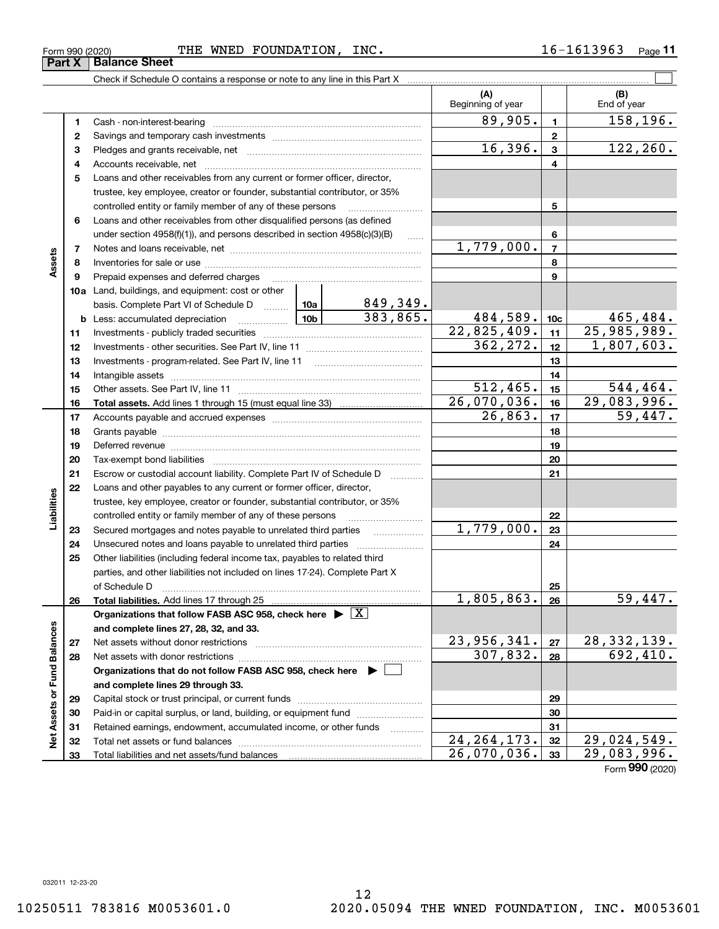Form (2020) **990**

Form 990 (2020) FOUNDATION , INC . 1 6-1 6 1 3 9 6 3 Page **Part X Balance Sheet**

Check if Schedule O contains a response or note to any line in this Part X ..........

**33**Total liabilities and net assets/fund balances

|                             |              |                                                                                                                                                                                                                                |            |                   | (A)<br>Beginning of year   |                          | (B)<br>End of year          |
|-----------------------------|--------------|--------------------------------------------------------------------------------------------------------------------------------------------------------------------------------------------------------------------------------|------------|-------------------|----------------------------|--------------------------|-----------------------------|
|                             | 1            | Cash - non-interest-bearing                                                                                                                                                                                                    |            |                   | 89,905.                    | 1                        | 158,196.                    |
|                             | $\mathbf{2}$ |                                                                                                                                                                                                                                |            |                   | $\mathbf{2}$               |                          |                             |
|                             | З            |                                                                                                                                                                                                                                | 16,396.    | 3                 | 122,260.                   |                          |                             |
|                             | 4            |                                                                                                                                                                                                                                |            |                   |                            | 4                        |                             |
|                             | 5            | Loans and other receivables from any current or former officer, director,                                                                                                                                                      |            |                   |                            |                          |                             |
|                             |              | trustee, key employee, creator or founder, substantial contributor, or 35%                                                                                                                                                     |            |                   |                            |                          |                             |
|                             |              | controlled entity or family member of any of these persons                                                                                                                                                                     |            |                   |                            | 5                        |                             |
|                             | 6            | Loans and other receivables from other disqualified persons (as defined                                                                                                                                                        |            |                   |                            |                          |                             |
|                             |              | under section $4958(f)(1)$ , and persons described in section $4958(c)(3)(B)$                                                                                                                                                  |            | 1.1.1.1.1         |                            | 6                        |                             |
|                             | 7            |                                                                                                                                                                                                                                |            |                   | 1,779,000.                 | $\overline{\phantom{a}}$ |                             |
| Assets                      | 8            |                                                                                                                                                                                                                                |            |                   |                            | 8                        |                             |
|                             | 9            | Prepaid expenses and deferred charges                                                                                                                                                                                          |            |                   |                            | 9                        |                             |
|                             |              | <b>10a</b> Land, buildings, and equipment: cost or other                                                                                                                                                                       |            |                   |                            |                          |                             |
|                             |              | basis. Complete Part VI of Schedule D  10a                                                                                                                                                                                     |            | $849,349$ .       |                            |                          |                             |
|                             |              |                                                                                                                                                                                                                                |            | 383,865.          | 484,589.                   | 10 <sub>c</sub>          | 465,484.                    |
|                             | 11           |                                                                                                                                                                                                                                |            |                   | 22,825,409.                | 11                       | 25,985,989.                 |
|                             | 12           |                                                                                                                                                                                                                                |            |                   | 362,272.                   | 12                       | 1,807,603.                  |
|                             | 13           |                                                                                                                                                                                                                                |            |                   |                            | 13                       |                             |
|                             | 14           |                                                                                                                                                                                                                                |            |                   |                            | 14                       |                             |
|                             | 15           |                                                                                                                                                                                                                                | 512, 465.  | 15                | 544,464.                   |                          |                             |
|                             | 16           |                                                                                                                                                                                                                                |            |                   | 26,070,036.                | 16                       | 29,083,996.                 |
|                             | 17           |                                                                                                                                                                                                                                |            | 26,863.           | 17                         | 59,447.                  |                             |
|                             | 18           |                                                                                                                                                                                                                                |            | 18                |                            |                          |                             |
|                             | 19           | Deferred revenue material contracts and a contract of the contract of the contract of the contract of the contract of the contract of the contract of the contract of the contract of the contract of the contract of the cont |            | 19                |                            |                          |                             |
|                             | 20           |                                                                                                                                                                                                                                |            | 20                |                            |                          |                             |
|                             | 21           | Escrow or custodial account liability. Complete Part IV of Schedule D                                                                                                                                                          |            | 1.1.1.1.1.1.1.1.1 |                            | 21                       |                             |
|                             | 22           | Loans and other payables to any current or former officer, director,                                                                                                                                                           |            |                   |                            |                          |                             |
| abilities                   |              | trustee, key employee, creator or founder, substantial contributor, or 35%                                                                                                                                                     |            |                   |                            |                          |                             |
|                             |              | controlled entity or family member of any of these persons                                                                                                                                                                     |            |                   | $\overline{1}$ , 779, 000. | 22                       |                             |
|                             | 23           |                                                                                                                                                                                                                                |            |                   |                            | 23                       |                             |
|                             | 24           |                                                                                                                                                                                                                                |            |                   |                            | 24                       |                             |
|                             | 25           | Other liabilities (including federal income tax, payables to related third<br>parties, and other liabilities not included on lines 17-24). Complete Part X                                                                     |            |                   |                            |                          |                             |
|                             |              | of Schedule D                                                                                                                                                                                                                  |            |                   |                            | 25                       |                             |
|                             | 26           |                                                                                                                                                                                                                                | 1,805,863. | 26                | 59,447.                    |                          |                             |
|                             |              | Organizations that follow FASB ASC 958, check here $\blacktriangleright \lfloor \underline{X} \rfloor$                                                                                                                         |            |                   |                            |                          |                             |
|                             |              | and complete lines 27, 28, 32, and 33.                                                                                                                                                                                         |            |                   |                            |                          |                             |
|                             | 27           | Net assets without donor restrictions                                                                                                                                                                                          |            | 23,956,341.       | 27                         | <u>28,332,139.</u>       |                             |
|                             | 28           | Net assets with donor restrictions                                                                                                                                                                                             | 307,832.   | 28                | 692,410.                   |                          |                             |
|                             |              | Organizations that do not follow FASB ASC 958, check here ▶ │                                                                                                                                                                  |            |                   |                            |                          |                             |
|                             |              | and complete lines 29 through 33.                                                                                                                                                                                              |            |                   |                            |                          |                             |
| Net Assets or Fund Balances | 29           |                                                                                                                                                                                                                                |            |                   |                            | 29                       |                             |
|                             | 30           | Paid-in or capital surplus, or land, building, or equipment fund                                                                                                                                                               |            |                   |                            | 30                       |                             |
|                             | 31           | Retained earnings, endowment, accumulated income, or other funds                                                                                                                                                               |            | 1.1.1.1.1.1.1.1.1 |                            | 31                       |                             |
|                             | 32           |                                                                                                                                                                                                                                |            |                   | 24, 264, 173.              | 32                       | $\overline{29}$ , 024, 549. |
|                             | 33           | Total liabilities and net assets/fund balances                                                                                                                                                                                 |            |                   | 26,070,036.                | 33                       | 29,083,996.                 |

**11**

 $\mathcal{L}^{\text{max}}$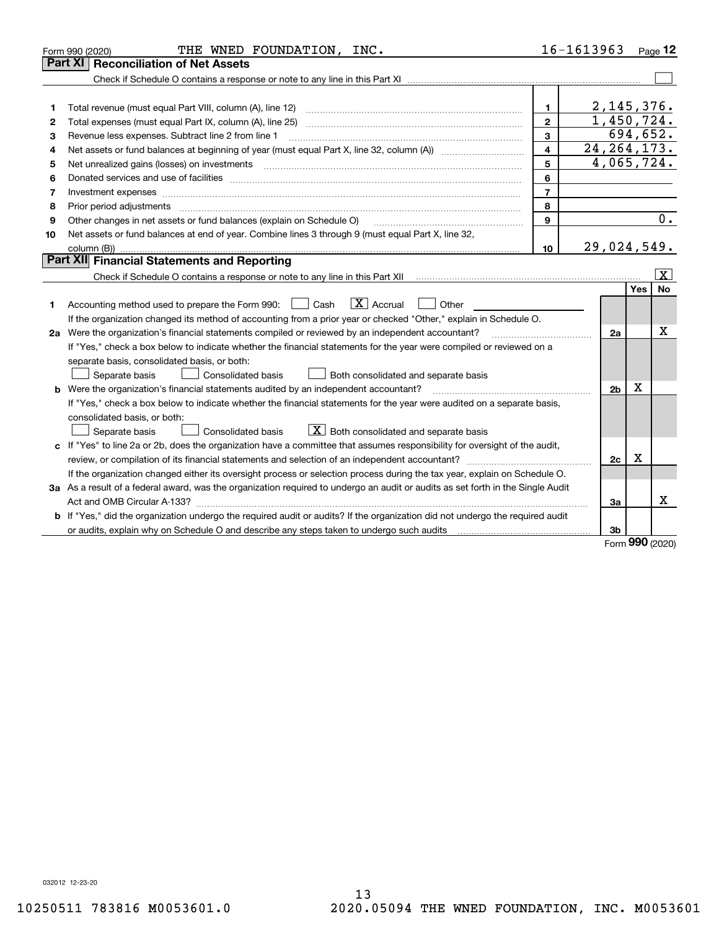|    | THE WNED FOUNDATION, INC.<br>Form 990 (2020)                                                                                                                                                                                   |                | 16-1613963     |          | $Page$ 12               |
|----|--------------------------------------------------------------------------------------------------------------------------------------------------------------------------------------------------------------------------------|----------------|----------------|----------|-------------------------|
|    | <b>Reconciliation of Net Assets</b><br>Part XII                                                                                                                                                                                |                |                |          |                         |
|    |                                                                                                                                                                                                                                |                |                |          |                         |
|    |                                                                                                                                                                                                                                |                |                |          |                         |
| 1  | Total revenue (must equal Part VIII, column (A), line 12)                                                                                                                                                                      | 1              | 2,145,376.     |          |                         |
| 2  | Total expenses (must equal Part IX, column (A), line 25)                                                                                                                                                                       | $\overline{2}$ | 1,450,724.     |          |                         |
| 3  | Revenue less expenses. Subtract line 2 from line 1                                                                                                                                                                             | 3              |                | 694,652. |                         |
| 4  |                                                                                                                                                                                                                                | 4              | 24, 264, 173.  |          |                         |
| 5  | Net unrealized gains (losses) on investments                                                                                                                                                                                   | 5              | 4,065,724.     |          |                         |
| 6  | Donated services and use of facilities [111] Donated and the service of facilities [11] Donated services and use of facilities [11] Donated and the service of the service of the service of the service of the service of the | 6              |                |          |                         |
| 7  | Investment expenses <b>construction and construction of the construction of the construction</b> of the construction of                                                                                                        | $\overline{7}$ |                |          |                         |
| 8  | Prior period adjustments www.communication.communication.communication.com/                                                                                                                                                    | 8              |                |          |                         |
| 9  | Other changes in net assets or fund balances (explain on Schedule O)                                                                                                                                                           | 9              |                |          | 0.                      |
| 10 | Net assets or fund balances at end of year. Combine lines 3 through 9 (must equal Part X, line 32,                                                                                                                             |                |                |          |                         |
|    |                                                                                                                                                                                                                                | 10             | 29,024,549.    |          |                         |
|    | Part XII Financial Statements and Reporting                                                                                                                                                                                    |                |                |          |                         |
|    |                                                                                                                                                                                                                                |                |                |          | $\overline{\mathbf{x}}$ |
|    |                                                                                                                                                                                                                                |                |                | Yes      | <b>No</b>               |
| 1  | $\boxed{\mathbf{X}}$ Accrual<br>Accounting method used to prepare the Form 990: <u>I</u> Cash<br>Other                                                                                                                         |                |                |          |                         |
|    | If the organization changed its method of accounting from a prior year or checked "Other," explain in Schedule O.                                                                                                              |                |                |          |                         |
|    | 2a Were the organization's financial statements compiled or reviewed by an independent accountant?                                                                                                                             |                | 2a             |          | х                       |
|    | If "Yes," check a box below to indicate whether the financial statements for the year were compiled or reviewed on a                                                                                                           |                |                |          |                         |
|    | separate basis, consolidated basis, or both:                                                                                                                                                                                   |                |                |          |                         |
|    | Both consolidated and separate basis<br>Separate basis<br><b>Consolidated basis</b>                                                                                                                                            |                |                |          |                         |
|    | <b>b</b> Were the organization's financial statements audited by an independent accountant?                                                                                                                                    |                | 2 <sub>b</sub> | х        |                         |
|    | If "Yes," check a box below to indicate whether the financial statements for the year were audited on a separate basis,                                                                                                        |                |                |          |                         |
|    | consolidated basis, or both:                                                                                                                                                                                                   |                |                |          |                         |
|    | $X$ Both consolidated and separate basis<br><b>Consolidated basis</b><br>Separate basis                                                                                                                                        |                |                |          |                         |
|    | c If "Yes" to line 2a or 2b, does the organization have a committee that assumes responsibility for oversight of the audit,                                                                                                    |                |                |          |                         |
|    | review, or compilation of its financial statements and selection of an independent accountant?                                                                                                                                 |                | 2c             | x        |                         |
|    | If the organization changed either its oversight process or selection process during the tax year, explain on Schedule O.                                                                                                      |                |                |          |                         |
|    | 3a As a result of a federal award, was the organization required to undergo an audit or audits as set forth in the Single Audit                                                                                                |                |                |          |                         |
|    |                                                                                                                                                                                                                                |                | За             |          | х                       |
|    | b If "Yes," did the organization undergo the required audit or audits? If the organization did not undergo the required audit                                                                                                  |                |                |          |                         |
|    |                                                                                                                                                                                                                                |                | 3b             | nnn      |                         |

Form (2020) **990**

032012 12-23-20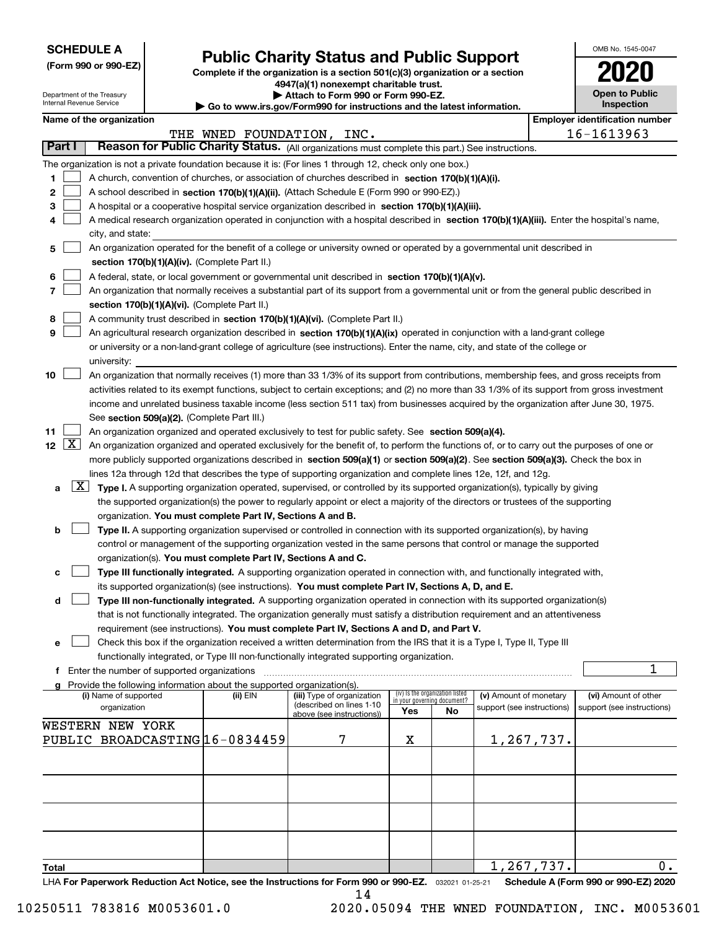| <b>SCHEDULE A</b> |
|-------------------|
|-------------------|

Department of the Treasury Internal Revenue Service

| (Form 990 or 990-EZ) |  |  |  |  |
|----------------------|--|--|--|--|
|----------------------|--|--|--|--|

# **Public Charity Status and Public Support**

**Complete if the organization is a section 501(c)(3) organization or a section 4947(a)(1) nonexempt charitable trust.**

| Attach to Form 990 or Form 990-EZ. |  |
|------------------------------------|--|
|------------------------------------|--|

**| Go to www.irs.gov/Form990 for instructions and the latest information.**

| OMB No. 1545-0047                   |
|-------------------------------------|
| 1120                                |
| <b>Open to Public</b><br>Inspection |

# **Name of the organization Employer identification number Employer identification number**

|                          |                                                                                                                                              | THE WNED FOUNDATION, INC. |                                                       |     |                                                                |                            |  | 16-1613963                           |  |
|--------------------------|----------------------------------------------------------------------------------------------------------------------------------------------|---------------------------|-------------------------------------------------------|-----|----------------------------------------------------------------|----------------------------|--|--------------------------------------|--|
| Part I                   | Reason for Public Charity Status. (All organizations must complete this part.) See instructions.                                             |                           |                                                       |     |                                                                |                            |  |                                      |  |
|                          | The organization is not a private foundation because it is: (For lines 1 through 12, check only one box.)                                    |                           |                                                       |     |                                                                |                            |  |                                      |  |
| 1.                       | A church, convention of churches, or association of churches described in section 170(b)(1)(A)(i).                                           |                           |                                                       |     |                                                                |                            |  |                                      |  |
| 2                        | A school described in section 170(b)(1)(A)(ii). (Attach Schedule E (Form 990 or 990-EZ).)                                                    |                           |                                                       |     |                                                                |                            |  |                                      |  |
| з                        | A hospital or a cooperative hospital service organization described in section 170(b)(1)(A)(iii).                                            |                           |                                                       |     |                                                                |                            |  |                                      |  |
| 4                        | A medical research organization operated in conjunction with a hospital described in section 170(b)(1)(A)(iii). Enter the hospital's name,   |                           |                                                       |     |                                                                |                            |  |                                      |  |
|                          | city, and state:                                                                                                                             |                           |                                                       |     |                                                                |                            |  |                                      |  |
| 5                        | An organization operated for the benefit of a college or university owned or operated by a governmental unit described in                    |                           |                                                       |     |                                                                |                            |  |                                      |  |
|                          | section 170(b)(1)(A)(iv). (Complete Part II.)                                                                                                |                           |                                                       |     |                                                                |                            |  |                                      |  |
| 6                        | A federal, state, or local government or governmental unit described in section 170(b)(1)(A)(v).                                             |                           |                                                       |     |                                                                |                            |  |                                      |  |
| 7                        | An organization that normally receives a substantial part of its support from a governmental unit or from the general public described in    |                           |                                                       |     |                                                                |                            |  |                                      |  |
|                          | section 170(b)(1)(A)(vi). (Complete Part II.)                                                                                                |                           |                                                       |     |                                                                |                            |  |                                      |  |
| 8                        | A community trust described in section 170(b)(1)(A)(vi). (Complete Part II.)                                                                 |                           |                                                       |     |                                                                |                            |  |                                      |  |
| 9                        | An agricultural research organization described in section 170(b)(1)(A)(ix) operated in conjunction with a land-grant college                |                           |                                                       |     |                                                                |                            |  |                                      |  |
|                          | or university or a non-land-grant college of agriculture (see instructions). Enter the name, city, and state of the college or               |                           |                                                       |     |                                                                |                            |  |                                      |  |
|                          | university:                                                                                                                                  |                           |                                                       |     |                                                                |                            |  |                                      |  |
| 10                       | An organization that normally receives (1) more than 33 1/3% of its support from contributions, membership fees, and gross receipts from     |                           |                                                       |     |                                                                |                            |  |                                      |  |
|                          | activities related to its exempt functions, subject to certain exceptions; and (2) no more than 33 1/3% of its support from gross investment |                           |                                                       |     |                                                                |                            |  |                                      |  |
|                          | income and unrelated business taxable income (less section 511 tax) from businesses acquired by the organization after June 30, 1975.        |                           |                                                       |     |                                                                |                            |  |                                      |  |
|                          | See section 509(a)(2). (Complete Part III.)                                                                                                  |                           |                                                       |     |                                                                |                            |  |                                      |  |
| 11                       | An organization organized and operated exclusively to test for public safety. See section 509(a)(4).                                         |                           |                                                       |     |                                                                |                            |  |                                      |  |
| 12 $\boxed{\text{X}}$    | An organization organized and operated exclusively for the benefit of, to perform the functions of, or to carry out the purposes of one or   |                           |                                                       |     |                                                                |                            |  |                                      |  |
|                          | more publicly supported organizations described in section 509(a)(1) or section 509(a)(2). See section 509(a)(3). Check the box in           |                           |                                                       |     |                                                                |                            |  |                                      |  |
|                          | lines 12a through 12d that describes the type of supporting organization and complete lines 12e, 12f, and 12g.                               |                           |                                                       |     |                                                                |                            |  |                                      |  |
| $\lfloor x \rfloor$<br>a | Type I. A supporting organization operated, supervised, or controlled by its supported organization(s), typically by giving                  |                           |                                                       |     |                                                                |                            |  |                                      |  |
|                          | the supported organization(s) the power to regularly appoint or elect a majority of the directors or trustees of the supporting              |                           |                                                       |     |                                                                |                            |  |                                      |  |
|                          | organization. You must complete Part IV, Sections A and B.                                                                                   |                           |                                                       |     |                                                                |                            |  |                                      |  |
| b                        | Type II. A supporting organization supervised or controlled in connection with its supported organization(s), by having                      |                           |                                                       |     |                                                                |                            |  |                                      |  |
|                          | control or management of the supporting organization vested in the same persons that control or manage the supported                         |                           |                                                       |     |                                                                |                            |  |                                      |  |
|                          | organization(s). You must complete Part IV, Sections A and C.                                                                                |                           |                                                       |     |                                                                |                            |  |                                      |  |
| c                        | Type III functionally integrated. A supporting organization operated in connection with, and functionally integrated with,                   |                           |                                                       |     |                                                                |                            |  |                                      |  |
|                          | its supported organization(s) (see instructions). You must complete Part IV, Sections A, D, and E.                                           |                           |                                                       |     |                                                                |                            |  |                                      |  |
| d                        | Type III non-functionally integrated. A supporting organization operated in connection with its supported organization(s)                    |                           |                                                       |     |                                                                |                            |  |                                      |  |
|                          | that is not functionally integrated. The organization generally must satisfy a distribution requirement and an attentiveness                 |                           |                                                       |     |                                                                |                            |  |                                      |  |
|                          | requirement (see instructions). You must complete Part IV, Sections A and D, and Part V.                                                     |                           |                                                       |     |                                                                |                            |  |                                      |  |
| е                        | Check this box if the organization received a written determination from the IRS that it is a Type I, Type II, Type III                      |                           |                                                       |     |                                                                |                            |  |                                      |  |
|                          | functionally integrated, or Type III non-functionally integrated supporting organization.                                                    |                           |                                                       |     |                                                                |                            |  |                                      |  |
|                          | f Enter the number of supported organizations                                                                                                |                           |                                                       |     |                                                                |                            |  | 1                                    |  |
|                          | g Provide the following information about the supported organization(s).                                                                     |                           |                                                       |     |                                                                |                            |  |                                      |  |
|                          | (i) Name of supported                                                                                                                        | (ii) EIN                  | (iii) Type of organization                            |     | (iv) Is the organization listed<br>in your governing document? | (v) Amount of monetary     |  | (vi) Amount of other                 |  |
|                          | organization                                                                                                                                 |                           | (described on lines 1-10<br>above (see instructions)) | Yes | No                                                             | support (see instructions) |  | support (see instructions)           |  |
|                          | WESTERN NEW YORK                                                                                                                             |                           |                                                       |     |                                                                |                            |  |                                      |  |
|                          | PUBLIC BROADCASTING 16-0834459                                                                                                               |                           | 7                                                     | х   |                                                                | 1,267,737.                 |  |                                      |  |
|                          |                                                                                                                                              |                           |                                                       |     |                                                                |                            |  |                                      |  |
|                          |                                                                                                                                              |                           |                                                       |     |                                                                |                            |  |                                      |  |
|                          |                                                                                                                                              |                           |                                                       |     |                                                                |                            |  |                                      |  |
|                          |                                                                                                                                              |                           |                                                       |     |                                                                |                            |  |                                      |  |
|                          |                                                                                                                                              |                           |                                                       |     |                                                                |                            |  |                                      |  |
|                          |                                                                                                                                              |                           |                                                       |     |                                                                |                            |  |                                      |  |
|                          |                                                                                                                                              |                           |                                                       |     |                                                                |                            |  |                                      |  |
|                          |                                                                                                                                              |                           |                                                       |     |                                                                |                            |  |                                      |  |
| Total                    |                                                                                                                                              |                           |                                                       |     |                                                                | 1,267,737.                 |  | 0.                                   |  |
|                          | LHA For Paperwork Reduction Act Notice, see the Instructions for Form 990 or 990-EZ. 032021 01-25-21                                         |                           |                                                       |     |                                                                |                            |  | Schedule A (Form 990 or 990-EZ) 2020 |  |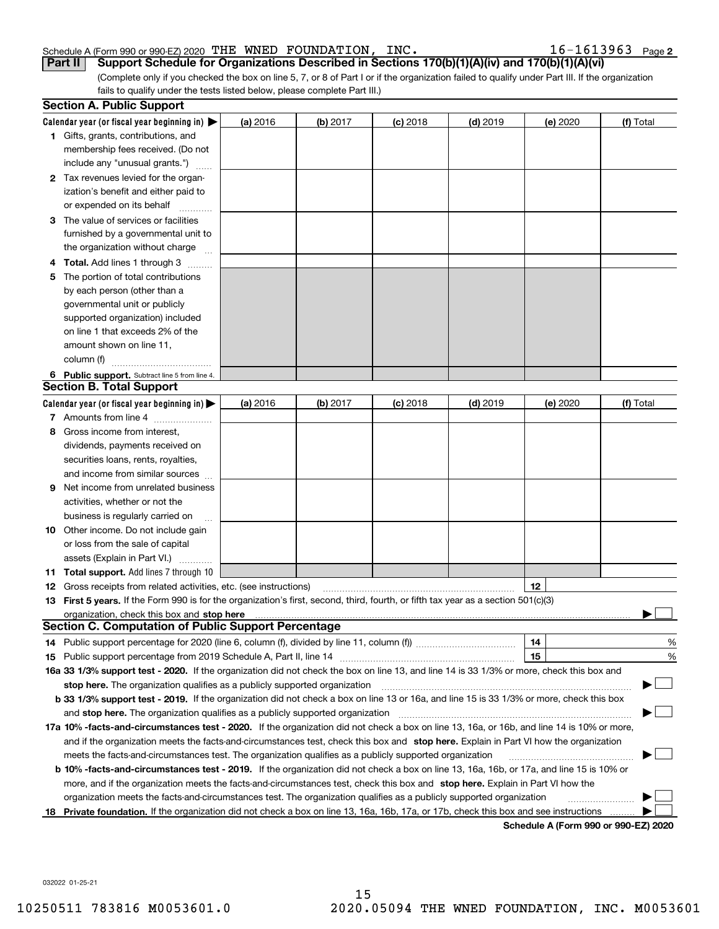#### Schedule A (Form 990 or 990-EZ) 2020 「THE WNED FOUNDATION,INC。 I b -I b I 3 9 b 3 Page THE WNED FOUNDATION, INC.  $16-1613963$

 $16 - 1613963$  Page 2

(Complete only if you checked the box on line 5, 7, or 8 of Part I or if the organization failed to qualify under Part III. If the organization fails to qualify under the tests listed below, please complete Part III.) **Part II Support Schedule for Organizations Described in Sections 170(b)(1)(A)(iv) and 170(b)(1)(A)(vi)**

|    | <b>Section A. Public Support</b>                                                                                                                                                                                               |          |          |            |            |                                      |           |
|----|--------------------------------------------------------------------------------------------------------------------------------------------------------------------------------------------------------------------------------|----------|----------|------------|------------|--------------------------------------|-----------|
|    | Calendar year (or fiscal year beginning in) $\blacktriangleright$                                                                                                                                                              | (a) 2016 | (b) 2017 | $(c)$ 2018 | $(d)$ 2019 | (e) 2020                             | (f) Total |
|    | 1 Gifts, grants, contributions, and                                                                                                                                                                                            |          |          |            |            |                                      |           |
|    | membership fees received. (Do not                                                                                                                                                                                              |          |          |            |            |                                      |           |
|    | include any "unusual grants.")                                                                                                                                                                                                 |          |          |            |            |                                      |           |
|    | 2 Tax revenues levied for the organ-                                                                                                                                                                                           |          |          |            |            |                                      |           |
|    | ization's benefit and either paid to                                                                                                                                                                                           |          |          |            |            |                                      |           |
|    | or expended on its behalf                                                                                                                                                                                                      |          |          |            |            |                                      |           |
|    | 3 The value of services or facilities                                                                                                                                                                                          |          |          |            |            |                                      |           |
|    | furnished by a governmental unit to                                                                                                                                                                                            |          |          |            |            |                                      |           |
|    | the organization without charge                                                                                                                                                                                                |          |          |            |            |                                      |           |
|    | 4 Total. Add lines 1 through 3<br>$\sim$                                                                                                                                                                                       |          |          |            |            |                                      |           |
| 5. | The portion of total contributions                                                                                                                                                                                             |          |          |            |            |                                      |           |
|    | by each person (other than a                                                                                                                                                                                                   |          |          |            |            |                                      |           |
|    | governmental unit or publicly                                                                                                                                                                                                  |          |          |            |            |                                      |           |
|    | supported organization) included                                                                                                                                                                                               |          |          |            |            |                                      |           |
|    | on line 1 that exceeds 2% of the                                                                                                                                                                                               |          |          |            |            |                                      |           |
|    | amount shown on line 11,                                                                                                                                                                                                       |          |          |            |            |                                      |           |
|    | column (f)                                                                                                                                                                                                                     |          |          |            |            |                                      |           |
|    | 6 Public support. Subtract line 5 from line 4.                                                                                                                                                                                 |          |          |            |            |                                      |           |
|    | <b>Section B. Total Support</b>                                                                                                                                                                                                |          |          |            |            |                                      |           |
|    | Calendar year (or fiscal year beginning in) $\blacktriangleright$                                                                                                                                                              | (a) 2016 | (b) 2017 | $(c)$ 2018 | $(d)$ 2019 | (e) 2020                             | (f) Total |
|    | 7 Amounts from line 4                                                                                                                                                                                                          |          |          |            |            |                                      |           |
| 8  | Gross income from interest,                                                                                                                                                                                                    |          |          |            |            |                                      |           |
|    | dividends, payments received on                                                                                                                                                                                                |          |          |            |            |                                      |           |
|    | securities loans, rents, royalties,                                                                                                                                                                                            |          |          |            |            |                                      |           |
|    | and income from similar sources                                                                                                                                                                                                |          |          |            |            |                                      |           |
|    | <b>9</b> Net income from unrelated business                                                                                                                                                                                    |          |          |            |            |                                      |           |
|    | activities, whether or not the                                                                                                                                                                                                 |          |          |            |            |                                      |           |
|    | business is regularly carried on                                                                                                                                                                                               |          |          |            |            |                                      |           |
|    | <b>10</b> Other income. Do not include gain                                                                                                                                                                                    |          |          |            |            |                                      |           |
|    | or loss from the sale of capital                                                                                                                                                                                               |          |          |            |            |                                      |           |
|    | assets (Explain in Part VI.)                                                                                                                                                                                                   |          |          |            |            |                                      |           |
|    | <b>11 Total support.</b> Add lines 7 through 10                                                                                                                                                                                |          |          |            |            |                                      |           |
|    | <b>12</b> Gross receipts from related activities, etc. (see instructions)                                                                                                                                                      |          |          |            |            | 12                                   |           |
|    | 13 First 5 years. If the Form 990 is for the organization's first, second, third, fourth, or fifth tax year as a section 501(c)(3)                                                                                             |          |          |            |            |                                      |           |
|    | organization, check this box and stop here manufactured and the content of the state of the content of the content of the content of the content of the content of the content of the content of the content of the content of |          |          |            |            |                                      |           |
|    | <b>Section C. Computation of Public Support Percentage</b>                                                                                                                                                                     |          |          |            |            |                                      |           |
|    | 14 Public support percentage for 2020 (line 6, column (f), divided by line 11, column (f) <i>mummumumum</i>                                                                                                                    |          |          |            |            | 14                                   | %         |
|    |                                                                                                                                                                                                                                |          |          |            |            | 15                                   | $\%$      |
|    | 16a 33 1/3% support test - 2020. If the organization did not check the box on line 13, and line 14 is 33 1/3% or more, check this box and                                                                                      |          |          |            |            |                                      |           |
|    | stop here. The organization qualifies as a publicly supported organization                                                                                                                                                     |          |          |            |            |                                      |           |
|    | b 33 1/3% support test - 2019. If the organization did not check a box on line 13 or 16a, and line 15 is 33 1/3% or more, check this box                                                                                       |          |          |            |            |                                      |           |
|    | and stop here. The organization qualifies as a publicly supported organization                                                                                                                                                 |          |          |            |            |                                      |           |
|    | 17a 10% -facts-and-circumstances test - 2020. If the organization did not check a box on line 13, 16a, or 16b, and line 14 is 10% or more,                                                                                     |          |          |            |            |                                      |           |
|    | and if the organization meets the facts-and-circumstances test, check this box and stop here. Explain in Part VI how the organization                                                                                          |          |          |            |            |                                      |           |
|    | meets the facts-and-circumstances test. The organization qualifies as a publicly supported organization                                                                                                                        |          |          |            |            |                                      |           |
|    | <b>b 10% -facts-and-circumstances test - 2019.</b> If the organization did not check a box on line 13, 16a, 16b, or 17a, and line 15 is 10% or                                                                                 |          |          |            |            |                                      |           |
|    | more, and if the organization meets the facts-and-circumstances test, check this box and stop here. Explain in Part VI how the                                                                                                 |          |          |            |            |                                      |           |
|    | organization meets the facts-and-circumstances test. The organization qualifies as a publicly supported organization                                                                                                           |          |          |            |            |                                      |           |
| 18 | Private foundation. If the organization did not check a box on line 13, 16a, 16b, 17a, or 17b, check this box and see instructions                                                                                             |          |          |            |            |                                      |           |
|    |                                                                                                                                                                                                                                |          |          |            |            | Schedule A (Form 990 or 990-F7) 2020 |           |

**Schedule A (Form 990 or 990-EZ) 2020**

032022 01-25-21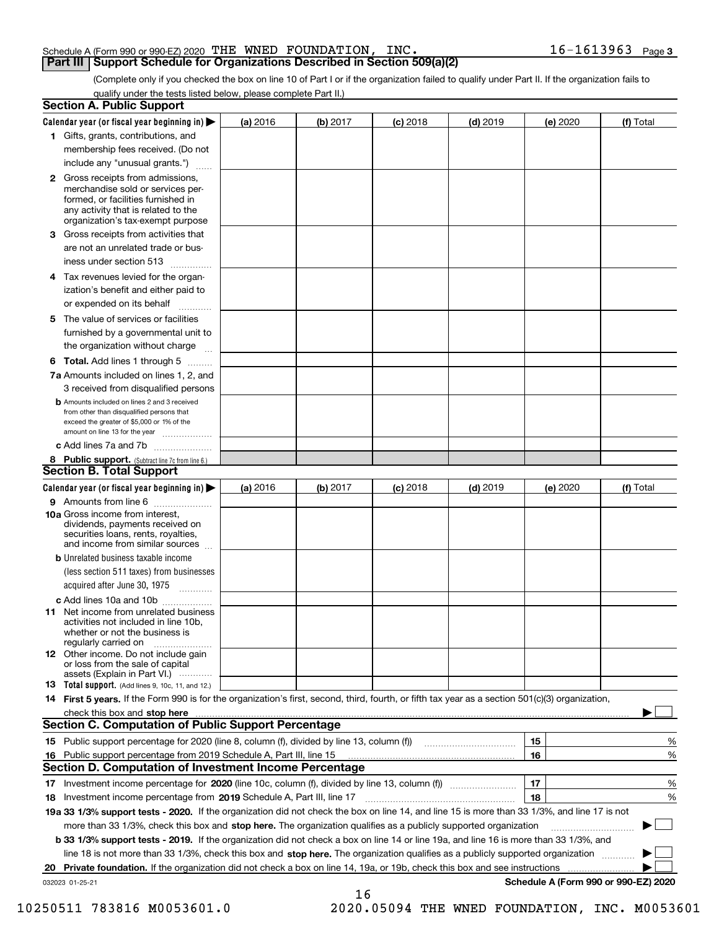### Schedule A (Form 990 or 990-EZ) 2020 Page THE WNED FOUNDATION, INC. 16-1613963 **Part III Support Schedule for Organizations Described in Section 509(a)(2)**

(Complete only if you checked the box on line 10 of Part I or if the organization failed to qualify under Part II. If the organization fails to qualify under the tests listed below, please complete Part II.)

|    | <b>Section A. Public Support</b>                                                                                                                                                                                                    |          |            |            |            |          |                                      |
|----|-------------------------------------------------------------------------------------------------------------------------------------------------------------------------------------------------------------------------------------|----------|------------|------------|------------|----------|--------------------------------------|
|    | Calendar year (or fiscal year beginning in) $\blacktriangleright$                                                                                                                                                                   | (a) 2016 | (b) $2017$ | $(c)$ 2018 | $(d)$ 2019 | (e) 2020 | (f) Total                            |
|    | 1 Gifts, grants, contributions, and                                                                                                                                                                                                 |          |            |            |            |          |                                      |
|    | membership fees received. (Do not                                                                                                                                                                                                   |          |            |            |            |          |                                      |
|    | include any "unusual grants.")                                                                                                                                                                                                      |          |            |            |            |          |                                      |
|    | <b>2</b> Gross receipts from admissions,<br>merchandise sold or services per-<br>formed, or facilities furnished in<br>any activity that is related to the<br>organization's tax-exempt purpose                                     |          |            |            |            |          |                                      |
|    | 3 Gross receipts from activities that<br>are not an unrelated trade or bus-                                                                                                                                                         |          |            |            |            |          |                                      |
|    | iness under section 513                                                                                                                                                                                                             |          |            |            |            |          |                                      |
|    | 4 Tax revenues levied for the organ-                                                                                                                                                                                                |          |            |            |            |          |                                      |
|    | ization's benefit and either paid to<br>or expended on its behalf                                                                                                                                                                   |          |            |            |            |          |                                      |
|    | 5 The value of services or facilities                                                                                                                                                                                               |          |            |            |            |          |                                      |
|    | furnished by a governmental unit to                                                                                                                                                                                                 |          |            |            |            |          |                                      |
|    | the organization without charge                                                                                                                                                                                                     |          |            |            |            |          |                                      |
|    | <b>6 Total.</b> Add lines 1 through 5                                                                                                                                                                                               |          |            |            |            |          |                                      |
|    | 7a Amounts included on lines 1, 2, and                                                                                                                                                                                              |          |            |            |            |          |                                      |
|    | 3 received from disqualified persons                                                                                                                                                                                                |          |            |            |            |          |                                      |
|    | <b>b</b> Amounts included on lines 2 and 3 received<br>from other than disqualified persons that<br>exceed the greater of \$5,000 or 1% of the<br>amount on line 13 for the year                                                    |          |            |            |            |          |                                      |
|    | c Add lines 7a and 7b                                                                                                                                                                                                               |          |            |            |            |          |                                      |
|    | 8 Public support. (Subtract line 7c from line 6.)                                                                                                                                                                                   |          |            |            |            |          |                                      |
|    | <b>Section B. Total Support</b>                                                                                                                                                                                                     |          |            |            |            |          |                                      |
|    | Calendar year (or fiscal year beginning in)                                                                                                                                                                                         | (a) 2016 | (b) 2017   | $(c)$ 2018 | $(d)$ 2019 | (e) 2020 | (f) Total                            |
|    | 9 Amounts from line 6                                                                                                                                                                                                               |          |            |            |            |          |                                      |
|    | 10a Gross income from interest,<br>dividends, payments received on<br>securities loans, rents, royalties,<br>and income from similar sources                                                                                        |          |            |            |            |          |                                      |
|    | <b>b</b> Unrelated business taxable income                                                                                                                                                                                          |          |            |            |            |          |                                      |
|    | (less section 511 taxes) from businesses                                                                                                                                                                                            |          |            |            |            |          |                                      |
|    | acquired after June 30, 1975                                                                                                                                                                                                        |          |            |            |            |          |                                      |
|    | c Add lines 10a and 10b                                                                                                                                                                                                             |          |            |            |            |          |                                      |
|    | 11 Net income from unrelated business<br>activities not included in line 10b.<br>whether or not the business is<br>regularly carried on                                                                                             |          |            |            |            |          |                                      |
|    | 12 Other income. Do not include gain<br>or loss from the sale of capital<br>assets (Explain in Part VI.)                                                                                                                            |          |            |            |            |          |                                      |
|    | <b>13</b> Total support. (Add lines 9, 10c, 11, and 12.)                                                                                                                                                                            |          |            |            |            |          |                                      |
|    | 14 First 5 years. If the Form 990 is for the organization's first, second, third, fourth, or fifth tax year as a section 501(c)(3) organization,                                                                                    |          |            |            |            |          |                                      |
|    | check this box and <b>stop here</b> measurement contracts and a structure of the state of the state of the state of the state of the state of the state of the state of the state of the state of the state of the state of the sta |          |            |            |            |          |                                      |
|    | Section C. Computation of Public Support Percentage                                                                                                                                                                                 |          |            |            |            |          |                                      |
|    | 15 Public support percentage for 2020 (line 8, column (f), divided by line 13, column (f))                                                                                                                                          |          |            |            |            | 15       | %                                    |
|    | 16 Public support percentage from 2019 Schedule A, Part III, line 15                                                                                                                                                                |          |            |            |            | 16       | %                                    |
|    | <b>Section D. Computation of Investment Income Percentage</b>                                                                                                                                                                       |          |            |            |            |          |                                      |
|    | 17 Investment income percentage for 2020 (line 10c, column (f), divided by line 13, column (f))                                                                                                                                     |          |            |            |            | 17       | %                                    |
|    | 18 Investment income percentage from 2019 Schedule A, Part III, line 17                                                                                                                                                             |          |            |            |            | 18       | %                                    |
|    | 19a 33 1/3% support tests - 2020. If the organization did not check the box on line 14, and line 15 is more than 33 1/3%, and line 17 is not                                                                                        |          |            |            |            |          |                                      |
|    | more than 33 1/3%, check this box and stop here. The organization qualifies as a publicly supported organization                                                                                                                    |          |            |            |            |          |                                      |
|    | <b>b 33 1/3% support tests - 2019.</b> If the organization did not check a box on line 14 or line 19a, and line 16 is more than 33 1/3%, and                                                                                        |          |            |            |            |          |                                      |
|    | line 18 is not more than 33 1/3%, check this box and stop here. The organization qualifies as a publicly supported organization                                                                                                     |          |            |            |            |          |                                      |
| 20 | <b>Private foundation.</b> If the organization did not check a box on line 14, 19a, or 19b, check this box and see instructions                                                                                                     |          |            |            |            |          |                                      |
|    | 032023 01-25-21                                                                                                                                                                                                                     |          | 16         |            |            |          | Schedule A (Form 990 or 990-EZ) 2020 |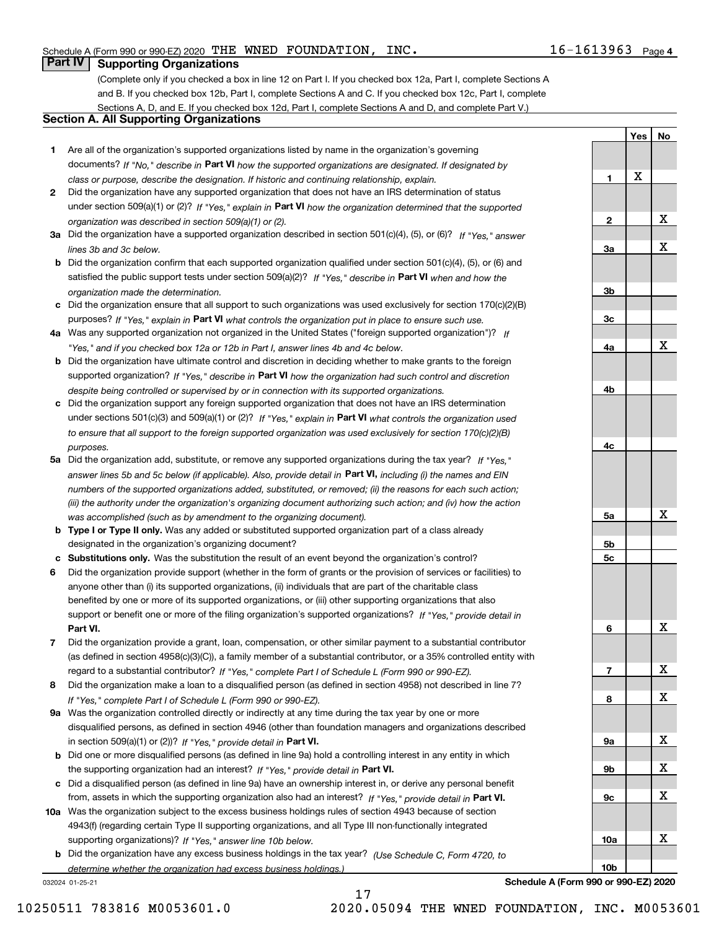**1**

**2**

**3a**

**3b**

**3c**

**4a**

**4b**

**4c**

**5a**

**5b5c**

**6**

**7**

**8**

**9a**

**9b**

**9c**

**10a**

**10b**

**YesNo**

X

X

X

X

X

X

X

X

X

X

X

X

# **Part IV Supporting Organizations**

(Complete only if you checked a box in line 12 on Part I. If you checked box 12a, Part I, complete Sections A and B. If you checked box 12b, Part I, complete Sections A and C. If you checked box 12c, Part I, complete Sections A, D, and E. If you checked box 12d, Part I, complete Sections A and D, and complete Part V.)

## **Section A. All Supporting Organizations**

- **1** Are all of the organization's supported organizations listed by name in the organization's governing documents? If "No," describe in **Part VI** how the supported organizations are designated. If designated by *class or purpose, describe the designation. If historic and continuing relationship, explain.*
- **2** Did the organization have any supported organization that does not have an IRS determination of status under section 509(a)(1) or (2)? If "Yes," explain in Part VI how the organization determined that the supported *organization was described in section 509(a)(1) or (2).*
- **3a** Did the organization have a supported organization described in section 501(c)(4), (5), or (6)? If "Yes," answer *lines 3b and 3c below.*
- **b** Did the organization confirm that each supported organization qualified under section 501(c)(4), (5), or (6) and satisfied the public support tests under section 509(a)(2)? If "Yes," describe in **Part VI** when and how the *organization made the determination.*
- **c**Did the organization ensure that all support to such organizations was used exclusively for section 170(c)(2)(B) purposes? If "Yes," explain in **Part VI** what controls the organization put in place to ensure such use.
- **4a***If* Was any supported organization not organized in the United States ("foreign supported organization")? *"Yes," and if you checked box 12a or 12b in Part I, answer lines 4b and 4c below.*
- **b** Did the organization have ultimate control and discretion in deciding whether to make grants to the foreign supported organization? If "Yes," describe in **Part VI** how the organization had such control and discretion *despite being controlled or supervised by or in connection with its supported organizations.*
- **c** Did the organization support any foreign supported organization that does not have an IRS determination under sections 501(c)(3) and 509(a)(1) or (2)? If "Yes," explain in **Part VI** what controls the organization used *to ensure that all support to the foreign supported organization was used exclusively for section 170(c)(2)(B) purposes.*
- **5a** Did the organization add, substitute, or remove any supported organizations during the tax year? If "Yes," answer lines 5b and 5c below (if applicable). Also, provide detail in **Part VI,** including (i) the names and EIN *numbers of the supported organizations added, substituted, or removed; (ii) the reasons for each such action; (iii) the authority under the organization's organizing document authorizing such action; and (iv) how the action was accomplished (such as by amendment to the organizing document).*
- **b** Type I or Type II only. Was any added or substituted supported organization part of a class already designated in the organization's organizing document?
- **cSubstitutions only.**  Was the substitution the result of an event beyond the organization's control?
- **6** Did the organization provide support (whether in the form of grants or the provision of services or facilities) to **Part VI.** *If "Yes," provide detail in* support or benefit one or more of the filing organization's supported organizations? anyone other than (i) its supported organizations, (ii) individuals that are part of the charitable class benefited by one or more of its supported organizations, or (iii) other supporting organizations that also
- **7**Did the organization provide a grant, loan, compensation, or other similar payment to a substantial contributor *If "Yes," complete Part I of Schedule L (Form 990 or 990-EZ).* regard to a substantial contributor? (as defined in section 4958(c)(3)(C)), a family member of a substantial contributor, or a 35% controlled entity with
- **8** Did the organization make a loan to a disqualified person (as defined in section 4958) not described in line 7? *If "Yes," complete Part I of Schedule L (Form 990 or 990-EZ).*
- **9a** Was the organization controlled directly or indirectly at any time during the tax year by one or more in section 509(a)(1) or (2))? If "Yes," *provide detail in* <code>Part VI.</code> disqualified persons, as defined in section 4946 (other than foundation managers and organizations described
- **b** Did one or more disqualified persons (as defined in line 9a) hold a controlling interest in any entity in which the supporting organization had an interest? If "Yes," provide detail in P**art VI**.
- **c**Did a disqualified person (as defined in line 9a) have an ownership interest in, or derive any personal benefit from, assets in which the supporting organization also had an interest? If "Yes," provide detail in P**art VI.**
- **10a** Was the organization subject to the excess business holdings rules of section 4943 because of section supporting organizations)? If "Yes," answer line 10b below. 4943(f) (regarding certain Type II supporting organizations, and all Type III non-functionally integrated
- **b** Did the organization have any excess business holdings in the tax year? (Use Schedule C, Form 4720, to *determine whether the organization had excess business holdings.)*

17

032024 01-25-21

**Schedule A (Form 990 or 990-EZ) 2020**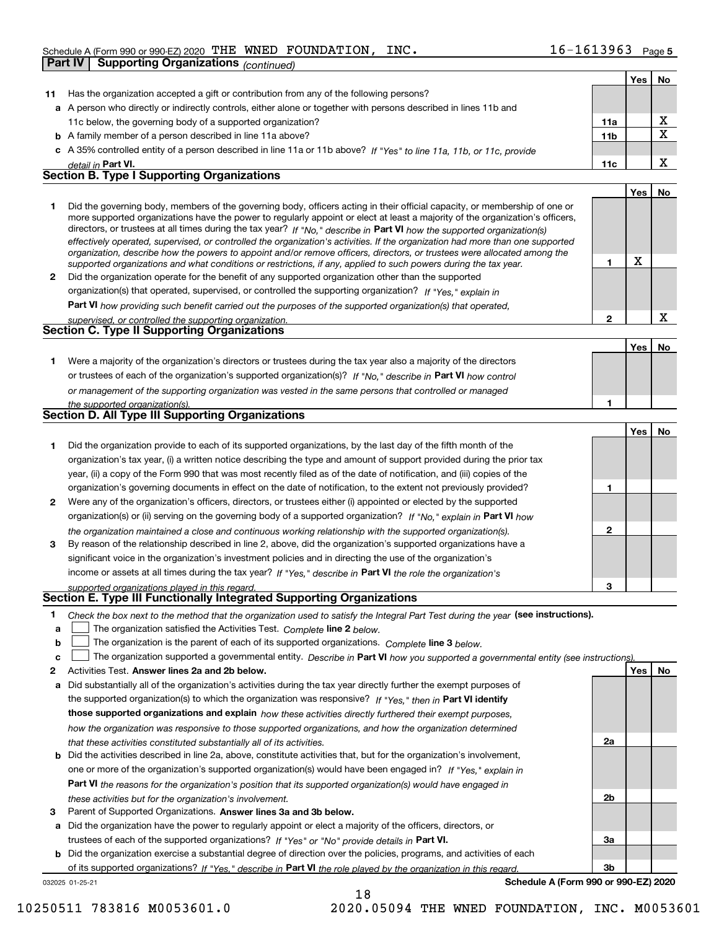|              | Part IV<br><b>Supporting Organizations (continued)</b>                                                                                                                                                                                                    |              |     |             |
|--------------|-----------------------------------------------------------------------------------------------------------------------------------------------------------------------------------------------------------------------------------------------------------|--------------|-----|-------------|
|              |                                                                                                                                                                                                                                                           |              | Yes | No          |
| 11           | Has the organization accepted a gift or contribution from any of the following persons?                                                                                                                                                                   |              |     |             |
|              | a A person who directly or indirectly controls, either alone or together with persons described in lines 11b and                                                                                                                                          |              |     |             |
|              | 11c below, the governing body of a supported organization?                                                                                                                                                                                                | 11a          |     | X           |
|              | <b>b</b> A family member of a person described in line 11a above?                                                                                                                                                                                         | 11b          |     | $\mathbf X$ |
|              | c A 35% controlled entity of a person described in line 11a or 11b above? If "Yes" to line 11a, 11b, or 11c, provide                                                                                                                                      |              |     |             |
|              | detail in Part VI.                                                                                                                                                                                                                                        | 11c          |     | X           |
|              | <b>Section B. Type I Supporting Organizations</b>                                                                                                                                                                                                         |              |     |             |
|              |                                                                                                                                                                                                                                                           |              | Yes | No          |
| 1            | Did the governing body, members of the governing body, officers acting in their official capacity, or membership of one or                                                                                                                                |              |     |             |
|              | more supported organizations have the power to regularly appoint or elect at least a majority of the organization's officers,                                                                                                                             |              |     |             |
|              | directors, or trustees at all times during the tax year? If "No," describe in Part VI how the supported organization(s)<br>effectively operated, supervised, or controlled the organization's activities. If the organization had more than one supported |              |     |             |
|              | organization, describe how the powers to appoint and/or remove officers, directors, or trustees were allocated among the                                                                                                                                  |              |     |             |
|              | supported organizations and what conditions or restrictions, if any, applied to such powers during the tax year.                                                                                                                                          | 1            | X   |             |
| $\mathbf{2}$ | Did the organization operate for the benefit of any supported organization other than the supported                                                                                                                                                       |              |     |             |
|              | organization(s) that operated, supervised, or controlled the supporting organization? If "Yes," explain in                                                                                                                                                |              |     |             |
|              | Part VI how providing such benefit carried out the purposes of the supported organization(s) that operated,                                                                                                                                               |              |     |             |
|              | supervised, or controlled the supporting organization.                                                                                                                                                                                                    | $\mathbf{2}$ |     | X           |
|              | <b>Section C. Type II Supporting Organizations</b>                                                                                                                                                                                                        |              |     |             |
|              |                                                                                                                                                                                                                                                           |              | Yes | No          |
| 1.           | Were a majority of the organization's directors or trustees during the tax year also a majority of the directors                                                                                                                                          |              |     |             |
|              | or trustees of each of the organization's supported organization(s)? If "No," describe in Part VI how control                                                                                                                                             |              |     |             |
|              | or management of the supporting organization was vested in the same persons that controlled or managed                                                                                                                                                    |              |     |             |
|              | the supported organization(s).<br>Section D. All Type III Supporting Organizations                                                                                                                                                                        | 1            |     |             |
|              |                                                                                                                                                                                                                                                           |              |     |             |
|              |                                                                                                                                                                                                                                                           |              | Yes | No          |
| 1            | Did the organization provide to each of its supported organizations, by the last day of the fifth month of the                                                                                                                                            |              |     |             |
|              | organization's tax year, (i) a written notice describing the type and amount of support provided during the prior tax                                                                                                                                     |              |     |             |
|              | year, (ii) a copy of the Form 990 that was most recently filed as of the date of notification, and (iii) copies of the                                                                                                                                    |              |     |             |
|              | organization's governing documents in effect on the date of notification, to the extent not previously provided?                                                                                                                                          | 1            |     |             |
| 2            | Were any of the organization's officers, directors, or trustees either (i) appointed or elected by the supported                                                                                                                                          |              |     |             |
|              | organization(s) or (ii) serving on the governing body of a supported organization? If "No," explain in Part VI how                                                                                                                                        |              |     |             |
|              | the organization maintained a close and continuous working relationship with the supported organization(s).                                                                                                                                               | 2            |     |             |
| 3            | By reason of the relationship described in line 2, above, did the organization's supported organizations have a                                                                                                                                           |              |     |             |
|              | significant voice in the organization's investment policies and in directing the use of the organization's                                                                                                                                                |              |     |             |
|              | income or assets at all times during the tax year? If "Yes," describe in Part VI the role the organization's                                                                                                                                              | 3            |     |             |
|              | supported organizations played in this regard.<br>Section E. Type III Functionally Integrated Supporting Organizations                                                                                                                                    |              |     |             |
| 1            | Check the box next to the method that the organization used to satisfy the Integral Part Test during the year (see instructions).                                                                                                                         |              |     |             |
| а            | The organization satisfied the Activities Test. Complete line 2 below.                                                                                                                                                                                    |              |     |             |
| b            | The organization is the parent of each of its supported organizations. Complete line 3 below.                                                                                                                                                             |              |     |             |
| c            | The organization supported a governmental entity. Describe in Part VI how you supported a governmental entity (see instructions)                                                                                                                          |              |     |             |
| 2            | Activities Test. Answer lines 2a and 2b below.                                                                                                                                                                                                            |              | Yes | No          |
| а            | Did substantially all of the organization's activities during the tax year directly further the exempt purposes of                                                                                                                                        |              |     |             |
|              | the supported organization(s) to which the organization was responsive? If "Yes," then in Part VI identify                                                                                                                                                |              |     |             |
|              | those supported organizations and explain how these activities directly furthered their exempt purposes,                                                                                                                                                  |              |     |             |
|              | how the organization was responsive to those supported organizations, and how the organization determined                                                                                                                                                 |              |     |             |
|              | that these activities constituted substantially all of its activities.                                                                                                                                                                                    | 2a           |     |             |
|              | Did the estimities described in line 20, above, constitute estimities that but for the examination's involvement                                                                                                                                          |              |     |             |

- **bPart VI**  *the reasons for the organization's position that its supported organization(s) would have engaged in* one or more of the organization's supported organization(s) would have been engaged in? If "Yes," e*xplain in these activities but for the organization's involvement.* Did the activities described in line 2a, above, constitute activities that, but for the organization's involvement,
- **3** Parent of Supported Organizations. Answer lines 3a and 3b below.

**a** Did the organization have the power to regularly appoint or elect a majority of the officers, directors, or trustees of each of the supported organizations? If "Yes" or "No" provide details in **Part VI.** 

032025 01-25-21 **b** Did the organization exercise a substantial degree of direction over the policies, programs, and activities of each of its supported organizations? If "Yes," describe in Part VI the role played by the organization in this regard.

**Schedule A (Form 990 or 990-EZ) 2020**

**2b**

**3a**

**3b**

18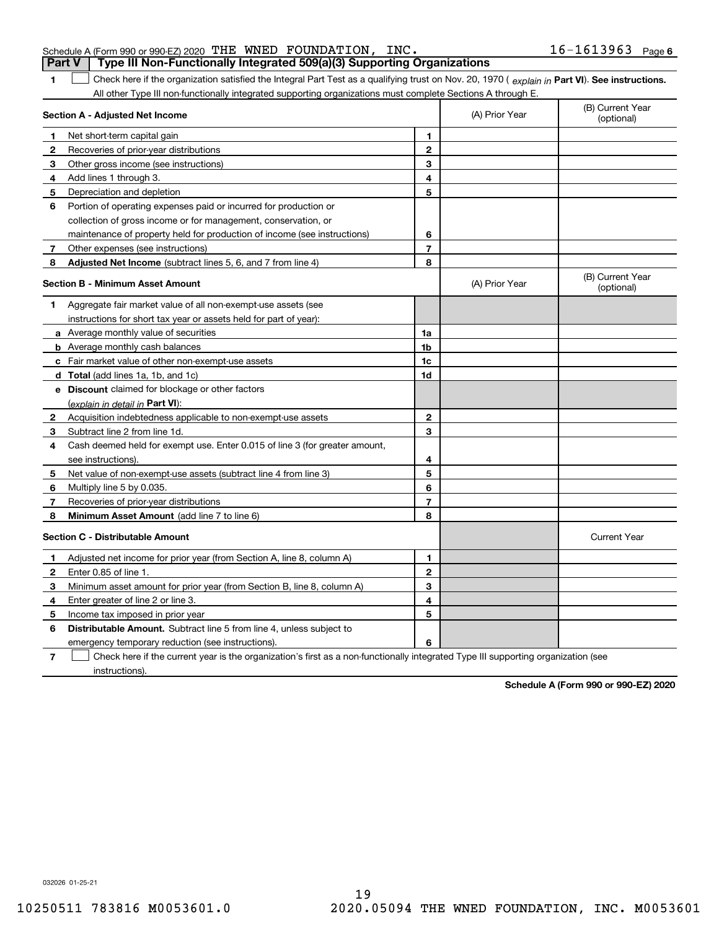## 1 Check here if the organization satisfied the Integral Part Test as a qualifying trust on Nov. 20, 1970 (explain in Part VI). See instructions. All other Type III non-functionally integrated supporting organizations must complete Sections A through E. **Part V Type III Non-Functionally Integrated 509(a)(3) Supporting Organizations**

|              | Section A - Adjusted Net Income                                             | (A) Prior Year | (B) Current Year<br>(optional) |                                |
|--------------|-----------------------------------------------------------------------------|----------------|--------------------------------|--------------------------------|
| 1            | Net short-term capital gain                                                 | 1              |                                |                                |
| $\mathbf{2}$ | Recoveries of prior-year distributions                                      | $\mathbf{2}$   |                                |                                |
| 3.           | Other gross income (see instructions)                                       | 3              |                                |                                |
| 4            | Add lines 1 through 3.                                                      | 4              |                                |                                |
| 5.           | Depreciation and depletion                                                  | 5              |                                |                                |
| 6            | Portion of operating expenses paid or incurred for production or            |                |                                |                                |
|              | collection of gross income or for management, conservation, or              |                |                                |                                |
|              | maintenance of property held for production of income (see instructions)    | 6              |                                |                                |
| 7            | Other expenses (see instructions)                                           | $\overline{7}$ |                                |                                |
| 8            | Adjusted Net Income (subtract lines 5, 6, and 7 from line 4)                | 8              |                                |                                |
|              | <b>Section B - Minimum Asset Amount</b>                                     |                | (A) Prior Year                 | (B) Current Year<br>(optional) |
| 1            | Aggregate fair market value of all non-exempt-use assets (see               |                |                                |                                |
|              | instructions for short tax year or assets held for part of year):           |                |                                |                                |
|              | <b>a</b> Average monthly value of securities                                | 1a             |                                |                                |
|              | <b>b</b> Average monthly cash balances                                      | 1b             |                                |                                |
|              | c Fair market value of other non-exempt-use assets                          | 1c             |                                |                                |
|              | d Total (add lines 1a, 1b, and 1c)                                          | 1 <sub>d</sub> |                                |                                |
|              | e Discount claimed for blockage or other factors                            |                |                                |                                |
|              | (explain in detail in Part VI):                                             |                |                                |                                |
| 2            | Acquisition indebtedness applicable to non-exempt-use assets                | $\mathbf{2}$   |                                |                                |
| 3            | Subtract line 2 from line 1d.                                               | 3              |                                |                                |
| 4            | Cash deemed held for exempt use. Enter 0.015 of line 3 (for greater amount, |                |                                |                                |
|              | see instructions).                                                          | 4              |                                |                                |
| 5.           | Net value of non-exempt-use assets (subtract line 4 from line 3)            | 5              |                                |                                |
| 6            | Multiply line 5 by 0.035.                                                   | 6              |                                |                                |
| 7            | Recoveries of prior-year distributions                                      | $\overline{7}$ |                                |                                |
| 8            | Minimum Asset Amount (add line 7 to line 6)                                 | 8              |                                |                                |
|              | <b>Section C - Distributable Amount</b>                                     |                |                                | <b>Current Year</b>            |
| 1            | Adjusted net income for prior year (from Section A, line 8, column A)       | 1              |                                |                                |
| $\mathbf{2}$ | Enter 0.85 of line 1.                                                       | $\mathbf{2}$   |                                |                                |
| 3            | Minimum asset amount for prior year (from Section B, line 8, column A)      | 3              |                                |                                |
| 4            | Enter greater of line 2 or line 3.                                          | 4              |                                |                                |
| 5            | Income tax imposed in prior year                                            | 5              |                                |                                |
| 6            | <b>Distributable Amount.</b> Subtract line 5 from line 4, unless subject to |                |                                |                                |
|              | emergency temporary reduction (see instructions).                           | 6              |                                |                                |
|              |                                                                             |                |                                |                                |

**7**Check here if the current year is the organization's first as a non-functionally integrated Type III supporting organization (see instructions).

**Schedule A (Form 990 or 990-EZ) 2020**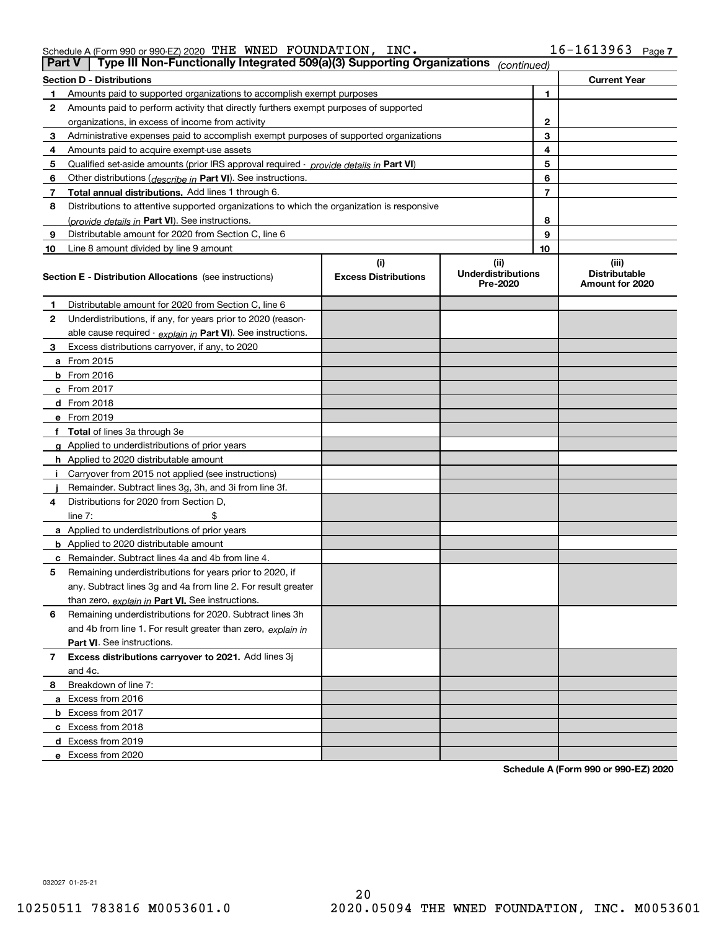| Schedule A (Form 990 or 990-EZ) 2020 $\,$ THE WNED FOUNDATION, |  | INC. | 16-1613963 | Page 7 |
|----------------------------------------------------------------|--|------|------------|--------|
|                                                                |  |      |            |        |

| <b>Part V</b> | Type III Non-Functionally Integrated 509(a)(3) Supporting Organizations                    |                             | (continued)                           |                                         |  |
|---------------|--------------------------------------------------------------------------------------------|-----------------------------|---------------------------------------|-----------------------------------------|--|
|               | <b>Section D - Distributions</b>                                                           |                             |                                       | <b>Current Year</b>                     |  |
| 1             | Amounts paid to supported organizations to accomplish exempt purposes                      |                             | 1                                     |                                         |  |
| 2             | Amounts paid to perform activity that directly furthers exempt purposes of supported       |                             |                                       |                                         |  |
|               | organizations, in excess of income from activity                                           |                             |                                       | 2                                       |  |
| 3             | Administrative expenses paid to accomplish exempt purposes of supported organizations      |                             |                                       | 3                                       |  |
| 4             | Amounts paid to acquire exempt-use assets                                                  |                             |                                       | 4                                       |  |
| 5             | Qualified set-aside amounts (prior IRS approval required - provide details in Part VI)     |                             |                                       | 5                                       |  |
| 6             | Other distributions (describe in Part VI). See instructions.                               |                             |                                       | 6                                       |  |
| 7             | Total annual distributions. Add lines 1 through 6.                                         |                             |                                       | 7                                       |  |
| 8             | Distributions to attentive supported organizations to which the organization is responsive |                             |                                       |                                         |  |
|               | (provide details in Part VI). See instructions.                                            |                             |                                       | 8                                       |  |
| 9             | Distributable amount for 2020 from Section C, line 6                                       |                             |                                       | 9                                       |  |
| 10            | Line 8 amount divided by line 9 amount                                                     |                             | 10                                    |                                         |  |
|               |                                                                                            | (i)                         | (ii)                                  | (iii)                                   |  |
|               | <b>Section E - Distribution Allocations</b> (see instructions)                             | <b>Excess Distributions</b> | <b>Underdistributions</b><br>Pre-2020 | <b>Distributable</b><br>Amount for 2020 |  |
| 1             | Distributable amount for 2020 from Section C, line 6                                       |                             |                                       |                                         |  |
| 2             | Underdistributions, if any, for years prior to 2020 (reason-                               |                             |                                       |                                         |  |
|               | able cause required - explain in Part VI). See instructions.                               |                             |                                       |                                         |  |
| 3             | Excess distributions carryover, if any, to 2020                                            |                             |                                       |                                         |  |
|               | <b>a</b> From 2015                                                                         |                             |                                       |                                         |  |
|               | <b>b</b> From 2016                                                                         |                             |                                       |                                         |  |
|               | c From 2017                                                                                |                             |                                       |                                         |  |
|               | <b>d</b> From 2018                                                                         |                             |                                       |                                         |  |
|               | e From 2019                                                                                |                             |                                       |                                         |  |
|               | f Total of lines 3a through 3e                                                             |                             |                                       |                                         |  |
|               | g Applied to underdistributions of prior years                                             |                             |                                       |                                         |  |
|               | <b>h</b> Applied to 2020 distributable amount                                              |                             |                                       |                                         |  |
|               | Carryover from 2015 not applied (see instructions)                                         |                             |                                       |                                         |  |
|               | Remainder. Subtract lines 3g, 3h, and 3i from line 3f.                                     |                             |                                       |                                         |  |
| 4             | Distributions for 2020 from Section D,                                                     |                             |                                       |                                         |  |
|               | line $7:$                                                                                  |                             |                                       |                                         |  |
|               | a Applied to underdistributions of prior years                                             |                             |                                       |                                         |  |
|               | <b>b</b> Applied to 2020 distributable amount                                              |                             |                                       |                                         |  |
|               | c Remainder. Subtract lines 4a and 4b from line 4.                                         |                             |                                       |                                         |  |
| 5             | Remaining underdistributions for years prior to 2020, if                                   |                             |                                       |                                         |  |
|               | any. Subtract lines 3g and 4a from line 2. For result greater                              |                             |                                       |                                         |  |
|               | than zero, explain in Part VI. See instructions.                                           |                             |                                       |                                         |  |
| 6             | Remaining underdistributions for 2020. Subtract lines 3h                                   |                             |                                       |                                         |  |
|               | and 4b from line 1. For result greater than zero, explain in                               |                             |                                       |                                         |  |
|               | Part VI. See instructions.                                                                 |                             |                                       |                                         |  |
| 7             | Excess distributions carryover to 2021. Add lines 3j                                       |                             |                                       |                                         |  |
|               | and 4c.                                                                                    |                             |                                       |                                         |  |
| 8             | Breakdown of line 7:                                                                       |                             |                                       |                                         |  |
|               | a Excess from 2016                                                                         |                             |                                       |                                         |  |
|               | <b>b</b> Excess from 2017                                                                  |                             |                                       |                                         |  |
|               | c Excess from 2018                                                                         |                             |                                       |                                         |  |
|               | d Excess from 2019                                                                         |                             |                                       |                                         |  |
|               | e Excess from 2020                                                                         |                             |                                       |                                         |  |

**Schedule A (Form 990 or 990-EZ) 2020**

032027 01-25-21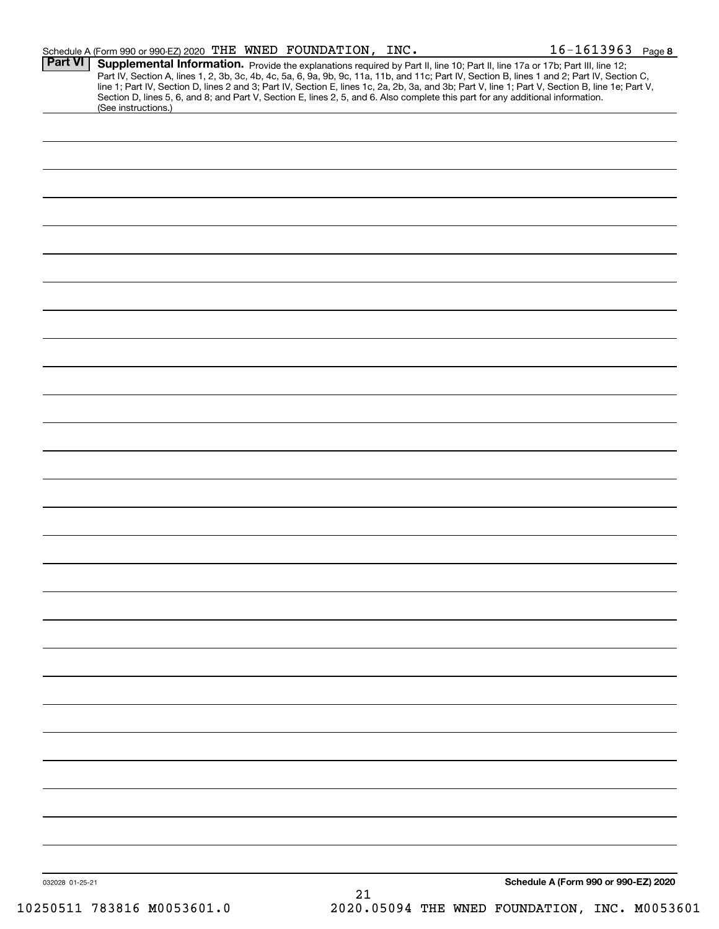|                 | Schedule A (Form 990 or 990-EZ) 2020 THE WNED FOUNDATION, INC.                                                                                         |    | $16 - 1613963$ Page 8                                                                                                                                                                                                                                                                                                                                                                                                             |  |
|-----------------|--------------------------------------------------------------------------------------------------------------------------------------------------------|----|-----------------------------------------------------------------------------------------------------------------------------------------------------------------------------------------------------------------------------------------------------------------------------------------------------------------------------------------------------------------------------------------------------------------------------------|--|
| <b>Part VI</b>  | Section D, lines 5, 6, and 8; and Part V, Section E, lines 2, 5, and 6. Also complete this part for any additional information.<br>(See instructions.) |    | Supplemental Information. Provide the explanations required by Part II, line 10; Part II, line 17a or 17b; Part III, line 12;<br>Part IV, Section A, lines 1, 2, 3b, 3c, 4b, 4c, 5a, 6, 9a, 9b, 9c, 11a, 11b, and 11c; Part IV, Section B, lines 1 and 2; Part IV, Section C,<br>line 1; Part IV, Section D, lines 2 and 3; Part IV, Section E, lines 1c, 2a, 2b, 3a, and 3b; Part V, line 1; Part V, Section B, line 1e; Part V, |  |
|                 |                                                                                                                                                        |    |                                                                                                                                                                                                                                                                                                                                                                                                                                   |  |
|                 |                                                                                                                                                        |    |                                                                                                                                                                                                                                                                                                                                                                                                                                   |  |
|                 |                                                                                                                                                        |    |                                                                                                                                                                                                                                                                                                                                                                                                                                   |  |
|                 |                                                                                                                                                        |    |                                                                                                                                                                                                                                                                                                                                                                                                                                   |  |
|                 |                                                                                                                                                        |    |                                                                                                                                                                                                                                                                                                                                                                                                                                   |  |
|                 |                                                                                                                                                        |    |                                                                                                                                                                                                                                                                                                                                                                                                                                   |  |
|                 |                                                                                                                                                        |    |                                                                                                                                                                                                                                                                                                                                                                                                                                   |  |
|                 |                                                                                                                                                        |    |                                                                                                                                                                                                                                                                                                                                                                                                                                   |  |
|                 |                                                                                                                                                        |    |                                                                                                                                                                                                                                                                                                                                                                                                                                   |  |
|                 |                                                                                                                                                        |    |                                                                                                                                                                                                                                                                                                                                                                                                                                   |  |
|                 |                                                                                                                                                        |    |                                                                                                                                                                                                                                                                                                                                                                                                                                   |  |
|                 |                                                                                                                                                        |    |                                                                                                                                                                                                                                                                                                                                                                                                                                   |  |
|                 |                                                                                                                                                        |    |                                                                                                                                                                                                                                                                                                                                                                                                                                   |  |
|                 |                                                                                                                                                        |    |                                                                                                                                                                                                                                                                                                                                                                                                                                   |  |
|                 |                                                                                                                                                        |    |                                                                                                                                                                                                                                                                                                                                                                                                                                   |  |
|                 |                                                                                                                                                        |    |                                                                                                                                                                                                                                                                                                                                                                                                                                   |  |
|                 |                                                                                                                                                        |    |                                                                                                                                                                                                                                                                                                                                                                                                                                   |  |
|                 |                                                                                                                                                        |    |                                                                                                                                                                                                                                                                                                                                                                                                                                   |  |
|                 |                                                                                                                                                        |    |                                                                                                                                                                                                                                                                                                                                                                                                                                   |  |
|                 |                                                                                                                                                        |    |                                                                                                                                                                                                                                                                                                                                                                                                                                   |  |
|                 |                                                                                                                                                        |    |                                                                                                                                                                                                                                                                                                                                                                                                                                   |  |
|                 |                                                                                                                                                        |    |                                                                                                                                                                                                                                                                                                                                                                                                                                   |  |
|                 |                                                                                                                                                        |    |                                                                                                                                                                                                                                                                                                                                                                                                                                   |  |
|                 |                                                                                                                                                        |    |                                                                                                                                                                                                                                                                                                                                                                                                                                   |  |
|                 |                                                                                                                                                        |    |                                                                                                                                                                                                                                                                                                                                                                                                                                   |  |
|                 |                                                                                                                                                        |    |                                                                                                                                                                                                                                                                                                                                                                                                                                   |  |
|                 |                                                                                                                                                        |    |                                                                                                                                                                                                                                                                                                                                                                                                                                   |  |
|                 |                                                                                                                                                        |    |                                                                                                                                                                                                                                                                                                                                                                                                                                   |  |
|                 |                                                                                                                                                        |    |                                                                                                                                                                                                                                                                                                                                                                                                                                   |  |
|                 |                                                                                                                                                        |    |                                                                                                                                                                                                                                                                                                                                                                                                                                   |  |
|                 |                                                                                                                                                        |    |                                                                                                                                                                                                                                                                                                                                                                                                                                   |  |
|                 |                                                                                                                                                        |    |                                                                                                                                                                                                                                                                                                                                                                                                                                   |  |
|                 |                                                                                                                                                        |    |                                                                                                                                                                                                                                                                                                                                                                                                                                   |  |
|                 |                                                                                                                                                        |    |                                                                                                                                                                                                                                                                                                                                                                                                                                   |  |
|                 |                                                                                                                                                        |    |                                                                                                                                                                                                                                                                                                                                                                                                                                   |  |
| 032028 01-25-21 |                                                                                                                                                        | 21 | Schedule A (Form 990 or 990-EZ) 2020                                                                                                                                                                                                                                                                                                                                                                                              |  |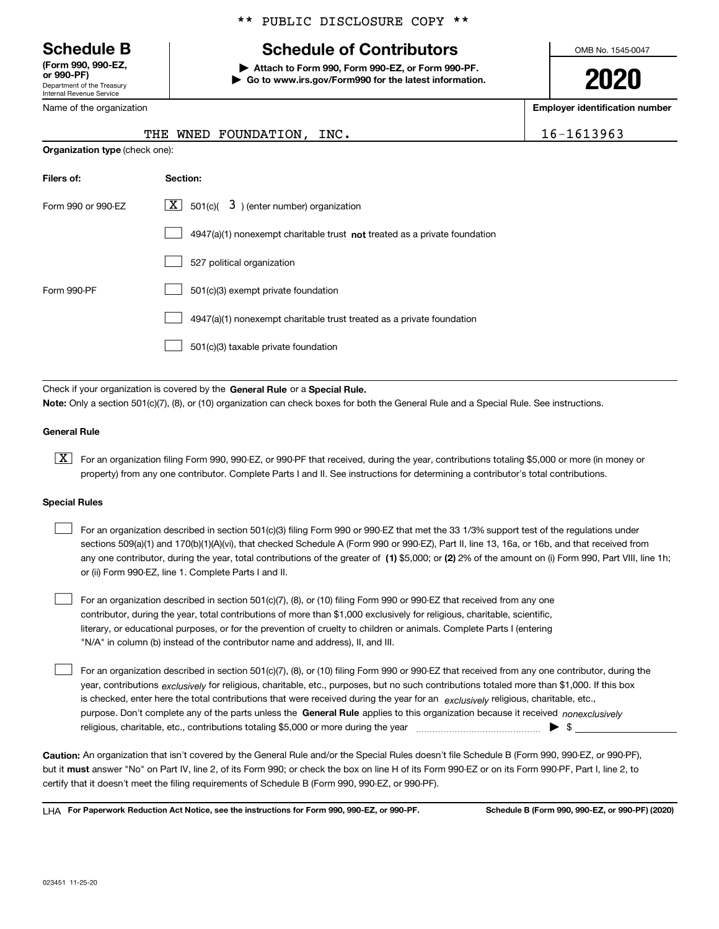Department of the Treasury Internal Revenue Service **(Form 990, 990-EZ, or 990-PF)**

Name of the organization

**Organization type** (check one):

### \*\* PUBLIC DISCLOSURE COPY \*\*

# **Schedule B Schedule of Contributors**

**| Attach to Form 990, Form 990-EZ, or Form 990-PF. | Go to www.irs.gov/Form990 for the latest information.** OMB No. 1545-0047

**2020**

**Employer identification number**

|  | $6 - 1613963$ |  |  |  |  |
|--|---------------|--|--|--|--|
|  |               |  |  |  |  |

| INC.<br>THE WNED FOUNDATION, |  |  | 16-1613963 |
|------------------------------|--|--|------------|
|------------------------------|--|--|------------|

| Filers of:         | Section:                                                                           |
|--------------------|------------------------------------------------------------------------------------|
| Form 990 or 990-EZ | $\lfloor x \rfloor$ 501(c)( 3) (enter number) organization                         |
|                    | $4947(a)(1)$ nonexempt charitable trust <b>not</b> treated as a private foundation |
|                    | 527 political organization                                                         |
| Form 990-PF        | 501(c)(3) exempt private foundation                                                |
|                    | 4947(a)(1) nonexempt charitable trust treated as a private foundation              |
|                    | 501(c)(3) taxable private foundation                                               |

Check if your organization is covered by the **General Rule** or a **Special Rule. Note:**  Only a section 501(c)(7), (8), or (10) organization can check boxes for both the General Rule and a Special Rule. See instructions.

### **General Rule**

 $\boxed{\textbf{X}}$  For an organization filing Form 990, 990-EZ, or 990-PF that received, during the year, contributions totaling \$5,000 or more (in money or property) from any one contributor. Complete Parts I and II. See instructions for determining a contributor's total contributions.

### **Special Rules**

| For an organization described in section 501(c)(3) filing Form 990 or 990-EZ that met the 33 1/3% support test of the regulations under               |
|-------------------------------------------------------------------------------------------------------------------------------------------------------|
| sections 509(a)(1) and 170(b)(1)(A)(vi), that checked Schedule A (Form 990 or 990-EZ), Part II, line 13, 16a, or 16b, and that received from          |
| any one contributor, during the year, total contributions of the greater of (1) \$5,000; or (2) 2% of the amount on (i) Form 990, Part VIII, line 1h; |
| or (ii) Form 990-EZ, line 1. Complete Parts I and II.                                                                                                 |

For an organization described in section 501(c)(7), (8), or (10) filing Form 990 or 990-EZ that received from any one contributor, during the year, total contributions of more than \$1,000 exclusively for religious, charitable, scientific, literary, or educational purposes, or for the prevention of cruelty to children or animals. Complete Parts I (entering "N/A" in column (b) instead of the contributor name and address), II, and III.  $\mathcal{L}^{\text{max}}$ 

purpose. Don't complete any of the parts unless the **General Rule** applies to this organization because it received *nonexclusively* year, contributions <sub>exclusively</sub> for religious, charitable, etc., purposes, but no such contributions totaled more than \$1,000. If this box is checked, enter here the total contributions that were received during the year for an  $\;$ exclusively religious, charitable, etc., For an organization described in section 501(c)(7), (8), or (10) filing Form 990 or 990-EZ that received from any one contributor, during the religious, charitable, etc., contributions totaling \$5,000 or more during the year  $\Box$ — $\Box$   $\Box$  $\mathcal{L}^{\text{max}}$ 

**Caution:**  An organization that isn't covered by the General Rule and/or the Special Rules doesn't file Schedule B (Form 990, 990-EZ, or 990-PF),  **must** but it answer "No" on Part IV, line 2, of its Form 990; or check the box on line H of its Form 990-EZ or on its Form 990-PF, Part I, line 2, to certify that it doesn't meet the filing requirements of Schedule B (Form 990, 990-EZ, or 990-PF).

**For Paperwork Reduction Act Notice, see the instructions for Form 990, 990-EZ, or 990-PF. Schedule B (Form 990, 990-EZ, or 990-PF) (2020)** LHA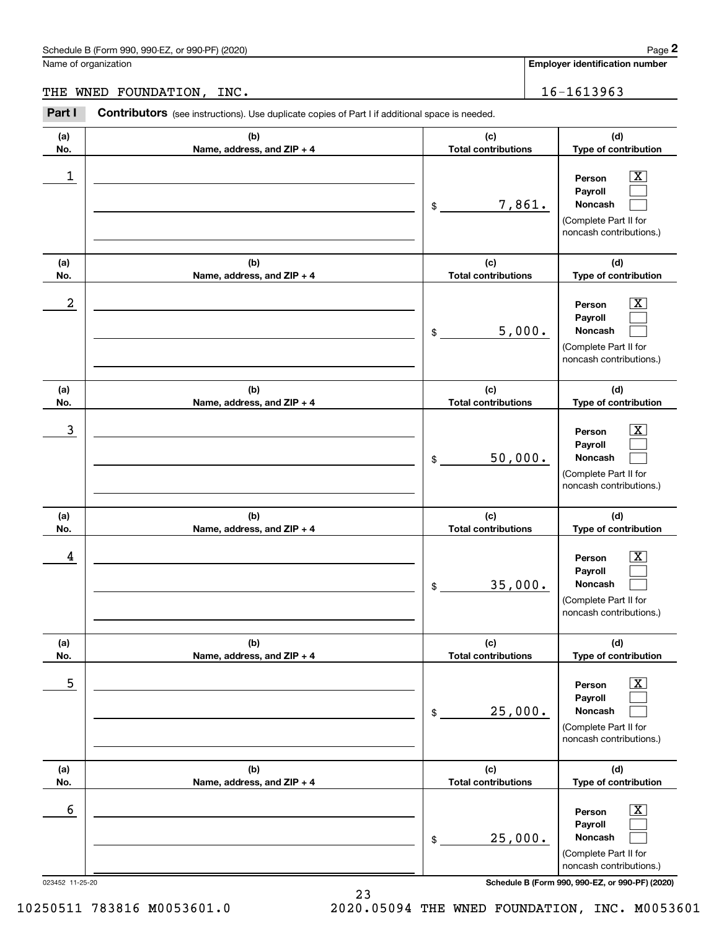**Employer identification number**

THE WNED FOUNDATION, INC. 16-1613963

023452 11-25-20 **Schedule B (Form 990, 990-EZ, or 990-PF) (2020) (a)No.(b)Name, address, and ZIP + 4 (c)Total contributions (d)Type of contribution PersonPayrollNoncash (a)No.(b)Name, address, and ZIP + 4 (c)Total contributions (d)Type of contribution PersonPayrollNoncash (a)No.(b)Name, address, and ZIP + 4 (c)Total contributions (d)Type of contribution PersonPayrollNoncash (a) No.(b) Name, address, and ZIP + 4 (c) Total contributions (d) Type of contribution PersonPayrollNoncash (a) No.(b) Name, address, and ZIP + 4 (c) Total contributions (d) Type of contribution PersonPayrollNoncash (a) No.(b)Name, address, and ZIP + 4 (c) Total contributions (d)Type of contribution PersonPayrollNoncash Contributors** (see instructions). Use duplicate copies of Part I if additional space is needed. \$(Complete Part II for noncash contributions.) \$(Complete Part II for noncash contributions.) \$(Complete Part II for noncash contributions.) \$(Complete Part II for noncash contributions.) \$(Complete Part II for noncash contributions.) \$(Complete Part II for noncash contributions.) Chedule B (Form 990, 990-EZ, or 990-PF) (2020)<br> **2Part I 2Part I Contributors** (see instructions). Use duplicate copies of Part I if additional space is needed.<br>
2Part I **Contributors** (see instructions). Use duplicate  $|X|$  $\mathcal{L}^{\text{max}}$  $\mathcal{L}^{\text{max}}$  $\boxed{\text{X}}$  $\mathcal{L}^{\text{max}}$  $\mathcal{L}^{\text{max}}$  $|X|$  $\mathcal{L}^{\text{max}}$  $\mathcal{L}^{\text{max}}$  $\boxed{\text{X}}$  $\mathcal{L}^{\text{max}}$  $\mathcal{L}^{\text{max}}$  $\boxed{\text{X}}$  $\mathcal{L}^{\text{max}}$  $\mathcal{L}^{\text{max}}$  $\boxed{\text{X}}$  $\mathcal{L}^{\text{max}}$  $\mathcal{L}^{\text{max}}$  $\begin{array}{c|c|c|c|c|c} 1 & \hspace{1.5cm} & \hspace{1.5cm} & \hspace{1.5cm} & \hspace{1.5cm} & \hspace{1.5cm} & \hspace{1.5cm} & \hspace{1.5cm} & \hspace{1.5cm} & \hspace{1.5cm} & \hspace{1.5cm} & \hspace{1.5cm} & \hspace{1.5cm} & \hspace{1.5cm} & \hspace{1.5cm} & \hspace{1.5cm} & \hspace{1.5cm} & \hspace{1.5cm} & \hspace{1.5cm} & \hspace{1.5cm} & \hspace{1.5cm} &$ 7,861.  $2$  | Person  $\overline{\text{X}}$ 5,000.  $\overline{3}$  | Person  $\overline{X}$ 50,000.  $4$  | Person  $\overline{\text{X}}$ 35,000.  $\sim$  5 | Person X 25,000.  $\sim$  6 | Person X 25,000.

10250511 783816 M0053601.0 2020.05094 THE WNED FOUNDATION, INC. M0053601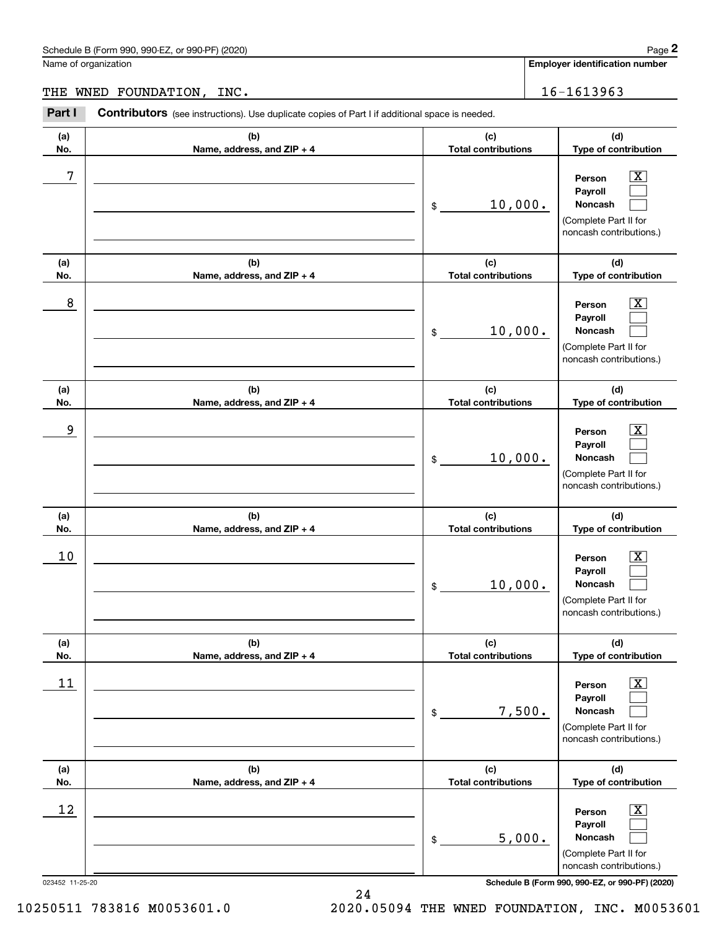|                 | Schedule B (Form 990, 990-EZ, or 990-PF) (2020)                                                       |                                   | Page 2                                                                                                      |
|-----------------|-------------------------------------------------------------------------------------------------------|-----------------------------------|-------------------------------------------------------------------------------------------------------------|
|                 | Name of organization                                                                                  |                                   | <b>Employer identification number</b>                                                                       |
| THE             | WNED FOUNDATION, INC.                                                                                 |                                   | 16-1613963                                                                                                  |
| Part I          | <b>Contributors</b> (see instructions). Use duplicate copies of Part I if additional space is needed. |                                   |                                                                                                             |
| (a)<br>No.      | (b)<br>Name, address, and ZIP + 4                                                                     | (c)<br><b>Total contributions</b> | (d)<br>Type of contribution                                                                                 |
| 7               |                                                                                                       | 10,000.<br>\$                     | $\overline{\mathbf{X}}$<br>Person<br>Payroll<br>Noncash<br>(Complete Part II for<br>noncash contributions.) |
| (a)<br>No.      | (b)<br>Name, address, and ZIP + 4                                                                     | (c)<br><b>Total contributions</b> | (d)<br>Type of contribution                                                                                 |
| 8               |                                                                                                       | 10,000.<br>\$                     | $\overline{\mathbf{X}}$<br>Person<br>Payroll<br>Noncash<br>(Complete Part II for<br>noncash contributions.) |
| (a)<br>No.      | (b)<br>Name, address, and ZIP + 4                                                                     | (c)<br><b>Total contributions</b> | (d)<br>Type of contribution                                                                                 |
| 9               |                                                                                                       | 10,000.<br>\$                     | X<br>Person<br>Payroll<br>Noncash<br>(Complete Part II for<br>noncash contributions.)                       |
| (a)<br>No.      | (b)<br>Name, address, and ZIP + 4                                                                     | (c)<br><b>Total contributions</b> | (d)<br>Type of contribution                                                                                 |
| 10              |                                                                                                       | 10,000.<br>\$                     | $\overline{\mathbf{X}}$<br>Person<br>Payroll<br>Noncash<br>(Complete Part II for<br>noncash contributions.) |
| (a)<br>No.      | (b)<br>Name, address, and ZIP + 4                                                                     | (c)<br><b>Total contributions</b> | (d)<br>Type of contribution                                                                                 |
| 11              |                                                                                                       | 7,500.<br>\$                      | $\overline{\text{X}}$<br>Person<br>Payroll<br>Noncash<br>(Complete Part II for<br>noncash contributions.)   |
| (a)<br>No.      | (b)<br>Name, address, and ZIP + 4                                                                     | (c)<br><b>Total contributions</b> | (d)<br>Type of contribution                                                                                 |
| 12              |                                                                                                       | 5,000.<br>\$                      | $\overline{\text{X}}$<br>Person<br>Payroll<br>Noncash<br>(Complete Part II for<br>noncash contributions.)   |
| 023452 11-25-20 |                                                                                                       |                                   | Schedule B (Form 990, 990-EZ, or 990-PF) (2020)                                                             |

10250511 783816 M0053601.0 2020.05094 THE WNED FOUNDATION, INC. M0053601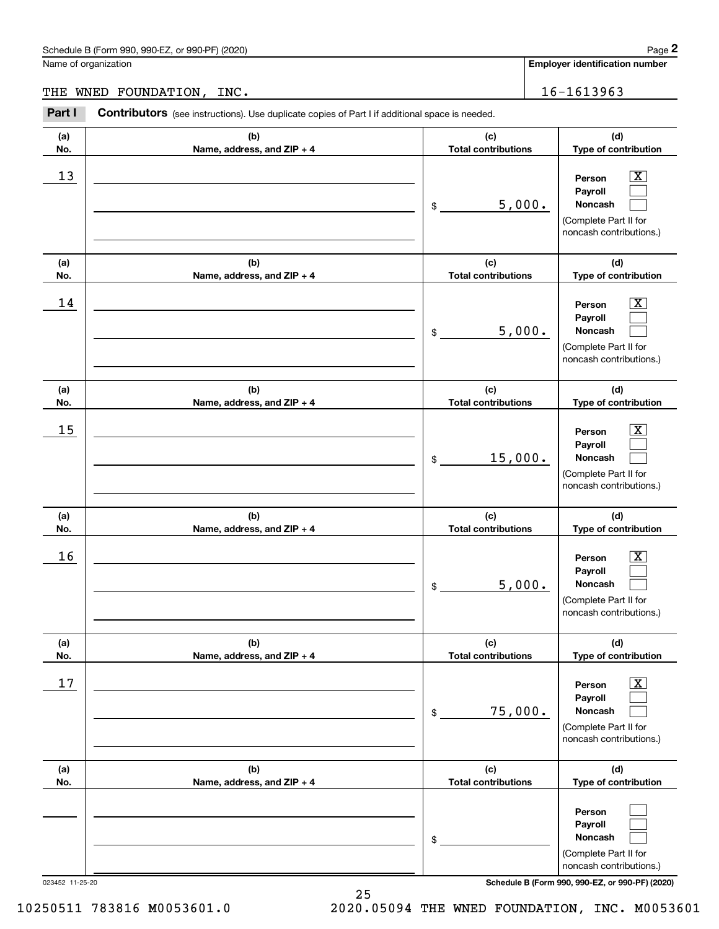Name of organization

**Employer identification number**

THE WNED FOUNDATION, INC. 16-1613963

023452 11-25-20 **Schedule B (Form 990, 990-EZ, or 990-PF) (2020) (a)No.(b)Name, address, and ZIP + 4 (c)Total contributions (d)Type of contribution PersonPayrollNoncash (a)No.(b)Name, address, and ZIP + 4 (c)Total contributions (d)Type of contribution PersonPayrollNoncash (a)No.(b)Name, address, and ZIP + 4 (c)Total contributions (d)Type of contribution PersonPayrollNoncash (a) No.(b)Name, address, and ZIP + 4 (c) Total contributions (d) Type of contribution PersonPayrollNoncash(a) No.(b)Name, address, and ZIP + 4 (c) Total contributions (d) Type of contribution PersonPayrollNoncash (a) No.(b)Name, address, and ZIP + 4 (c) Total contributions (d)Type of contribution PersonPayrollNoncash Contributors** (see instructions). Use duplicate copies of Part I if additional space is needed. \$(Complete Part II for noncash contributions.) \$(Complete Part II for noncash contributions.) \$(Complete Part II for noncash contributions.) \$(Complete Part II for noncash contributions.) \$(Complete Part II for noncash contributions.) \$(Complete Part II for noncash contributions.) Chedule B (Form 990, 990-EZ, or 990-PF) (2020)<br> **2Part I 2Part I Contributors** (see instructions). Use duplicate copies of Part I if additional space is needed.<br>
2Part I **Contributors** (see instructions). Use duplicate  $|X|$  $\mathcal{L}^{\text{max}}$  $\mathcal{L}^{\text{max}}$  $\boxed{\text{X}}$  $\mathcal{L}^{\text{max}}$  $\mathcal{L}^{\text{max}}$  $|X|$  $\mathcal{L}^{\text{max}}$  $\mathcal{L}^{\text{max}}$  $|X|$  $\mathcal{L}^{\text{max}}$  $\mathcal{L}^{\text{max}}$  $\boxed{\text{X}}$  $\mathcal{L}^{\text{max}}$  $\mathcal{L}^{\text{max}}$  $\mathcal{L}^{\text{max}}$  $\mathcal{L}^{\text{max}}$  $\mathcal{L}^{\text{max}}$  $13$  Person X 5,000.  $14$  Person X 5,000.  $15$  Person X 15,000.  $16$  Person X 5,000.  $17$  | Person  $\overline{\text{X}}$ 75,000.

10250511 783816 M0053601.0 2020.05094 THE WNED FOUNDATION, INC. M0053601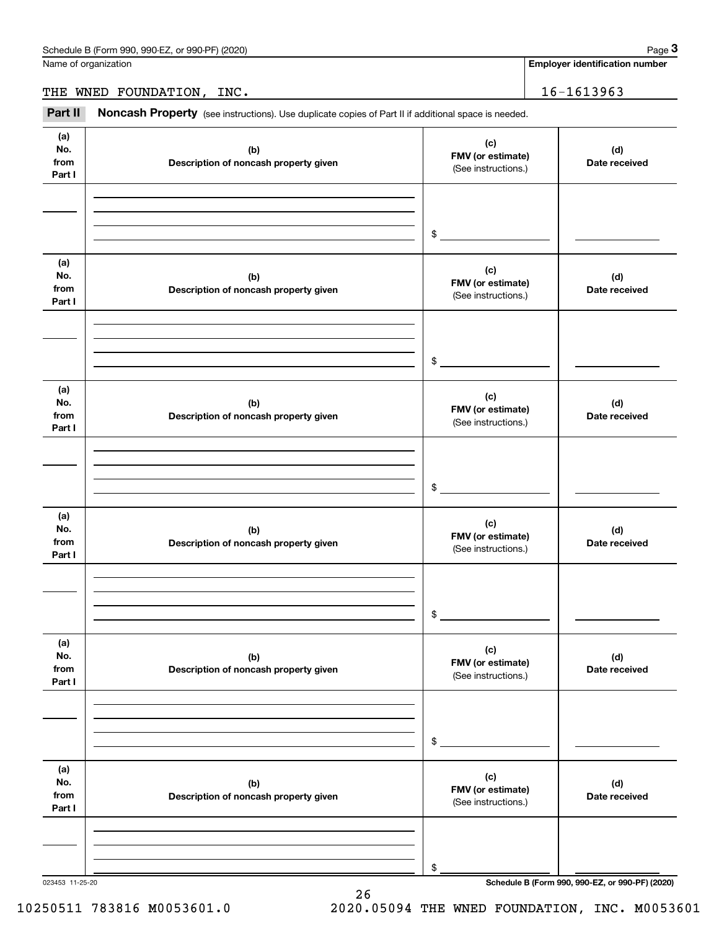Name of organization

**Employer identification number**

THE WNED FOUNDATION, INC. 16-1613963

Chedule B (Form 990, 990-EZ, or 990-PF) (2020)<br>
lame of organization<br> **3Part II Noncash Property** (see instructions). Use duplicate copies of Part II if additional space is needed.<br> **2Part II Noncash Property** (see ins

| (a)<br>No.<br>from<br>Part I | (b)<br>Description of noncash property given | (c)<br>FMV (or estimate)<br>(See instructions.) | (d)<br>Date received |
|------------------------------|----------------------------------------------|-------------------------------------------------|----------------------|
|                              |                                              |                                                 |                      |
|                              |                                              |                                                 |                      |
|                              |                                              | $\mathsf{\$}$                                   |                      |
| (a)<br>No.<br>from<br>Part I | (b)<br>Description of noncash property given | (c)<br>FMV (or estimate)<br>(See instructions.) | (d)<br>Date received |
|                              |                                              |                                                 |                      |
|                              |                                              |                                                 |                      |
|                              |                                              | $\sim$                                          |                      |
| (a)<br>No.<br>from<br>Part I | (b)<br>Description of noncash property given | (c)<br>FMV (or estimate)<br>(See instructions.) | (d)<br>Date received |
|                              |                                              |                                                 |                      |
|                              |                                              |                                                 |                      |
|                              |                                              | $\mathsf{\$}$                                   |                      |
| (a)<br>No.<br>from<br>Part I | (b)<br>Description of noncash property given | (c)<br>FMV (or estimate)<br>(See instructions.) | (d)<br>Date received |
|                              |                                              |                                                 |                      |
|                              |                                              |                                                 |                      |
|                              |                                              | $\$$                                            |                      |
| (a)<br>No.<br>from<br>Part I | (b)<br>Description of noncash property given | (c)<br>FMV (or estimate)<br>(See instructions.) | (d)<br>Date received |
|                              |                                              |                                                 |                      |
|                              |                                              |                                                 |                      |
|                              |                                              | $\$$                                            |                      |
| (a)<br>No.<br>from<br>Part I | (b)<br>Description of noncash property given | (c)<br>FMV (or estimate)<br>(See instructions.) | (d)<br>Date received |
|                              |                                              |                                                 |                      |
|                              |                                              |                                                 |                      |
|                              |                                              | \$                                              |                      |

26

023453 11-25-20 **Schedule B (Form 990, 990-EZ, or 990-PF) (2020)**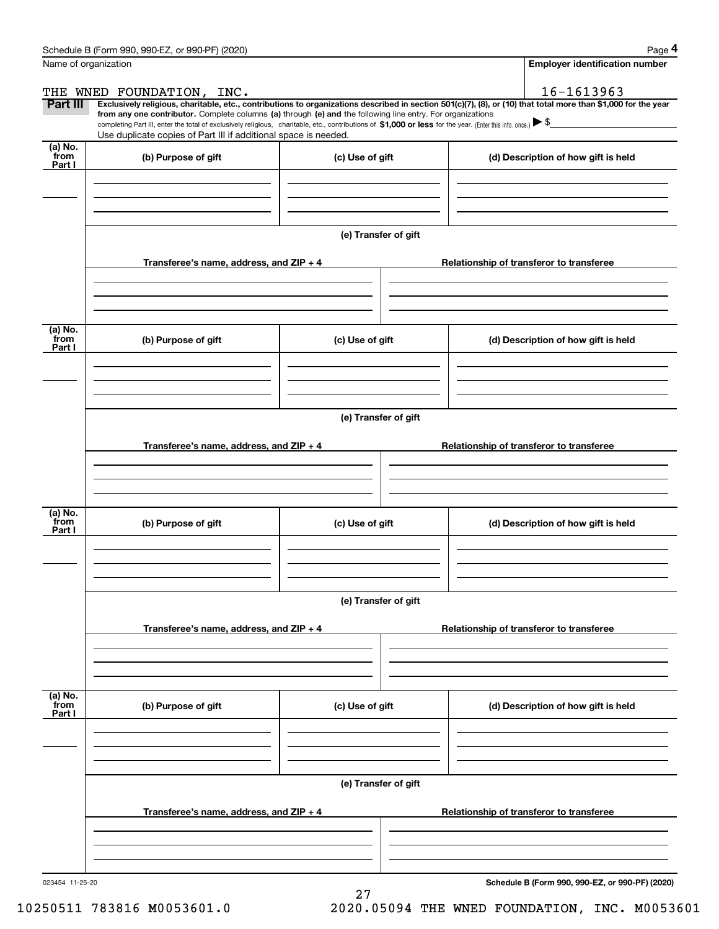|                 | Schedule B (Form 990, 990-EZ, or 990-PF) (2020)                                                                                                              |                                          | Page 4                                                                                                                                                         |  |  |  |  |  |
|-----------------|--------------------------------------------------------------------------------------------------------------------------------------------------------------|------------------------------------------|----------------------------------------------------------------------------------------------------------------------------------------------------------------|--|--|--|--|--|
|                 | Name of organization                                                                                                                                         |                                          | Employer identification number                                                                                                                                 |  |  |  |  |  |
|                 | THE WNED FOUNDATION, INC.                                                                                                                                    |                                          | 16-1613963                                                                                                                                                     |  |  |  |  |  |
| <b>Part III</b> | from any one contributor. Complete columns (a) through (e) and the following line entry. For organizations                                                   |                                          | Exclusively religious, charitable, etc., contributions to organizations described in section 501(c)(7), (8), or (10) that total more than \$1,000 for the year |  |  |  |  |  |
|                 | completing Part III, enter the total of exclusively religious, charitable, etc., contributions of \$1,000 or less for the year. (Enter this info. once.) \\$ |                                          |                                                                                                                                                                |  |  |  |  |  |
| (a) No.         | Use duplicate copies of Part III if additional space is needed.                                                                                              |                                          |                                                                                                                                                                |  |  |  |  |  |
| from<br>Part I  | (b) Purpose of gift                                                                                                                                          | (c) Use of gift                          | (d) Description of how gift is held                                                                                                                            |  |  |  |  |  |
|                 |                                                                                                                                                              |                                          |                                                                                                                                                                |  |  |  |  |  |
|                 |                                                                                                                                                              |                                          |                                                                                                                                                                |  |  |  |  |  |
|                 |                                                                                                                                                              |                                          |                                                                                                                                                                |  |  |  |  |  |
|                 |                                                                                                                                                              | (e) Transfer of gift                     |                                                                                                                                                                |  |  |  |  |  |
|                 |                                                                                                                                                              |                                          |                                                                                                                                                                |  |  |  |  |  |
|                 | Transferee's name, address, and ZIP + 4                                                                                                                      |                                          | Relationship of transferor to transferee                                                                                                                       |  |  |  |  |  |
|                 |                                                                                                                                                              |                                          |                                                                                                                                                                |  |  |  |  |  |
|                 |                                                                                                                                                              |                                          |                                                                                                                                                                |  |  |  |  |  |
| (a) No.         |                                                                                                                                                              |                                          |                                                                                                                                                                |  |  |  |  |  |
| from<br>Part I  | (b) Purpose of gift                                                                                                                                          | (c) Use of gift                          | (d) Description of how gift is held                                                                                                                            |  |  |  |  |  |
|                 |                                                                                                                                                              |                                          |                                                                                                                                                                |  |  |  |  |  |
|                 |                                                                                                                                                              |                                          |                                                                                                                                                                |  |  |  |  |  |
|                 |                                                                                                                                                              |                                          |                                                                                                                                                                |  |  |  |  |  |
|                 | (e) Transfer of gift                                                                                                                                         |                                          |                                                                                                                                                                |  |  |  |  |  |
|                 |                                                                                                                                                              |                                          |                                                                                                                                                                |  |  |  |  |  |
|                 | Transferee's name, address, and ZIP + 4                                                                                                                      | Relationship of transferor to transferee |                                                                                                                                                                |  |  |  |  |  |
|                 |                                                                                                                                                              |                                          |                                                                                                                                                                |  |  |  |  |  |
|                 |                                                                                                                                                              |                                          |                                                                                                                                                                |  |  |  |  |  |
| (a) No.         |                                                                                                                                                              |                                          |                                                                                                                                                                |  |  |  |  |  |
| from<br>Part I  | (b) Purpose of gift                                                                                                                                          | (c) Use of gift                          | (d) Description of how gift is held                                                                                                                            |  |  |  |  |  |
|                 |                                                                                                                                                              |                                          |                                                                                                                                                                |  |  |  |  |  |
|                 |                                                                                                                                                              |                                          |                                                                                                                                                                |  |  |  |  |  |
|                 |                                                                                                                                                              |                                          |                                                                                                                                                                |  |  |  |  |  |
|                 | (e) Transfer of gift                                                                                                                                         |                                          |                                                                                                                                                                |  |  |  |  |  |
|                 |                                                                                                                                                              |                                          |                                                                                                                                                                |  |  |  |  |  |
|                 | Transferee's name, address, and ZIP + 4                                                                                                                      |                                          | Relationship of transferor to transferee                                                                                                                       |  |  |  |  |  |
|                 |                                                                                                                                                              |                                          |                                                                                                                                                                |  |  |  |  |  |
|                 |                                                                                                                                                              |                                          |                                                                                                                                                                |  |  |  |  |  |
| (a) No.<br>from |                                                                                                                                                              |                                          |                                                                                                                                                                |  |  |  |  |  |
| Part I          | (b) Purpose of gift                                                                                                                                          | (c) Use of gift                          | (d) Description of how gift is held                                                                                                                            |  |  |  |  |  |
|                 |                                                                                                                                                              |                                          |                                                                                                                                                                |  |  |  |  |  |
|                 |                                                                                                                                                              |                                          |                                                                                                                                                                |  |  |  |  |  |
|                 |                                                                                                                                                              |                                          |                                                                                                                                                                |  |  |  |  |  |
|                 |                                                                                                                                                              | (e) Transfer of gift                     |                                                                                                                                                                |  |  |  |  |  |
|                 |                                                                                                                                                              |                                          |                                                                                                                                                                |  |  |  |  |  |
|                 | Transferee's name, address, and $ZIP + 4$                                                                                                                    |                                          | Relationship of transferor to transferee                                                                                                                       |  |  |  |  |  |
|                 |                                                                                                                                                              |                                          |                                                                                                                                                                |  |  |  |  |  |
|                 |                                                                                                                                                              |                                          |                                                                                                                                                                |  |  |  |  |  |
|                 |                                                                                                                                                              |                                          |                                                                                                                                                                |  |  |  |  |  |

27

**Schedule B (Form 990, 990-EZ, or 990-PF) (2020)**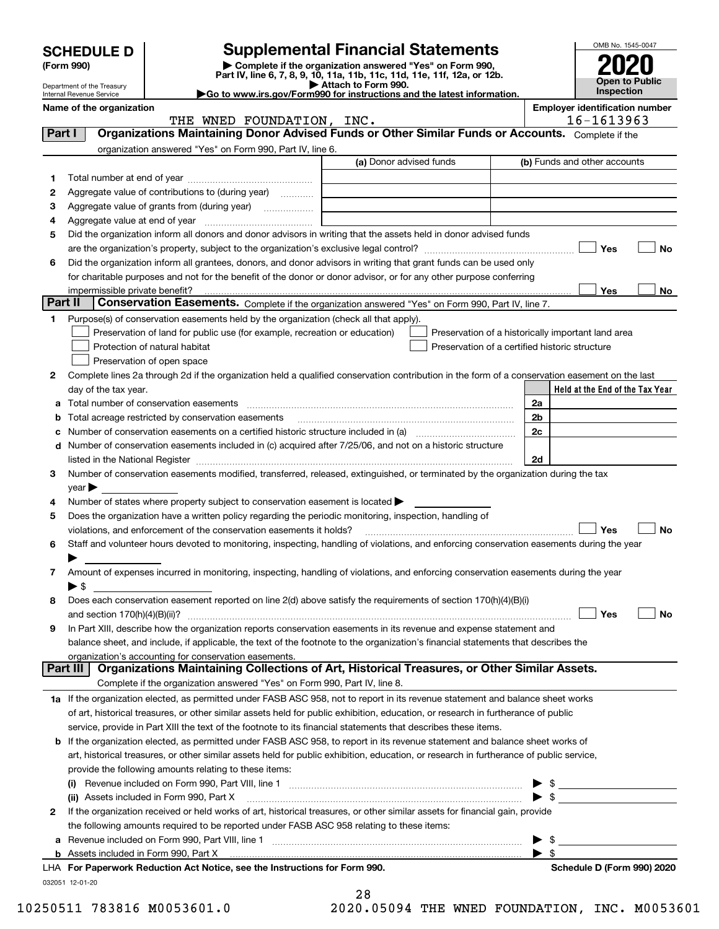|         | <b>SCHEDULE D</b><br>(Form 990)                                                                                                                         |                                                                                                        | <b>Supplemental Financial Statements</b><br>Complete if the organization answered "Yes" on Form 990,                                           |                         | OMB No. 1545-0047                                   |  |
|---------|---------------------------------------------------------------------------------------------------------------------------------------------------------|--------------------------------------------------------------------------------------------------------|------------------------------------------------------------------------------------------------------------------------------------------------|-------------------------|-----------------------------------------------------|--|
|         |                                                                                                                                                         |                                                                                                        | Part IV, line 6, 7, 8, 9, 10, 11a, 11b, 11c, 11d, 11e, 11f, 12a, or 12b.                                                                       |                         | <b>Open to Public</b>                               |  |
|         | Attach to Form 990.<br>Department of the Treasury<br>Go to www.irs.gov/Form990 for instructions and the latest information.<br>Internal Revenue Service |                                                                                                        |                                                                                                                                                |                         | <b>Inspection</b>                                   |  |
|         | Name of the organization                                                                                                                                | THE WNED FOUNDATION, INC.                                                                              |                                                                                                                                                |                         | <b>Employer identification number</b><br>16-1613963 |  |
| Part I  |                                                                                                                                                         |                                                                                                        | Organizations Maintaining Donor Advised Funds or Other Similar Funds or Accounts. Complete if the                                              |                         |                                                     |  |
|         |                                                                                                                                                         | organization answered "Yes" on Form 990, Part IV, line 6.                                              |                                                                                                                                                |                         |                                                     |  |
|         |                                                                                                                                                         |                                                                                                        | (a) Donor advised funds                                                                                                                        |                         | (b) Funds and other accounts                        |  |
| 1       |                                                                                                                                                         |                                                                                                        |                                                                                                                                                |                         |                                                     |  |
| 2       |                                                                                                                                                         | Aggregate value of contributions to (during year)                                                      |                                                                                                                                                |                         |                                                     |  |
| 3       |                                                                                                                                                         |                                                                                                        |                                                                                                                                                |                         |                                                     |  |
| 4       |                                                                                                                                                         |                                                                                                        |                                                                                                                                                |                         |                                                     |  |
| 5       |                                                                                                                                                         |                                                                                                        | Did the organization inform all donors and donor advisors in writing that the assets held in donor advised funds                               |                         |                                                     |  |
|         |                                                                                                                                                         |                                                                                                        |                                                                                                                                                |                         | Yes<br>No                                           |  |
| 6       |                                                                                                                                                         |                                                                                                        | Did the organization inform all grantees, donors, and donor advisors in writing that grant funds can be used only                              |                         |                                                     |  |
|         |                                                                                                                                                         |                                                                                                        | for charitable purposes and not for the benefit of the donor or donor advisor, or for any other purpose conferring                             |                         |                                                     |  |
| Part II | impermissible private benefit?                                                                                                                          |                                                                                                        | Conservation Easements. Complete if the organization answered "Yes" on Form 990, Part IV, line 7.                                              |                         | Yes<br>No                                           |  |
| 1.      |                                                                                                                                                         | Purpose(s) of conservation easements held by the organization (check all that apply).                  |                                                                                                                                                |                         |                                                     |  |
|         |                                                                                                                                                         | Preservation of land for public use (for example, recreation or education)                             | Preservation of a historically important land area                                                                                             |                         |                                                     |  |
|         |                                                                                                                                                         | Protection of natural habitat                                                                          | Preservation of a certified historic structure                                                                                                 |                         |                                                     |  |
|         |                                                                                                                                                         | Preservation of open space                                                                             |                                                                                                                                                |                         |                                                     |  |
| 2       |                                                                                                                                                         |                                                                                                        | Complete lines 2a through 2d if the organization held a qualified conservation contribution in the form of a conservation easement on the last |                         |                                                     |  |
|         | day of the tax year.                                                                                                                                    |                                                                                                        |                                                                                                                                                |                         | Held at the End of the Tax Year                     |  |
|         |                                                                                                                                                         |                                                                                                        |                                                                                                                                                | 2a                      |                                                     |  |
|         |                                                                                                                                                         | Total acreage restricted by conservation easements                                                     |                                                                                                                                                | 2b                      |                                                     |  |
|         |                                                                                                                                                         | 2c                                                                                                     |                                                                                                                                                |                         |                                                     |  |
| d       |                                                                                                                                                         |                                                                                                        | Number of conservation easements included in (c) acquired after 7/25/06, and not on a historic structure                                       |                         |                                                     |  |
|         |                                                                                                                                                         |                                                                                                        |                                                                                                                                                | 2d                      |                                                     |  |
| 3       |                                                                                                                                                         |                                                                                                        | Number of conservation easements modified, transferred, released, extinguished, or terminated by the organization during the tax               |                         |                                                     |  |
|         | vear                                                                                                                                                    |                                                                                                        |                                                                                                                                                |                         |                                                     |  |
| 4       |                                                                                                                                                         | Number of states where property subject to conservation easement is located $\blacktriangleright$      |                                                                                                                                                |                         |                                                     |  |
| 5       |                                                                                                                                                         | Does the organization have a written policy regarding the periodic monitoring, inspection, handling of |                                                                                                                                                |                         |                                                     |  |
|         |                                                                                                                                                         | violations, and enforcement of the conservation easements it holds?                                    |                                                                                                                                                |                         | No<br>Yes                                           |  |
| 6       |                                                                                                                                                         |                                                                                                        | Staff and volunteer hours devoted to monitoring, inspecting, handling of violations, and enforcing conservation easements during the year      |                         |                                                     |  |
|         |                                                                                                                                                         |                                                                                                        |                                                                                                                                                |                         |                                                     |  |
| 7       |                                                                                                                                                         |                                                                                                        | Amount of expenses incurred in monitoring, inspecting, handling of violations, and enforcing conservation easements during the year            |                         |                                                     |  |
|         | ▶ \$                                                                                                                                                    |                                                                                                        |                                                                                                                                                |                         |                                                     |  |
| 8       |                                                                                                                                                         |                                                                                                        | Does each conservation easement reported on line 2(d) above satisfy the requirements of section 170(h)(4)(B)(i)                                |                         | Yes                                                 |  |
| 9       | and section $170(h)(4)(B)(ii)?$                                                                                                                         |                                                                                                        | In Part XIII, describe how the organization reports conservation easements in its revenue and expense statement and                            |                         | No                                                  |  |
|         |                                                                                                                                                         |                                                                                                        | balance sheet, and include, if applicable, the text of the footnote to the organization's financial statements that describes the              |                         |                                                     |  |
|         |                                                                                                                                                         | organization's accounting for conservation easements.                                                  |                                                                                                                                                |                         |                                                     |  |
|         | Part III                                                                                                                                                |                                                                                                        | Organizations Maintaining Collections of Art, Historical Treasures, or Other Similar Assets.                                                   |                         |                                                     |  |
|         |                                                                                                                                                         | Complete if the organization answered "Yes" on Form 990, Part IV, line 8.                              |                                                                                                                                                |                         |                                                     |  |
|         |                                                                                                                                                         |                                                                                                        | 1a If the organization elected, as permitted under FASB ASC 958, not to report in its revenue statement and balance sheet works                |                         |                                                     |  |
|         |                                                                                                                                                         |                                                                                                        | of art, historical treasures, or other similar assets held for public exhibition, education, or research in furtherance of public              |                         |                                                     |  |
|         |                                                                                                                                                         |                                                                                                        | service, provide in Part XIII the text of the footnote to its financial statements that describes these items.                                 |                         |                                                     |  |
| b       |                                                                                                                                                         |                                                                                                        | If the organization elected, as permitted under FASB ASC 958, to report in its revenue statement and balance sheet works of                    |                         |                                                     |  |
|         |                                                                                                                                                         |                                                                                                        | art, historical treasures, or other similar assets held for public exhibition, education, or research in furtherance of public service,        |                         |                                                     |  |
|         | provide the following amounts relating to these items:                                                                                                  |                                                                                                        |                                                                                                                                                |                         |                                                     |  |
|         |                                                                                                                                                         |                                                                                                        |                                                                                                                                                |                         |                                                     |  |
|         |                                                                                                                                                         | (ii) Assets included in Form 990, Part X                                                               |                                                                                                                                                | $\blacktriangleright$ s |                                                     |  |
| 2       |                                                                                                                                                         |                                                                                                        | If the organization received or held works of art, historical treasures, or other similar assets for financial gain, provide                   |                         |                                                     |  |
|         |                                                                                                                                                         | the following amounts required to be reported under FASB ASC 958 relating to these items:              |                                                                                                                                                |                         |                                                     |  |
|         |                                                                                                                                                         |                                                                                                        |                                                                                                                                                |                         |                                                     |  |
|         |                                                                                                                                                         |                                                                                                        |                                                                                                                                                |                         |                                                     |  |

|                 | LHA For Paperwork Reduction Act Notice, see the Instructions for Form 990. |
|-----------------|----------------------------------------------------------------------------|
| 032051 12-01-20 |                                                                            |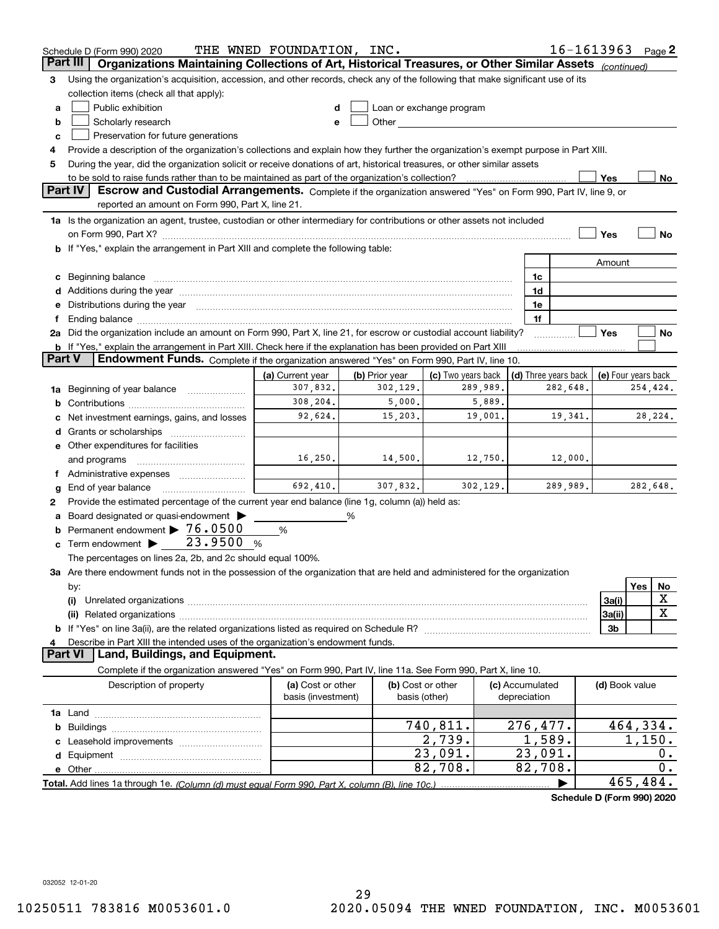|          | Schedule D (Form 990) 2020                                                                                                                                                                                                     | THE WNED FOUNDATION, INC.               |                |                                                                                                                                                                                                                                |        |                                 | $16 - 1613963$ Page 2      |          |             |
|----------|--------------------------------------------------------------------------------------------------------------------------------------------------------------------------------------------------------------------------------|-----------------------------------------|----------------|--------------------------------------------------------------------------------------------------------------------------------------------------------------------------------------------------------------------------------|--------|---------------------------------|----------------------------|----------|-------------|
| Part III | Organizations Maintaining Collections of Art, Historical Treasures, or Other Similar Assets (continued)                                                                                                                        |                                         |                |                                                                                                                                                                                                                                |        |                                 |                            |          |             |
| З        | Using the organization's acquisition, accession, and other records, check any of the following that make significant use of its                                                                                                |                                         |                |                                                                                                                                                                                                                                |        |                                 |                            |          |             |
|          | collection items (check all that apply):                                                                                                                                                                                       |                                         |                |                                                                                                                                                                                                                                |        |                                 |                            |          |             |
| a        | Public exhibition                                                                                                                                                                                                              |                                         |                | Loan or exchange program                                                                                                                                                                                                       |        |                                 |                            |          |             |
| b        | Scholarly research                                                                                                                                                                                                             |                                         |                | Other and the control of the control of the control of the control of the control of the control of the control of the control of the control of the control of the control of the control of the control of the control of th |        |                                 |                            |          |             |
| c        | Preservation for future generations                                                                                                                                                                                            |                                         |                |                                                                                                                                                                                                                                |        |                                 |                            |          |             |
| 4        | Provide a description of the organization's collections and explain how they further the organization's exempt purpose in Part XIII.                                                                                           |                                         |                |                                                                                                                                                                                                                                |        |                                 |                            |          |             |
| 5        | During the year, did the organization solicit or receive donations of art, historical treasures, or other similar assets                                                                                                       |                                         |                |                                                                                                                                                                                                                                |        |                                 |                            |          |             |
|          | to be sold to raise funds rather than to be maintained as part of the organization's collection?                                                                                                                               |                                         |                |                                                                                                                                                                                                                                |        |                                 | Yes                        |          | <u>No</u>   |
|          | <b>Part IV</b><br>Escrow and Custodial Arrangements. Complete if the organization answered "Yes" on Form 990, Part IV, line 9, or                                                                                              |                                         |                |                                                                                                                                                                                                                                |        |                                 |                            |          |             |
|          | reported an amount on Form 990, Part X, line 21.                                                                                                                                                                               |                                         |                |                                                                                                                                                                                                                                |        |                                 |                            |          |             |
|          | 1a Is the organization an agent, trustee, custodian or other intermediary for contributions or other assets not included                                                                                                       |                                         |                |                                                                                                                                                                                                                                |        |                                 |                            |          |             |
|          | on Form 990, Part X? <b>William Constitution Constitution</b> Construction Construction Construction Constitution Cons                                                                                                         |                                         |                |                                                                                                                                                                                                                                |        |                                 | Yes                        |          | No          |
|          | <b>b</b> If "Yes," explain the arrangement in Part XIII and complete the following table:                                                                                                                                      |                                         |                |                                                                                                                                                                                                                                |        |                                 |                            |          |             |
|          |                                                                                                                                                                                                                                |                                         |                |                                                                                                                                                                                                                                |        |                                 | Amount                     |          |             |
|          |                                                                                                                                                                                                                                |                                         |                |                                                                                                                                                                                                                                |        | 1c                              |                            |          |             |
|          | Additions during the year manufactured and an annual contract of the year manufactured and all the year manufactured and all the year manufactured and all the year manufactured and all the year manufactured and all the yea |                                         |                |                                                                                                                                                                                                                                |        | 1d                              |                            |          |             |
|          | Distributions during the year measurements are all the state of the state of the state of the state of the state of the state of the state of the state of the state of the state of the state of the state of the state of th |                                         |                |                                                                                                                                                                                                                                |        | 1e                              |                            |          |             |
|          | Ending balance manufactured and contact the contract of the contract of the contract of the contract of the contract of the contract of the contract of the contract of the contract of the contract of the contract of the co |                                         |                |                                                                                                                                                                                                                                |        | 1f                              |                            |          |             |
|          | 2a Did the organization include an amount on Form 990, Part X, line 21, for escrow or custodial account liability?                                                                                                             |                                         |                |                                                                                                                                                                                                                                |        |                                 | Yes                        |          | No          |
|          | <b>b</b> If "Yes," explain the arrangement in Part XIII. Check here if the explanation has been provided on Part XIII                                                                                                          |                                         |                |                                                                                                                                                                                                                                |        |                                 |                            |          |             |
| Part V   | Endowment Funds. Complete if the organization answered "Yes" on Form 990, Part IV, line 10.                                                                                                                                    |                                         |                |                                                                                                                                                                                                                                |        |                                 |                            |          |             |
|          |                                                                                                                                                                                                                                | (a) Current year                        | (b) Prior year | (c) Two years back                                                                                                                                                                                                             |        | (d) Three years back            | (e) Four years back        |          |             |
| 1a       | Beginning of year balance                                                                                                                                                                                                      | 307,832.                                | 302,129.       | 289,989.                                                                                                                                                                                                                       |        | 282,648.                        |                            | 254,424. |             |
| b        |                                                                                                                                                                                                                                | 308,204.                                | 5,000.         |                                                                                                                                                                                                                                | 5,889. |                                 |                            |          |             |
|          | Net investment earnings, gains, and losses                                                                                                                                                                                     | 92,624.                                 | 15,203.        | 19,001.                                                                                                                                                                                                                        |        | 19,341.                         |                            |          | 28,224.     |
|          | Grants or scholarships                                                                                                                                                                                                         |                                         |                |                                                                                                                                                                                                                                |        |                                 |                            |          |             |
|          | e Other expenditures for facilities                                                                                                                                                                                            |                                         |                |                                                                                                                                                                                                                                |        |                                 |                            |          |             |
|          | and programs                                                                                                                                                                                                                   | 16, 250.                                | 14,500.        | 12,750.                                                                                                                                                                                                                        |        | 12,000.                         |                            |          |             |
|          |                                                                                                                                                                                                                                |                                         |                |                                                                                                                                                                                                                                |        |                                 |                            |          |             |
| g        | End of year balance                                                                                                                                                                                                            | 692, 410.                               | 307,832.       | 302, 129.                                                                                                                                                                                                                      |        | 289,989.                        |                            | 282,648. |             |
| 2        | Provide the estimated percentage of the current year end balance (line 1g, column (a)) held as:                                                                                                                                |                                         |                |                                                                                                                                                                                                                                |        |                                 |                            |          |             |
|          | Board designated or quasi-endowment                                                                                                                                                                                            |                                         | %              |                                                                                                                                                                                                                                |        |                                 |                            |          |             |
| b        | Permanent endowment > 76.0500                                                                                                                                                                                                  | %                                       |                |                                                                                                                                                                                                                                |        |                                 |                            |          |             |
| c        | Term endowment $\blacktriangleright$ 23.9500                                                                                                                                                                                   | %                                       |                |                                                                                                                                                                                                                                |        |                                 |                            |          |             |
|          | The percentages on lines 2a, 2b, and 2c should equal 100%.                                                                                                                                                                     |                                         |                |                                                                                                                                                                                                                                |        |                                 |                            |          |             |
|          | 3a Are there endowment funds not in the possession of the organization that are held and administered for the organization                                                                                                     |                                         |                |                                                                                                                                                                                                                                |        |                                 |                            |          |             |
|          | by:                                                                                                                                                                                                                            |                                         |                |                                                                                                                                                                                                                                |        |                                 |                            | Yes      | No          |
|          | (i)                                                                                                                                                                                                                            |                                         |                |                                                                                                                                                                                                                                |        |                                 | 3a(i)                      |          | X           |
|          |                                                                                                                                                                                                                                |                                         |                |                                                                                                                                                                                                                                |        |                                 | 3a(ii)                     |          | $\mathbf X$ |
|          |                                                                                                                                                                                                                                |                                         |                |                                                                                                                                                                                                                                |        |                                 | 3b                         |          |             |
|          | Describe in Part XIII the intended uses of the organization's endowment funds.<br>Land, Buildings, and Equipment.<br>Part VI                                                                                                   |                                         |                |                                                                                                                                                                                                                                |        |                                 |                            |          |             |
|          |                                                                                                                                                                                                                                |                                         |                |                                                                                                                                                                                                                                |        |                                 |                            |          |             |
|          | Complete if the organization answered "Yes" on Form 990, Part IV, line 11a. See Form 990, Part X, line 10.                                                                                                                     |                                         |                |                                                                                                                                                                                                                                |        |                                 |                            |          |             |
|          | Description of property                                                                                                                                                                                                        | (a) Cost or other<br>basis (investment) |                | (b) Cost or other<br>basis (other)                                                                                                                                                                                             |        | (c) Accumulated<br>depreciation | (d) Book value             |          |             |
|          |                                                                                                                                                                                                                                |                                         |                |                                                                                                                                                                                                                                |        |                                 |                            |          |             |
|          |                                                                                                                                                                                                                                |                                         |                | 740,811.                                                                                                                                                                                                                       |        | 276,477.                        |                            | 464,334. |             |
| b        |                                                                                                                                                                                                                                |                                         |                | 2,739.                                                                                                                                                                                                                         |        | 1,589.                          |                            | 1,150.   |             |
|          |                                                                                                                                                                                                                                |                                         |                | 23,091.                                                                                                                                                                                                                        |        | 23,091.                         |                            |          | 0.          |
| d        |                                                                                                                                                                                                                                |                                         |                | 82,708.                                                                                                                                                                                                                        |        | 82,708.                         |                            |          | 0.          |
|          |                                                                                                                                                                                                                                |                                         |                |                                                                                                                                                                                                                                |        |                                 |                            | 465,484. |             |
|          | Total. Add lines 1a through 1e. (Column (d) must equal Form 990. Part X. column (B). line 10c.)                                                                                                                                |                                         |                |                                                                                                                                                                                                                                |        |                                 | Schedule D (Form 990) 2020 |          |             |
|          |                                                                                                                                                                                                                                |                                         |                |                                                                                                                                                                                                                                |        |                                 |                            |          |             |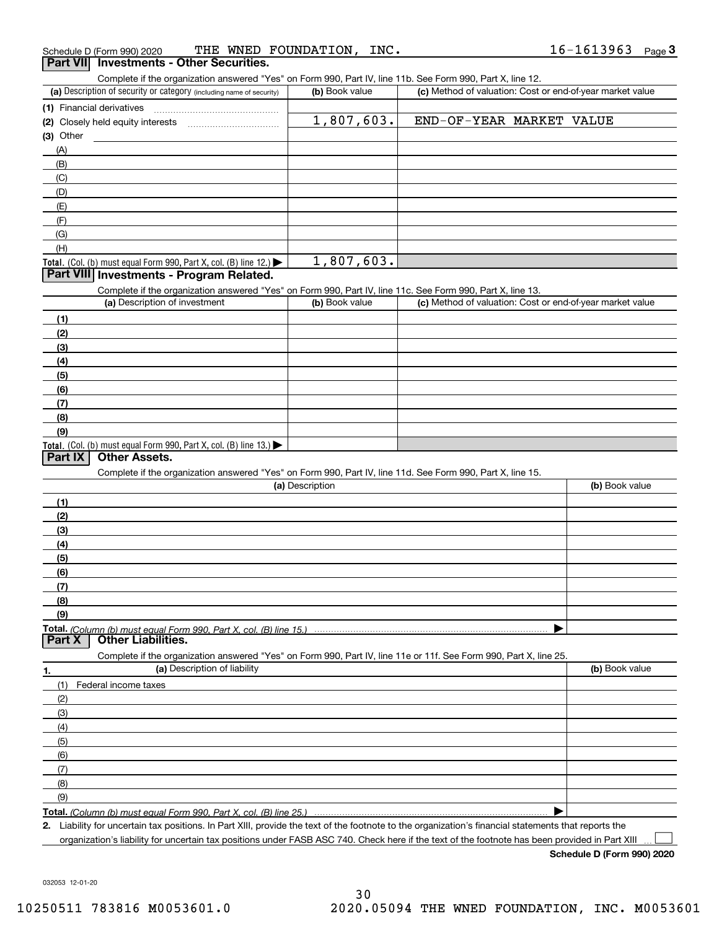| (a) Description of security or category (including name of security)                                              | (b) Book value  | Complete if the organization answered "Yes" on Form 990, Part IV, line 11b. See Form 990, Part X, line 12.<br>(c) Method of valuation: Cost or end-of-year market value |                |
|-------------------------------------------------------------------------------------------------------------------|-----------------|-------------------------------------------------------------------------------------------------------------------------------------------------------------------------|----------------|
| (1) Financial derivatives                                                                                         |                 |                                                                                                                                                                         |                |
| (2) Closely held equity interests [11] [2] Closely held equity interests                                          | 1,807,603.      | END-OF-YEAR MARKET VALUE                                                                                                                                                |                |
| $(3)$ Other                                                                                                       |                 |                                                                                                                                                                         |                |
| (A)                                                                                                               |                 |                                                                                                                                                                         |                |
| (B)                                                                                                               |                 |                                                                                                                                                                         |                |
| (C)                                                                                                               |                 |                                                                                                                                                                         |                |
| (D)                                                                                                               |                 |                                                                                                                                                                         |                |
|                                                                                                                   |                 |                                                                                                                                                                         |                |
| (E)                                                                                                               |                 |                                                                                                                                                                         |                |
| (F)                                                                                                               |                 |                                                                                                                                                                         |                |
| (G)                                                                                                               |                 |                                                                                                                                                                         |                |
| (H)                                                                                                               |                 |                                                                                                                                                                         |                |
| Total. (Col. (b) must equal Form 990, Part X, col. (B) line 12.)                                                  | 1,807,603.      |                                                                                                                                                                         |                |
| Part VIII Investments - Program Related.                                                                          |                 |                                                                                                                                                                         |                |
| Complete if the organization answered "Yes" on Form 990, Part IV, line 11c. See Form 990, Part X, line 13.        |                 |                                                                                                                                                                         |                |
| (a) Description of investment                                                                                     | (b) Book value  | (c) Method of valuation: Cost or end-of-year market value                                                                                                               |                |
| (1)                                                                                                               |                 |                                                                                                                                                                         |                |
| (2)                                                                                                               |                 |                                                                                                                                                                         |                |
| (3)                                                                                                               |                 |                                                                                                                                                                         |                |
| (4)                                                                                                               |                 |                                                                                                                                                                         |                |
| (5)                                                                                                               |                 |                                                                                                                                                                         |                |
| (6)                                                                                                               |                 |                                                                                                                                                                         |                |
| (7)                                                                                                               |                 |                                                                                                                                                                         |                |
| (8)                                                                                                               |                 |                                                                                                                                                                         |                |
| (9)                                                                                                               |                 |                                                                                                                                                                         |                |
| Total. (Col. (b) must equal Form 990, Part X, col. (B) line 13.)                                                  |                 |                                                                                                                                                                         |                |
| <b>Other Assets.</b><br>  Part IX                                                                                 |                 |                                                                                                                                                                         |                |
| Complete if the organization answered "Yes" on Form 990, Part IV, line 11d. See Form 990, Part X, line 15.        |                 |                                                                                                                                                                         |                |
|                                                                                                                   | (a) Description |                                                                                                                                                                         | (b) Book value |
|                                                                                                                   |                 |                                                                                                                                                                         |                |
|                                                                                                                   |                 |                                                                                                                                                                         |                |
| (1)                                                                                                               |                 |                                                                                                                                                                         |                |
| (2)                                                                                                               |                 |                                                                                                                                                                         |                |
| (3)                                                                                                               |                 |                                                                                                                                                                         |                |
| (4)                                                                                                               |                 |                                                                                                                                                                         |                |
| (5)                                                                                                               |                 |                                                                                                                                                                         |                |
| (6)                                                                                                               |                 |                                                                                                                                                                         |                |
| (7)                                                                                                               |                 |                                                                                                                                                                         |                |
| (8)                                                                                                               |                 |                                                                                                                                                                         |                |
| (9)                                                                                                               |                 |                                                                                                                                                                         |                |
|                                                                                                                   |                 |                                                                                                                                                                         |                |
| <b>Other Liabilities.</b>                                                                                         |                 |                                                                                                                                                                         |                |
| Complete if the organization answered "Yes" on Form 990, Part IV, line 11e or 11f. See Form 990, Part X, line 25. |                 |                                                                                                                                                                         |                |
| (a) Description of liability                                                                                      |                 |                                                                                                                                                                         | (b) Book value |
| Federal income taxes<br>(1)                                                                                       |                 |                                                                                                                                                                         |                |
| (2)                                                                                                               |                 |                                                                                                                                                                         |                |
|                                                                                                                   |                 |                                                                                                                                                                         |                |
| (3)                                                                                                               |                 |                                                                                                                                                                         |                |
| (4)                                                                                                               |                 |                                                                                                                                                                         |                |
| (5)                                                                                                               |                 |                                                                                                                                                                         |                |
| (6)                                                                                                               |                 |                                                                                                                                                                         |                |
| Total. (Column (b) must equal Form 990, Part X, col. (B) line 15.)<br>Part X<br>1.<br>(7)                         |                 |                                                                                                                                                                         |                |
| (8)<br>(9)                                                                                                        |                 |                                                                                                                                                                         |                |

organization's liability for uncertain tax positions under FASB ASC 740. Check here if the text of the footnote has been provided in Part XIII

**Schedule D (Form 990) 2020**

 $\mathcal{L}^{\text{max}}$ 

032053 12-01-20

### Schedule D (Form 990) 2020 THE WNED FOUNDATION,INC 16-1613963 Page Schedule D (Form 990) 2020 THE WNED FOUNDATION, INC.<br>**Part VIII Investments - Other Securities.**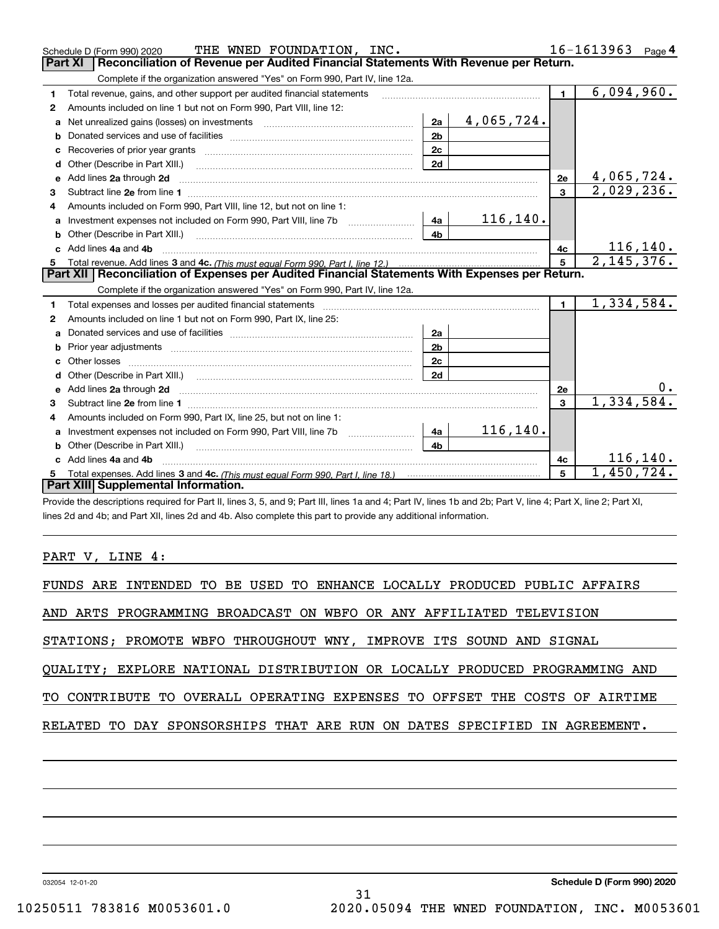|              | THE WNED FOUNDATION, INC.<br>Schedule D (Form 990) 2020                                                             |                |            |                | $16 - 1613963$ Page 4   |
|--------------|---------------------------------------------------------------------------------------------------------------------|----------------|------------|----------------|-------------------------|
|              | Reconciliation of Revenue per Audited Financial Statements With Revenue per Return.<br>Part XI                      |                |            |                |                         |
|              | Complete if the organization answered "Yes" on Form 990, Part IV, line 12a.                                         |                |            |                |                         |
| 1.           | Total revenue, gains, and other support per audited financial statements                                            |                |            | $\mathbf{1}$   | 6,094,960.              |
| $\mathbf{2}$ | Amounts included on line 1 but not on Form 990, Part VIII, line 12:                                                 |                |            |                |                         |
|              | Net unrealized gains (losses) on investments [11] matter contracts and the unrealized gains (losses) on investments | 2a             | 4,065,724. |                |                         |
| b            |                                                                                                                     | 2 <sub>b</sub> |            |                |                         |
| c            |                                                                                                                     | 2c             |            |                |                         |
| d            | Other (Describe in Part XIII.)                                                                                      | 2d             |            |                |                         |
| e            | Add lines 2a through 2d                                                                                             |                |            | 2e             | 4,065,724.              |
| 3            |                                                                                                                     |                |            | 3              | 2,029,236.              |
|              | Amounts included on Form 990, Part VIII, line 12, but not on line 1:                                                |                |            |                |                         |
| a            |                                                                                                                     | 4a             | 116, 140.  |                |                         |
|              |                                                                                                                     | 4 <sub>b</sub> |            |                |                         |
|              | Add lines 4a and 4b                                                                                                 |                |            | 4c             | 116, 140.               |
| 5            |                                                                                                                     |                |            | $5\phantom{a}$ | $\overline{2,145},376.$ |
|              |                                                                                                                     |                |            |                |                         |
|              | Part XII   Reconciliation of Expenses per Audited Financial Statements With Expenses per Return.                    |                |            |                |                         |
|              | Complete if the organization answered "Yes" on Form 990, Part IV, line 12a.                                         |                |            |                |                         |
| 1.           | Total expenses and losses per audited financial statements                                                          |                |            | $\blacksquare$ | 1,334,584.              |
| 2            | Amounts included on line 1 but not on Form 990, Part IX, line 25:                                                   |                |            |                |                         |
| a            |                                                                                                                     | 2a             |            |                |                         |
|              |                                                                                                                     | 2 <sub>b</sub> |            |                |                         |
|              |                                                                                                                     | 2 <sub>c</sub> |            |                |                         |
|              |                                                                                                                     | 2d             |            |                |                         |
|              |                                                                                                                     |                |            | 2e             | 0.                      |
| 3            |                                                                                                                     |                |            | 3              | 1,334,584.              |
| 4            | Amounts included on Form 990, Part IX, line 25, but not on line 1:                                                  |                |            |                |                         |
| a            | Investment expenses not included on Form 990, Part VIII, line 7b [1000000000000000000000000000000000                | 4a             | 116,140.   |                |                         |
|              | <b>b</b> Other (Describe in Part XIII.)                                                                             | 4h.            |            |                |                         |
| c.           | Add lines 4a and 4b                                                                                                 |                |            | 4с             | 116,140.                |
|              | Part XIII Supplemental Information.                                                                                 |                |            | 5              | 1,450,724.              |

Provide the descriptions required for Part II, lines 3, 5, and 9; Part III, lines 1a and 4; Part IV, lines 1b and 2b; Part V, line 4; Part X, line 2; Part XI, lines 2d and 4b; and Part XII, lines 2d and 4b. Also complete this part to provide any additional information.

PART V, LINE 4:

| FUNDS ARE INTENDED TO BE USED TO ENHANCE LOCALLY PRODUCED PUBLIC AFFAIRS   |
|----------------------------------------------------------------------------|
| AND ARTS PROGRAMMING BROADCAST ON WBFO OR ANY AFFILIATED TELEVISION        |
| STATIONS; PROMOTE WBFO THROUGHOUT WNY, IMPROVE ITS SOUND AND SIGNAL        |
| QUALITY; EXPLORE NATIONAL DISTRIBUTION OR LOCALLY PRODUCED PROGRAMMING AND |
| TO CONTRIBUTE TO OVERALL OPERATING EXPENSES TO OFFSET THE COSTS OF AIRTIME |
| RELATED TO DAY SPONSORSHIPS THAT ARE RUN ON DATES SPECIFIED IN AGREEMENT.  |
|                                                                            |
|                                                                            |

31

032054 12-01-20

**Schedule D (Form 990) 2020**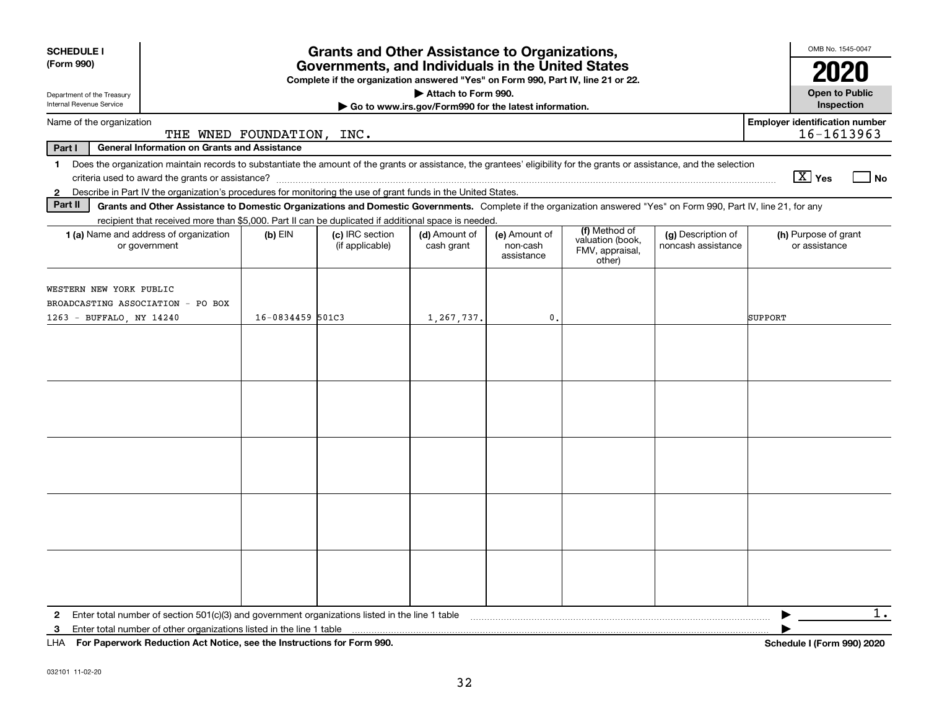| <b>SCHEDULE I</b><br>(Form 990)<br>Department of the Treasury                                                                                                                           | <b>Grants and Other Assistance to Organizations,</b><br>Governments, and Individuals in the United States<br>Complete if the organization answered "Yes" on Form 990, Part IV, line 21 or 22.<br>Attach to Form 990. |                           |                                                                                                                                                                    |                                                       |                                         |                                                                |                                          |                                                     |
|-----------------------------------------------------------------------------------------------------------------------------------------------------------------------------------------|----------------------------------------------------------------------------------------------------------------------------------------------------------------------------------------------------------------------|---------------------------|--------------------------------------------------------------------------------------------------------------------------------------------------------------------|-------------------------------------------------------|-----------------------------------------|----------------------------------------------------------------|------------------------------------------|-----------------------------------------------------|
| Internal Revenue Service                                                                                                                                                                |                                                                                                                                                                                                                      |                           |                                                                                                                                                                    | Go to www.irs.gov/Form990 for the latest information. |                                         |                                                                |                                          | Inspection                                          |
| Name of the organization                                                                                                                                                                |                                                                                                                                                                                                                      | THE WNED FOUNDATION, INC. |                                                                                                                                                                    |                                                       |                                         |                                                                |                                          | <b>Employer identification number</b><br>16-1613963 |
| <b>General Information on Grants and Assistance</b><br>Part I                                                                                                                           |                                                                                                                                                                                                                      |                           |                                                                                                                                                                    |                                                       |                                         |                                                                |                                          |                                                     |
| Does the organization maintain records to substantiate the amount of the grants or assistance, the grantees' eligibility for the grants or assistance, and the selection<br>$\mathbf 1$ |                                                                                                                                                                                                                      |                           |                                                                                                                                                                    |                                                       |                                         |                                                                |                                          | $\boxed{\text{X}}$ Yes<br>l No                      |
| Describe in Part IV the organization's procedures for monitoring the use of grant funds in the United States.<br>$\mathbf{2}$<br>Part II                                                |                                                                                                                                                                                                                      |                           |                                                                                                                                                                    |                                                       |                                         |                                                                |                                          |                                                     |
|                                                                                                                                                                                         |                                                                                                                                                                                                                      |                           | Grants and Other Assistance to Domestic Organizations and Domestic Governments. Complete if the organization answered "Yes" on Form 990, Part IV, line 21, for any |                                                       |                                         |                                                                |                                          |                                                     |
| 1 (a) Name and address of organization<br>or government                                                                                                                                 |                                                                                                                                                                                                                      | $(b)$ EIN                 | recipient that received more than \$5,000. Part II can be duplicated if additional space is needed.<br>(c) IRC section<br>(if applicable)                          | (d) Amount of<br>cash grant                           | (e) Amount of<br>non-cash<br>assistance | (f) Method of<br>valuation (book,<br>FMV, appraisal,<br>other) | (g) Description of<br>noncash assistance | (h) Purpose of grant<br>or assistance               |
| WESTERN NEW YORK PUBLIC<br>BROADCASTING ASSOCIATION - PO BOX<br>1263 - BUFFALO, NY 14240                                                                                                |                                                                                                                                                                                                                      | 16-0834459 501C3          |                                                                                                                                                                    | 1,267,737.                                            | 0.                                      |                                                                |                                          | SUPPORT                                             |
|                                                                                                                                                                                         |                                                                                                                                                                                                                      |                           |                                                                                                                                                                    |                                                       |                                         |                                                                |                                          |                                                     |
|                                                                                                                                                                                         |                                                                                                                                                                                                                      |                           |                                                                                                                                                                    |                                                       |                                         |                                                                |                                          |                                                     |
|                                                                                                                                                                                         |                                                                                                                                                                                                                      |                           |                                                                                                                                                                    |                                                       |                                         |                                                                |                                          |                                                     |
|                                                                                                                                                                                         |                                                                                                                                                                                                                      |                           |                                                                                                                                                                    |                                                       |                                         |                                                                |                                          |                                                     |
|                                                                                                                                                                                         |                                                                                                                                                                                                                      |                           |                                                                                                                                                                    |                                                       |                                         |                                                                |                                          |                                                     |
| $\mathbf{2}$<br>3<br>$111A$ $E \cup B \cup \ldots \cup 1$ . $B \cup 1 \cup 1$ $\ldots$ $A \cup 1$ $B \cup \ldots \cup 1$ $\ldots$ $B \cup 1 \cup 1$ $\ldots$ $B \cup \ldots$ $C \cup C$ |                                                                                                                                                                                                                      |                           |                                                                                                                                                                    |                                                       |                                         |                                                                |                                          | $1$ .<br>$1.1.1$ $1.17$ $1.02$ 000) 0000            |

**For Paperwork Reduction Act Notice, see the Instructions for Form 990. Schedule I (Form 990) 2020** LHA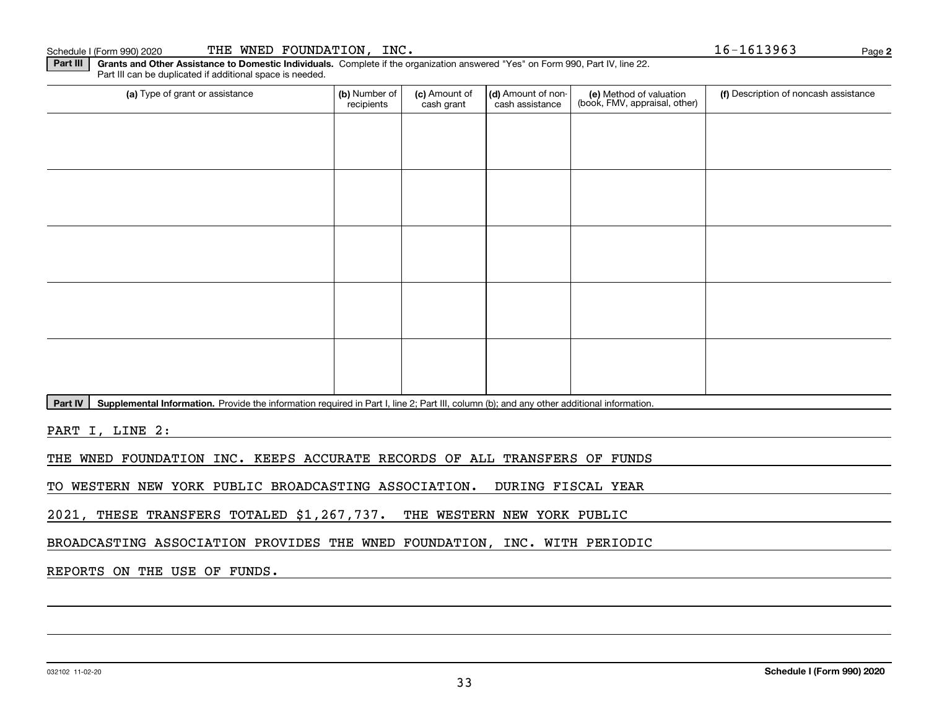## Schedule I (Form 990) 2020 Page THE WNED FOUNDATION, INC. 16-1613963

**Part III** | Grants and Other Assistance to Domestic Individuals. Complete if the organization answered "Yes" on Form 990, Part IV, line 22. Part III can be duplicated if additional space is needed.

| (a) Type of grant or assistance | (b) Number of<br>recipients | (c) Amount of<br>cash grant | (d) Amount of non-<br>cash assistance | (e) Method of valuation<br>(book, FMV, appraisal, other) | (f) Description of noncash assistance |
|---------------------------------|-----------------------------|-----------------------------|---------------------------------------|----------------------------------------------------------|---------------------------------------|
|                                 |                             |                             |                                       |                                                          |                                       |
|                                 |                             |                             |                                       |                                                          |                                       |
|                                 |                             |                             |                                       |                                                          |                                       |
|                                 |                             |                             |                                       |                                                          |                                       |
|                                 |                             |                             |                                       |                                                          |                                       |
|                                 |                             |                             |                                       |                                                          |                                       |
|                                 |                             |                             |                                       |                                                          |                                       |
|                                 |                             |                             |                                       |                                                          |                                       |
|                                 |                             |                             |                                       |                                                          |                                       |
|                                 |                             |                             |                                       |                                                          |                                       |

Part IV | Supplemental Information. Provide the information required in Part I, line 2; Part III, column (b); and any other additional information.

PART I, LINE 2:

THE WNED FOUNDATION INC. KEEPS ACCURATE RECORDS OF ALL TRANSFERS OF FUNDS

TO WESTERN NEW YORK PUBLIC BROADCASTING ASSOCIATION. DURING FISCAL YEAR

2021, THESE TRANSFERS TOTALED \$1,267,737. THE WESTERN NEW YORK PUBLIC

BROADCASTING ASSOCIATION PROVIDES THE WNED FOUNDATION, INC. WITH PERIODIC

REPORTS ON THE USE OF FUNDS.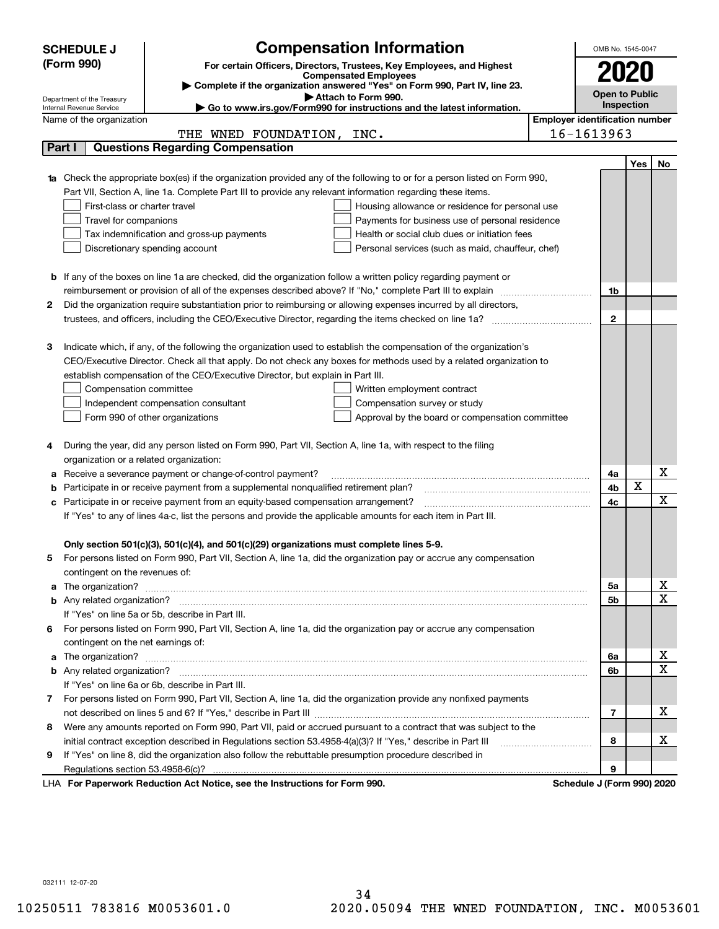|    | <b>Compensation Information</b><br><b>SCHEDULE J</b>                                                                                                    |                                       | OMB No. 1545-0047     |             |                              |
|----|---------------------------------------------------------------------------------------------------------------------------------------------------------|---------------------------------------|-----------------------|-------------|------------------------------|
|    | (Form 990)<br>For certain Officers, Directors, Trustees, Key Employees, and Highest                                                                     |                                       |                       |             |                              |
|    | <b>Compensated Employees</b>                                                                                                                            |                                       | 2020                  |             |                              |
|    | Complete if the organization answered "Yes" on Form 990, Part IV, line 23.                                                                              |                                       | <b>Open to Public</b> |             |                              |
|    | Attach to Form 990.<br>Department of the Treasury<br>Go to www.irs.gov/Form990 for instructions and the latest information.<br>Internal Revenue Service |                                       | Inspection            |             |                              |
|    | Name of the organization                                                                                                                                | <b>Employer identification number</b> |                       |             |                              |
|    | THE WNED FOUNDATION, INC.                                                                                                                               | 16-1613963                            |                       |             |                              |
|    | <b>Questions Regarding Compensation</b><br>Part I                                                                                                       |                                       |                       |             |                              |
|    |                                                                                                                                                         |                                       |                       | <b>Yes</b>  | No                           |
|    | <b>1a</b> Check the appropriate box(es) if the organization provided any of the following to or for a person listed on Form 990,                        |                                       |                       |             |                              |
|    | Part VII, Section A, line 1a. Complete Part III to provide any relevant information regarding these items.                                              |                                       |                       |             |                              |
|    | First-class or charter travel<br>Housing allowance or residence for personal use                                                                        |                                       |                       |             |                              |
|    | Payments for business use of personal residence<br>Travel for companions                                                                                |                                       |                       |             |                              |
|    | Health or social club dues or initiation fees<br>Tax indemnification and gross-up payments                                                              |                                       |                       |             |                              |
|    | Discretionary spending account<br>Personal services (such as maid, chauffeur, chef)                                                                     |                                       |                       |             |                              |
|    |                                                                                                                                                         |                                       |                       |             |                              |
|    | <b>b</b> If any of the boxes on line 1a are checked, did the organization follow a written policy regarding payment or                                  |                                       |                       |             |                              |
|    | reimbursement or provision of all of the expenses described above? If "No," complete Part III to explain                                                |                                       | 1b                    |             |                              |
| 2  | Did the organization require substantiation prior to reimbursing or allowing expenses incurred by all directors,                                        |                                       |                       |             |                              |
|    | trustees, and officers, including the CEO/Executive Director, regarding the items checked on line 1a? <i>manageronium</i>                               |                                       | $\mathbf{2}$          |             |                              |
|    |                                                                                                                                                         |                                       |                       |             |                              |
| З  | Indicate which, if any, of the following the organization used to establish the compensation of the organization's                                      |                                       |                       |             |                              |
|    | CEO/Executive Director. Check all that apply. Do not check any boxes for methods used by a related organization to                                      |                                       |                       |             |                              |
|    | establish compensation of the CEO/Executive Director, but explain in Part III.                                                                          |                                       |                       |             |                              |
|    | Compensation committee<br>Written employment contract                                                                                                   |                                       |                       |             |                              |
|    | Compensation survey or study<br>Independent compensation consultant                                                                                     |                                       |                       |             |                              |
|    | Form 990 of other organizations<br>Approval by the board or compensation committee                                                                      |                                       |                       |             |                              |
|    |                                                                                                                                                         |                                       |                       |             |                              |
|    | During the year, did any person listed on Form 990, Part VII, Section A, line 1a, with respect to the filing                                            |                                       |                       |             |                              |
|    | organization or a related organization:                                                                                                                 |                                       |                       |             |                              |
| а  | Receive a severance payment or change-of-control payment?                                                                                               |                                       | 4a                    |             | x                            |
| b  | Participate in or receive payment from a supplemental nonqualified retirement plan?                                                                     |                                       | 4b                    | $\mathbf X$ |                              |
| с  | Participate in or receive payment from an equity-based compensation arrangement?                                                                        |                                       | 4с                    |             | $\mathbf X$                  |
|    | If "Yes" to any of lines 4a-c, list the persons and provide the applicable amounts for each item in Part III.                                           |                                       |                       |             |                              |
|    |                                                                                                                                                         |                                       |                       |             |                              |
|    | Only section 501(c)(3), 501(c)(4), and 501(c)(29) organizations must complete lines 5-9.                                                                |                                       |                       |             |                              |
|    | For persons listed on Form 990, Part VII, Section A, line 1a, did the organization pay or accrue any compensation                                       |                                       |                       |             |                              |
|    | contingent on the revenues of:                                                                                                                          |                                       |                       |             |                              |
|    | a The organization? <b>Entitation</b> and the organization?                                                                                             |                                       | 5a                    |             | x<br>$\overline{\mathbf{x}}$ |
|    |                                                                                                                                                         |                                       | 5b                    |             |                              |
|    | If "Yes" on line 5a or 5b, describe in Part III.                                                                                                        |                                       |                       |             |                              |
| 6. | For persons listed on Form 990, Part VII, Section A, line 1a, did the organization pay or accrue any compensation                                       |                                       |                       |             |                              |
|    | contingent on the net earnings of:                                                                                                                      |                                       |                       |             | х                            |
| a  |                                                                                                                                                         |                                       | 6a                    |             | $\overline{\mathbf{x}}$      |
|    |                                                                                                                                                         |                                       | 6b                    |             |                              |
|    | If "Yes" on line 6a or 6b, describe in Part III.                                                                                                        |                                       |                       |             |                              |
|    | 7 For persons listed on Form 990, Part VII, Section A, line 1a, did the organization provide any nonfixed payments                                      |                                       |                       |             | х                            |
|    |                                                                                                                                                         |                                       | 7                     |             |                              |
| 8  | Were any amounts reported on Form 990, Part VII, paid or accrued pursuant to a contract that was subject to the                                         |                                       |                       |             | х                            |
|    | initial contract exception described in Regulations section 53.4958-4(a)(3)? If "Yes," describe in Part III                                             |                                       | 8                     |             |                              |
| 9  | If "Yes" on line 8, did the organization also follow the rebuttable presumption procedure described in                                                  |                                       | 9                     |             |                              |
|    | Regulations section 53.4958-6(c)?<br>For Department Poduction Act Notice, see the Instructions for Form 000                                             | Schodule 1/Earm 000) 2020             |                       |             |                              |

LHA For Paperwork Reduction Act Notice, see the Instructions for Form 990. Schedule J (Form 990) 2020

032111 12-07-20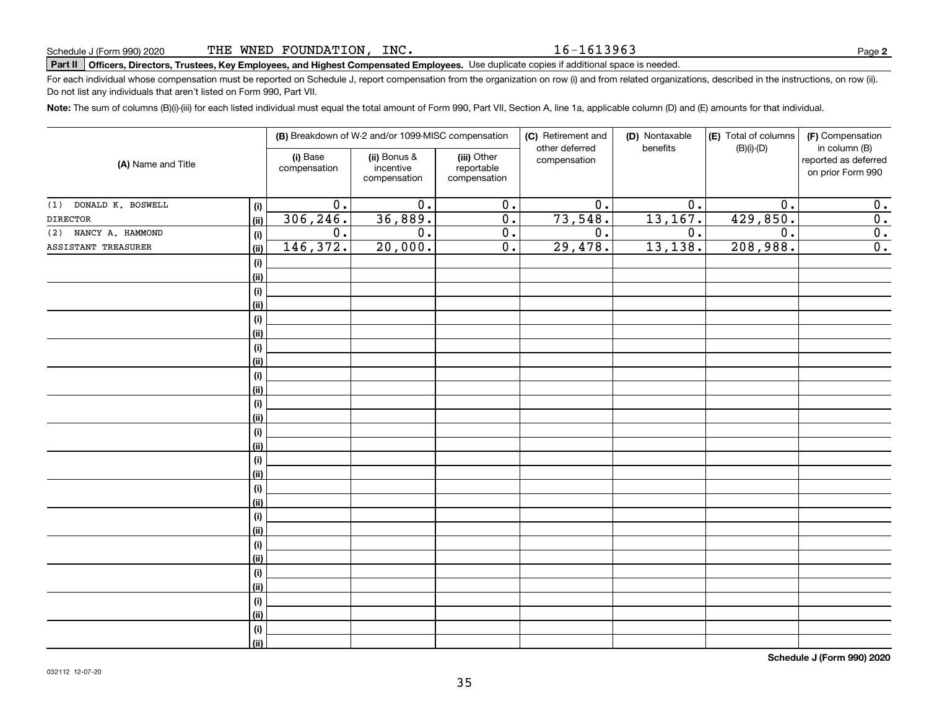16-1613963

**2**

# **Part II Officers, Directors, Trustees, Key Employees, and Highest Compensated Employees.**  Schedule J (Form 990) 2020 Page Use duplicate copies if additional space is needed.

For each individual whose compensation must be reported on Schedule J, report compensation from the organization on row (i) and from related organizations, described in the instructions, on row (ii). Do not list any individuals that aren't listed on Form 990, Part VII.

**Note:**  The sum of columns (B)(i)-(iii) for each listed individual must equal the total amount of Form 990, Part VII, Section A, line 1a, applicable column (D) and (E) amounts for that individual.

| (A) Name and Title       |             | (B) Breakdown of W-2 and/or 1099-MISC compensation |                                           |                                           | (C) Retirement and<br>other deferred | (D) Nontaxable<br>benefits | (E) Total of columns<br>$(B)(i)-(D)$ | (F) Compensation<br>in column (B)         |
|--------------------------|-------------|----------------------------------------------------|-------------------------------------------|-------------------------------------------|--------------------------------------|----------------------------|--------------------------------------|-------------------------------------------|
|                          |             | (i) Base<br>compensation                           | (ii) Bonus &<br>incentive<br>compensation | (iii) Other<br>reportable<br>compensation | compensation                         |                            |                                      | reported as deferred<br>on prior Form 990 |
| DONALD K. BOSWELL<br>(1) | (i)         | $\overline{0}$ .                                   | $\overline{0}$ .                          | $\overline{0}$ .                          | $\overline{0}$ .                     | $\overline{0}$ .           | $\overline{0}$ .                     | 0.                                        |
| <b>DIRECTOR</b>          | (ii)        | 306, 246.                                          | 36,889.                                   | $\overline{0}$ .                          | 73,548.                              | 13, 167.                   | 429,850.                             | 0.                                        |
| NANCY A. HAMMOND<br>(2)  | (i)         | 0.                                                 | 0.                                        | $\overline{0}$ .                          | $\overline{0}$ .                     | 0.                         | $\overline{0}$ .                     | $\overline{0}$ .                          |
| ASSISTANT TREASURER      | (ii)        | 146,372.                                           | 20,000.                                   | $\overline{0}$ .                          | 29,478.                              | 13,138.                    | 208,988.                             | 0.                                        |
|                          | (i)         |                                                    |                                           |                                           |                                      |                            |                                      |                                           |
|                          | (ii)        |                                                    |                                           |                                           |                                      |                            |                                      |                                           |
|                          | (i)         |                                                    |                                           |                                           |                                      |                            |                                      |                                           |
|                          | (ii)        |                                                    |                                           |                                           |                                      |                            |                                      |                                           |
|                          | (i)         |                                                    |                                           |                                           |                                      |                            |                                      |                                           |
|                          | (ii)        |                                                    |                                           |                                           |                                      |                            |                                      |                                           |
|                          | (i)         |                                                    |                                           |                                           |                                      |                            |                                      |                                           |
|                          | (ii)        |                                                    |                                           |                                           |                                      |                            |                                      |                                           |
|                          | (i)         |                                                    |                                           |                                           |                                      |                            |                                      |                                           |
|                          | (ii)        |                                                    |                                           |                                           |                                      |                            |                                      |                                           |
|                          | (i)         |                                                    |                                           |                                           |                                      |                            |                                      |                                           |
|                          | (ii)        |                                                    |                                           |                                           |                                      |                            |                                      |                                           |
|                          | (i)         |                                                    |                                           |                                           |                                      |                            |                                      |                                           |
|                          | (ii)        |                                                    |                                           |                                           |                                      |                            |                                      |                                           |
|                          | (i)<br>(ii) |                                                    |                                           |                                           |                                      |                            |                                      |                                           |
|                          | (i)         |                                                    |                                           |                                           |                                      |                            |                                      |                                           |
|                          | (ii)        |                                                    |                                           |                                           |                                      |                            |                                      |                                           |
|                          | (i)         |                                                    |                                           |                                           |                                      |                            |                                      |                                           |
|                          | (ii)        |                                                    |                                           |                                           |                                      |                            |                                      |                                           |
|                          | (i)         |                                                    |                                           |                                           |                                      |                            |                                      |                                           |
|                          | (ii)        |                                                    |                                           |                                           |                                      |                            |                                      |                                           |
|                          | (i)         |                                                    |                                           |                                           |                                      |                            |                                      |                                           |
|                          | (ii)        |                                                    |                                           |                                           |                                      |                            |                                      |                                           |
|                          | (i)         |                                                    |                                           |                                           |                                      |                            |                                      |                                           |
|                          | (ii)        |                                                    |                                           |                                           |                                      |                            |                                      |                                           |
|                          | (i)         |                                                    |                                           |                                           |                                      |                            |                                      |                                           |
|                          | (ii)        |                                                    |                                           |                                           |                                      |                            |                                      |                                           |

**Schedule J (Form 990) 2020**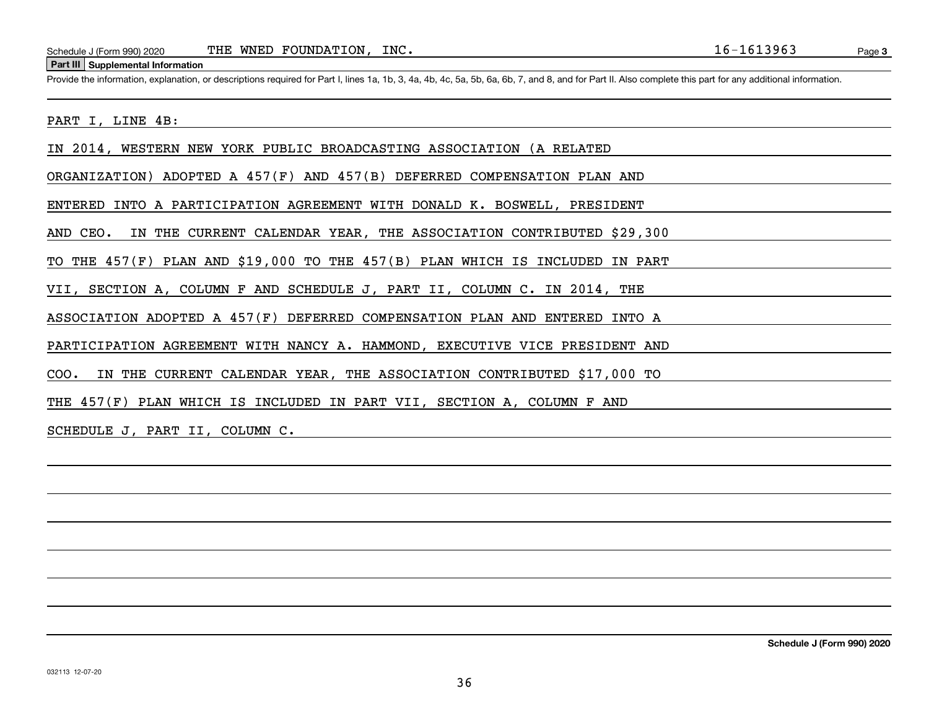#### **Part III Supplemental Information**

Schedule J (Form 990) 2020 THE WNED FOUNDATION, INC.<br>Part III Supplemental Information<br>Provide the information, explanation, or descriptions required for Part I, lines 1a, 1b, 3, 4a, 4b, 4c, 5a, 5b, 6a, 6b, 7, and 8, and f

### PART I, LINE 4B:

IN 2014, WESTERN NEW YORK PUBLIC BROADCASTING ASSOCIATION (A RELATED

ORGANIZATION) ADOPTED A 457(F) AND 457(B) DEFERRED COMPENSATION PLAN AND

ENTERED INTO A PARTICIPATION AGREEMENT WITH DONALD K. BOSWELL, PRESIDENT

AND CEO. IN THE CURRENT CALENDAR YEAR, THE ASSOCIATION CONTRIBUTED \$29,300

TO THE 457(F) PLAN AND \$19,000 TO THE 457(B) PLAN WHICH IS INCLUDED IN PART

VII, SECTION A, COLUMN F AND SCHEDULE J, PART II, COLUMN C. IN 2014, THE

ASSOCIATION ADOPTED A 457(F) DEFERRED COMPENSATION PLAN AND ENTERED INTO A

PARTICIPATION AGREEMENT WITH NANCY A. HAMMOND, EXECUTIVE VICE PRESIDENT AND

COO. IN THE CURRENT CALENDAR YEAR, THE ASSOCIATION CONTRIBUTED \$17,000 TO

THE 457(F) PLAN WHICH IS INCLUDED IN PART VII, SECTION A, COLUMN F AND

SCHEDULE J, PART II, COLUMN C.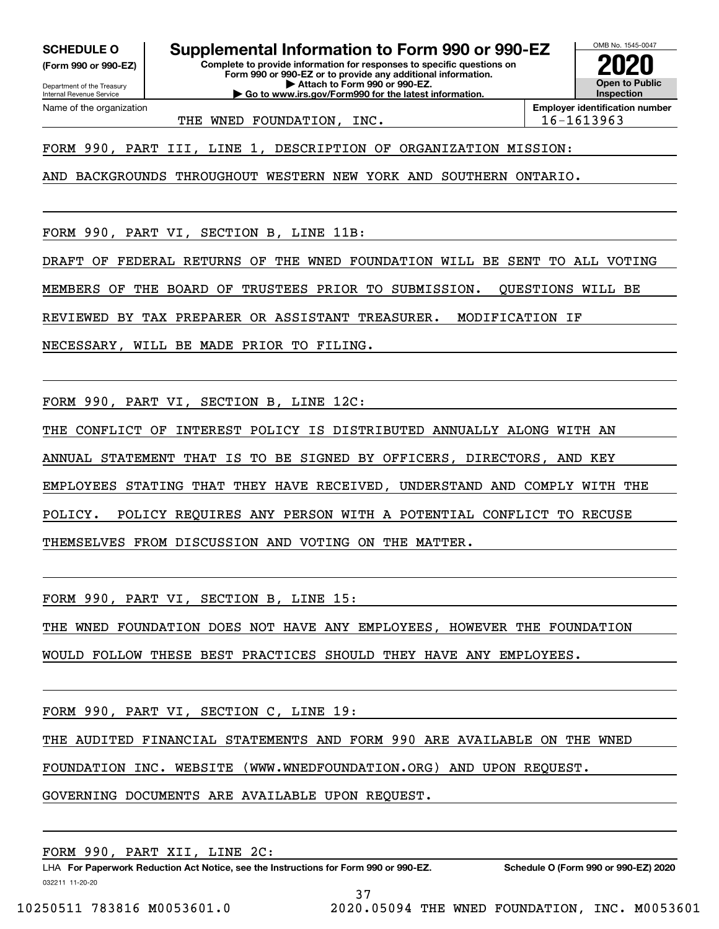**(Form 990 or 990-EZ)**

Department of the Treasury Internal Revenue Service Name of the organization

**SCHEDULE O Supplemental Information to Form 990 or 990-EZ**

**Complete to provide information for responses to specific questions on Form 990 or 990-EZ or to provide any additional information. | Attach to Form 990 or 990-EZ. | Go to www.irs.gov/Form990 for the latest information.**

**Open to Public InspectionEmployer identification number 2020**

OMB No. 1545-0047

THE WNED FOUNDATION, INC.  $\vert$  16-1613963

FORM 990, PART III, LINE 1, DESCRIPTION OF ORGANIZATION MISSION:

AND BACKGROUNDS THROUGHOUT WESTERN NEW YORK AND SOUTHERN ONTARIO.

FORM 990, PART VI, SECTION B, LINE 11B:

DRAFT OF FEDERAL RETURNS OF THE WNED FOUNDATION WILL BE SENT TO ALL VOTING

MEMBERS OF THE BOARD OF TRUSTEES PRIOR TO SUBMISSION. QUESTIONS WILL BE

REVIEWED BY TAX PREPARER OR ASSISTANT TREASURER. MODIFICATION IF

NECESSARY, WILL BE MADE PRIOR TO FILING.

FORM 990, PART VI, SECTION B, LINE 12C:

THE CONFLICT OF INTEREST POLICY IS DISTRIBUTED ANNUALLY ALONG WITH AN

ANNUAL STATEMENT THAT IS TO BE SIGNED BY OFFICERS, DIRECTORS, AND KEY

EMPLOYEES STATING THAT THEY HAVE RECEIVED, UNDERSTAND AND COMPLY WITH THE

POLICY. POLICY REQUIRES ANY PERSON WITH A POTENTIAL CONFLICT TO RECUSE

THEMSELVES FROM DISCUSSION AND VOTING ON THE MATTER.

FORM 990, PART VI, SECTION B, LINE 15:

THE WNED FOUNDATION DOES NOT HAVE ANY EMPLOYEES, HOWEVER THE FOUNDATION

WOULD FOLLOW THESE BEST PRACTICES SHOULD THEY HAVE ANY EMPLOYEES.

FORM 990, PART VI, SECTION C, LINE 19:

THE AUDITED FINANCIAL STATEMENTS AND FORM 990 ARE AVAILABLE ON THE WNED

FOUNDATION INC. WEBSITE (WWW.WNEDFOUNDATION.ORG) AND UPON REQUEST.

GOVERNING DOCUMENTS ARE AVAILABLE UPON REQUEST.

032211 11-20-20 LHA For Paperwork Reduction Act Notice, see the Instructions for Form 990 or 990-EZ. Schedule O (Form 990 or 990-EZ) 2020 FORM 990, PART XII, LINE 2C:

37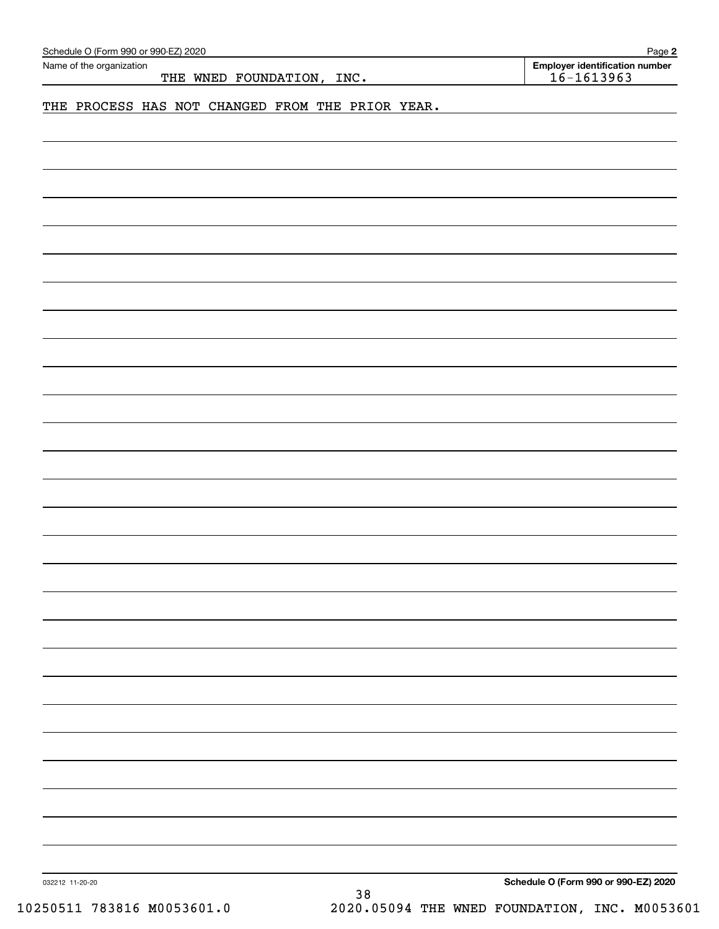| Schedule O (Form 990 or 990-EZ) 2020<br>Name of the organization | Page 2<br><b>Employer identification number</b> |
|------------------------------------------------------------------|-------------------------------------------------|
| THE WNED FOUNDATION, INC.                                        | $16 - 1613963$                                  |
| THE PROCESS HAS NOT CHANGED FROM THE PRIOR YEAR.                 |                                                 |
|                                                                  |                                                 |
|                                                                  |                                                 |
|                                                                  |                                                 |
|                                                                  |                                                 |
|                                                                  |                                                 |
|                                                                  |                                                 |
|                                                                  |                                                 |
|                                                                  |                                                 |
|                                                                  |                                                 |
|                                                                  |                                                 |
|                                                                  |                                                 |
|                                                                  |                                                 |
|                                                                  |                                                 |
|                                                                  |                                                 |
|                                                                  |                                                 |
|                                                                  |                                                 |
|                                                                  |                                                 |
|                                                                  |                                                 |
|                                                                  |                                                 |
|                                                                  |                                                 |
|                                                                  |                                                 |
|                                                                  |                                                 |
|                                                                  |                                                 |
|                                                                  |                                                 |
|                                                                  |                                                 |
|                                                                  |                                                 |
|                                                                  |                                                 |
|                                                                  |                                                 |
|                                                                  |                                                 |
|                                                                  |                                                 |
|                                                                  |                                                 |
|                                                                  |                                                 |
|                                                                  |                                                 |
|                                                                  |                                                 |
|                                                                  |                                                 |
|                                                                  |                                                 |
|                                                                  |                                                 |
|                                                                  |                                                 |
|                                                                  |                                                 |
|                                                                  |                                                 |
|                                                                  |                                                 |
|                                                                  |                                                 |
|                                                                  |                                                 |
|                                                                  |                                                 |
| 032212 11-20-20                                                  | Schedule O (Form 990 or 990-EZ) 2020            |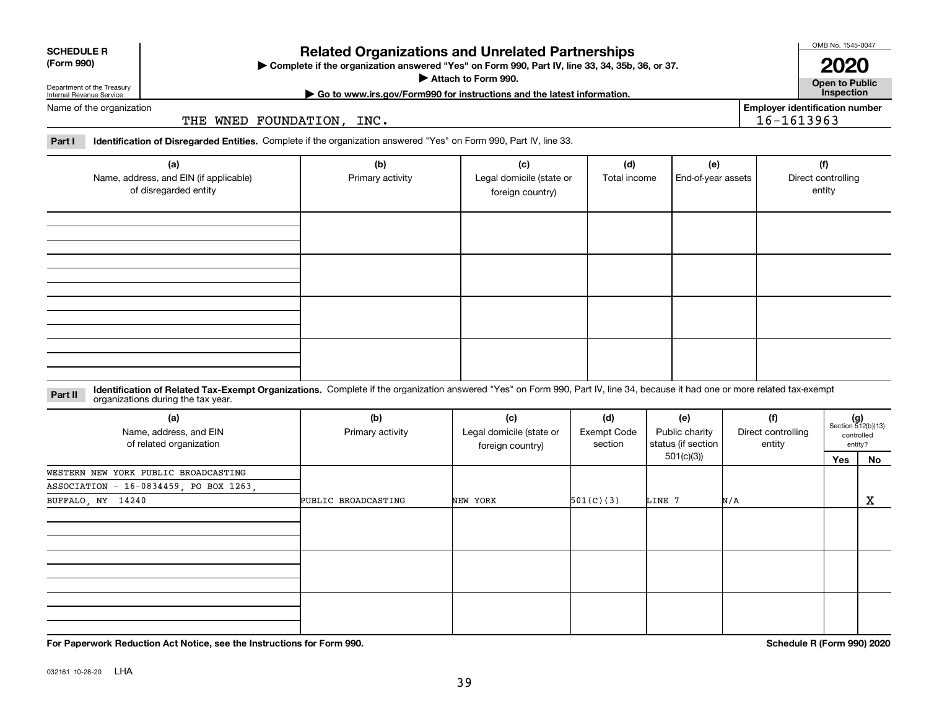**For Paperwork Reduction Act Notice, see the Instructions for Form 990. Schedule R (Form 990) 2020**

# **SCHEDULE R**

Department of the Treasury Internal Revenue Service

**(Form 990)**

# **Related Organizations and Unrelated Partnerships**

**Complete if the organization answered "Yes" on Form 990, Part IV, line 33, 34, 35b, 36, or 37.** |

**Attach to Form 990.**  |

**Open to Public**

**Employer identification number**

16-1613963

# **| Go to www.irs.gov/Form990 for instructions and the latest information. Inspection**

Name of the organization

THE WNED FOUNDATION, INC.

|  | Part I Identification of Disregarded Entities. Complete if the organization answered "Yes" on Form 990, Part IV, line 33. |  |
|--|---------------------------------------------------------------------------------------------------------------------------|--|
|  |                                                                                                                           |  |

| (a)<br>Name, address, and EIN (if applicable)<br>of disregarded entity | (b)<br>Primary activity | (c)<br>Legal domicile (state or<br>foreign country) | (d)<br>Total income | (e)<br>End-of-year assets | (f)<br>Direct controlling<br>entity |
|------------------------------------------------------------------------|-------------------------|-----------------------------------------------------|---------------------|---------------------------|-------------------------------------|
|                                                                        |                         |                                                     |                     |                           |                                     |
|                                                                        |                         |                                                     |                     |                           |                                     |
|                                                                        |                         |                                                     |                     |                           |                                     |
|                                                                        |                         |                                                     |                     |                           |                                     |

#### **Identification of Related Tax-Exempt Organizations.** Complete if the organization answered "Yes" on Form 990, Part IV, line 34, because it had one or more related tax-exempt **Part II** organizations during the tax year.

| (a)<br>Name, address, and EIN<br>of related organization | (b)<br>Primary activity | (c)<br>Legal domicile (state or<br>foreign country) | Exempt Code |            | (e)<br>Public charity<br>status (if section | (f)<br>Direct controlling<br>entity |              | $(g)$<br>Section 512(b)(13)<br>controlled<br>entity? |
|----------------------------------------------------------|-------------------------|-----------------------------------------------------|-------------|------------|---------------------------------------------|-------------------------------------|--------------|------------------------------------------------------|
|                                                          |                         |                                                     |             | 501(c)(3)) |                                             | Yes                                 | No           |                                                      |
| WESTERN NEW YORK PUBLIC BROADCASTING                     |                         |                                                     |             |            |                                             |                                     |              |                                                      |
| ASSOCIATION - 16-0834459, PO BOX 1263,                   |                         |                                                     |             |            |                                             |                                     |              |                                                      |
| BUFFALO, NY 14240                                        | PUBLIC BROADCASTING     | NEW YORK                                            | 501(C)(3)   | LINE 7     | N/A                                         |                                     | $\mathbf{x}$ |                                                      |
|                                                          |                         |                                                     |             |            |                                             |                                     |              |                                                      |
|                                                          |                         |                                                     |             |            |                                             |                                     |              |                                                      |
|                                                          |                         |                                                     |             |            |                                             |                                     |              |                                                      |
|                                                          |                         |                                                     |             |            |                                             |                                     |              |                                                      |
|                                                          |                         |                                                     |             |            |                                             |                                     |              |                                                      |
|                                                          |                         |                                                     |             |            |                                             |                                     |              |                                                      |
|                                                          |                         |                                                     |             |            |                                             |                                     |              |                                                      |
|                                                          |                         |                                                     |             |            |                                             |                                     |              |                                                      |
|                                                          |                         |                                                     |             |            |                                             |                                     |              |                                                      |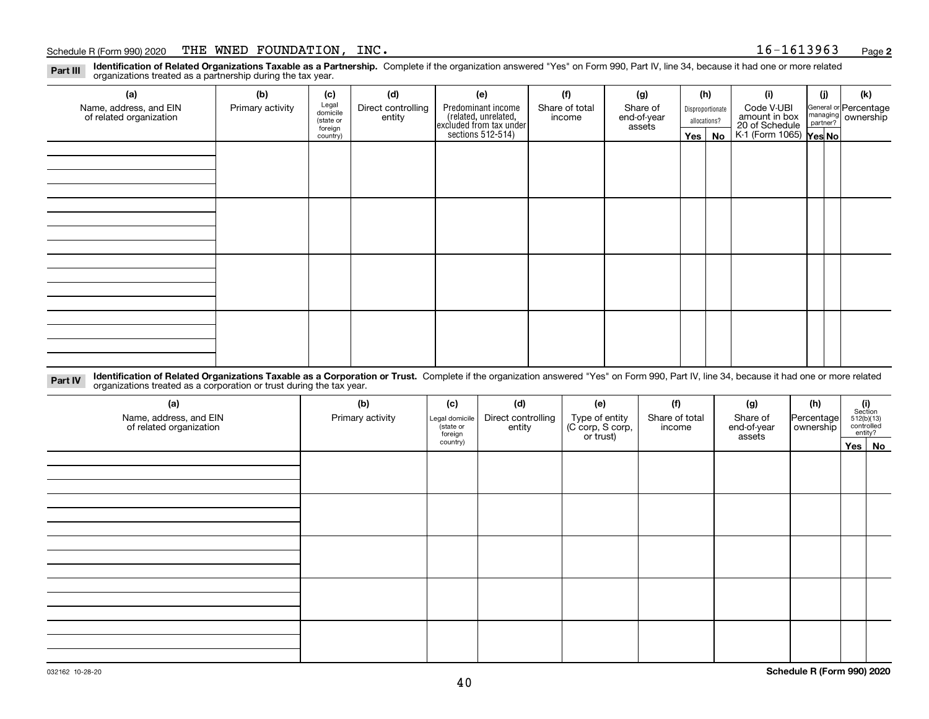### Schedule R (Form 990) 2020 Page THE WNED FOUNDATION, INC. 16-1613963

**2**

**Identification of Related Organizations Taxable as a Partnership.** Complete if the organization answered "Yes" on Form 990, Part IV, line 34, because it had one or more related **Part III** organizations treated as a partnership during the tax year.

| (a)                                               | (b)              | (c)                  | (d)                          | (e)                                                                  | (f)                      | (g)                     |         | (h)              | (i)                                                       | (i) | (k)                                                       |
|---------------------------------------------------|------------------|----------------------|------------------------------|----------------------------------------------------------------------|--------------------------|-------------------------|---------|------------------|-----------------------------------------------------------|-----|-----------------------------------------------------------|
| Name, address, and EIN<br>of related organization | Primary activity | Legal<br>domicile    | Direct controlling<br>entity | Predominant income                                                   | Share of total<br>income | Share of<br>end-of-year |         | Disproportionate | Code V-UBI                                                |     | General or Percentage<br>managing<br>partner?<br>partner? |
|                                                   |                  | (state or<br>foreign |                              |                                                                      |                          | assets                  |         | allocations?     |                                                           |     |                                                           |
|                                                   |                  | country)             |                              | (related, unrelated,<br>excluded from tax under<br>sections 512-514) |                          |                         | Yes $ $ | No               | amount in box<br>20 of Schedule<br>K-1 (Form 1065) Yes No |     |                                                           |
|                                                   |                  |                      |                              |                                                                      |                          |                         |         |                  |                                                           |     |                                                           |
|                                                   |                  |                      |                              |                                                                      |                          |                         |         |                  |                                                           |     |                                                           |
|                                                   |                  |                      |                              |                                                                      |                          |                         |         |                  |                                                           |     |                                                           |
|                                                   |                  |                      |                              |                                                                      |                          |                         |         |                  |                                                           |     |                                                           |
|                                                   |                  |                      |                              |                                                                      |                          |                         |         |                  |                                                           |     |                                                           |
|                                                   |                  |                      |                              |                                                                      |                          |                         |         |                  |                                                           |     |                                                           |
|                                                   |                  |                      |                              |                                                                      |                          |                         |         |                  |                                                           |     |                                                           |
|                                                   |                  |                      |                              |                                                                      |                          |                         |         |                  |                                                           |     |                                                           |
|                                                   |                  |                      |                              |                                                                      |                          |                         |         |                  |                                                           |     |                                                           |
|                                                   |                  |                      |                              |                                                                      |                          |                         |         |                  |                                                           |     |                                                           |
|                                                   |                  |                      |                              |                                                                      |                          |                         |         |                  |                                                           |     |                                                           |
|                                                   |                  |                      |                              |                                                                      |                          |                         |         |                  |                                                           |     |                                                           |
|                                                   |                  |                      |                              |                                                                      |                          |                         |         |                  |                                                           |     |                                                           |
|                                                   |                  |                      |                              |                                                                      |                          |                         |         |                  |                                                           |     |                                                           |
|                                                   |                  |                      |                              |                                                                      |                          |                         |         |                  |                                                           |     |                                                           |
|                                                   |                  |                      |                              |                                                                      |                          |                         |         |                  |                                                           |     |                                                           |
|                                                   |                  |                      |                              |                                                                      |                          |                         |         |                  |                                                           |     |                                                           |

**Identification of Related Organizations Taxable as a Corporation or Trust.** Complete if the organization answered "Yes" on Form 990, Part IV, line 34, because it had one or more related **Part IV** organizations treated as a corporation or trust during the tax year.

| (a)<br>Name, address, and EIN<br>of related organization | (b)<br>Primary activity | (c)<br>Legal domicile<br>(state or<br>foreign | (d)<br>Direct controlling<br>entity | (e)<br>Type of entity<br>(C corp, S corp,<br>or trust) | (f)<br>Share of total<br>income | (g)<br>Share of<br>end-of-year<br>assets | (h)<br>Percentage<br>ownership | (i)<br>Section<br>512(b)(13)<br>controlled | entity? |
|----------------------------------------------------------|-------------------------|-----------------------------------------------|-------------------------------------|--------------------------------------------------------|---------------------------------|------------------------------------------|--------------------------------|--------------------------------------------|---------|
|                                                          |                         | country)                                      |                                     |                                                        |                                 |                                          |                                |                                            | Yes No  |
|                                                          |                         |                                               |                                     |                                                        |                                 |                                          |                                |                                            |         |
|                                                          |                         |                                               |                                     |                                                        |                                 |                                          |                                |                                            |         |
|                                                          |                         |                                               |                                     |                                                        |                                 |                                          |                                |                                            |         |
|                                                          |                         |                                               |                                     |                                                        |                                 |                                          |                                |                                            |         |
|                                                          |                         |                                               |                                     |                                                        |                                 |                                          |                                |                                            |         |
|                                                          |                         |                                               |                                     |                                                        |                                 |                                          |                                |                                            |         |
|                                                          |                         |                                               |                                     |                                                        |                                 |                                          |                                |                                            |         |
|                                                          |                         |                                               |                                     |                                                        |                                 |                                          |                                |                                            |         |
|                                                          |                         |                                               |                                     |                                                        |                                 |                                          |                                |                                            |         |
|                                                          |                         |                                               |                                     |                                                        |                                 |                                          |                                |                                            |         |
|                                                          |                         |                                               |                                     |                                                        |                                 |                                          |                                |                                            |         |
|                                                          |                         |                                               |                                     |                                                        |                                 |                                          |                                |                                            |         |
|                                                          |                         |                                               |                                     |                                                        |                                 |                                          |                                |                                            |         |
|                                                          |                         |                                               |                                     |                                                        |                                 |                                          |                                |                                            |         |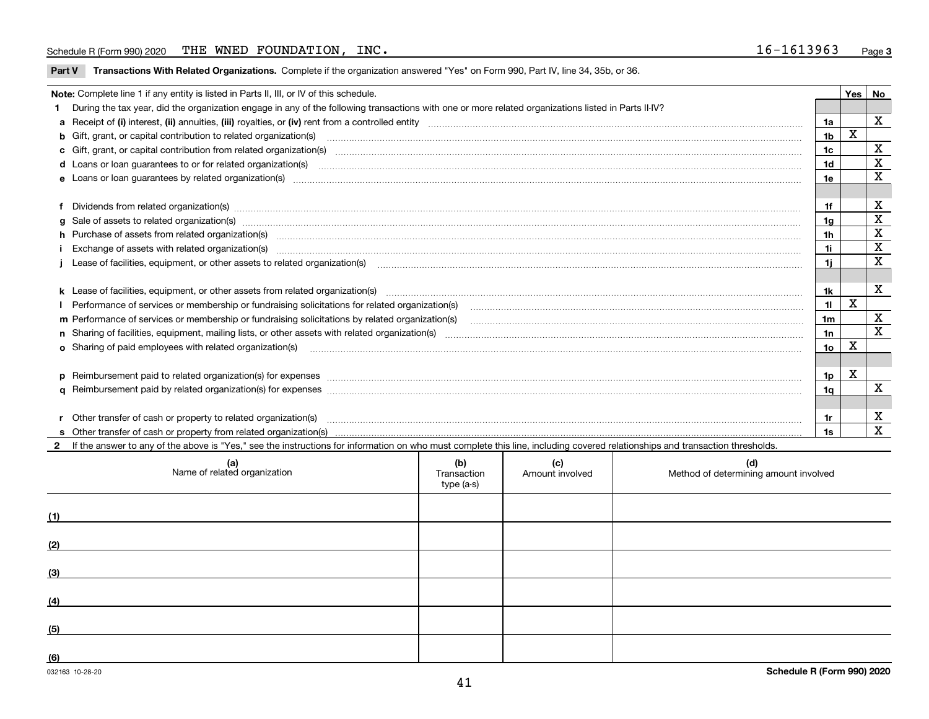### Schedule R (Form 990) 2020 Page THE WNED FOUNDATION, INC. 16-1613963

**Part V** T**ransactions With Related Organizations.** Complete if the organization answered "Yes" on Form 990, Part IV, line 34, 35b, or 36.

| Note: Complete line 1 if any entity is listed in Parts II, III, or IV of this schedule.                                                                                                                                        |                 | Yes | No           |
|--------------------------------------------------------------------------------------------------------------------------------------------------------------------------------------------------------------------------------|-----------------|-----|--------------|
| During the tax year, did the organization engage in any of the following transactions with one or more related organizations listed in Parts II-IV?                                                                            |                 |     |              |
|                                                                                                                                                                                                                                | 1a              |     | $\mathbf{x}$ |
| <b>b</b> Gift, grant, or capital contribution to related organization(s)                                                                                                                                                       | 1 <sub>b</sub>  | X   |              |
| c Gift, grant, or capital contribution from related organization(s) material contracts and contribution from related organization(s) material contents and contribution from related organization(s) material contents and con | 1c              |     | X            |
|                                                                                                                                                                                                                                | 1 <sub>d</sub>  |     | X            |
|                                                                                                                                                                                                                                | 1e              |     | X            |
|                                                                                                                                                                                                                                |                 |     |              |
| Dividends from related organization(s) manufactured and contract and contract or produced and contract and contract and contract and contract and contract and contract and contract and contract and contract and contract an | 1f              |     | х            |
| g Sale of assets to related organization(s) www.assettion.com/www.assettion.com/www.assettion.com/www.assettion.com/www.assettion.com/www.assettion.com/www.assettion.com/www.assettion.com/www.assettion.com/www.assettion.co | 1g              |     | X            |
| h Purchase of assets from related organization(s) manufactured content to content the content of the content of the content of the content of the content of the content of the content of the content of the content of the c | 1h              |     | X            |
|                                                                                                                                                                                                                                | 1i.             |     | $\mathbf x$  |
| Lease of facilities, equipment, or other assets to related organization(s) [11] manufactured content and content and content and content and content and content and content and content and content and content and content a | 1i.             |     | X            |
|                                                                                                                                                                                                                                |                 |     |              |
| k Lease of facilities, equipment, or other assets from related organization(s) manufaction content and the manufacture of facilities, equipment, or other assets from related organization(s) manufaction manufacture manufact | 1k              |     | X            |
|                                                                                                                                                                                                                                | 11              | X   |              |
| m Performance of services or membership or fundraising solicitations by related organization(s)                                                                                                                                | 1 <sub>m</sub>  |     | X            |
|                                                                                                                                                                                                                                | 1n              |     | X            |
| <b>o</b> Sharing of paid employees with related organization(s)                                                                                                                                                                | 10 <sub>o</sub> | X   |              |
|                                                                                                                                                                                                                                |                 |     |              |
|                                                                                                                                                                                                                                | 1p              | X   |              |
|                                                                                                                                                                                                                                | 1q              |     | $\mathbf X$  |
|                                                                                                                                                                                                                                |                 |     |              |
| Other transfer of cash or property to related organization(s)                                                                                                                                                                  | 1r              |     | X            |
|                                                                                                                                                                                                                                | 1s              |     | $\mathbf{x}$ |
| 2 If the answer to any of the above is "Yes," see the instructions for information on who must complete this line, including covered relationships and transaction thresholds.                                                 |                 |     |              |

|     | (a)<br>Name of related organization | (b)<br>Transaction<br>type (a-s) | (c)<br>Amount involved | (d)<br>Method of determining amount involved |
|-----|-------------------------------------|----------------------------------|------------------------|----------------------------------------------|
| (1) |                                     |                                  |                        |                                              |
| (2) |                                     |                                  |                        |                                              |
| (3) |                                     |                                  |                        |                                              |
| (4) |                                     |                                  |                        |                                              |
| (5) |                                     |                                  |                        |                                              |
| (6) |                                     |                                  |                        |                                              |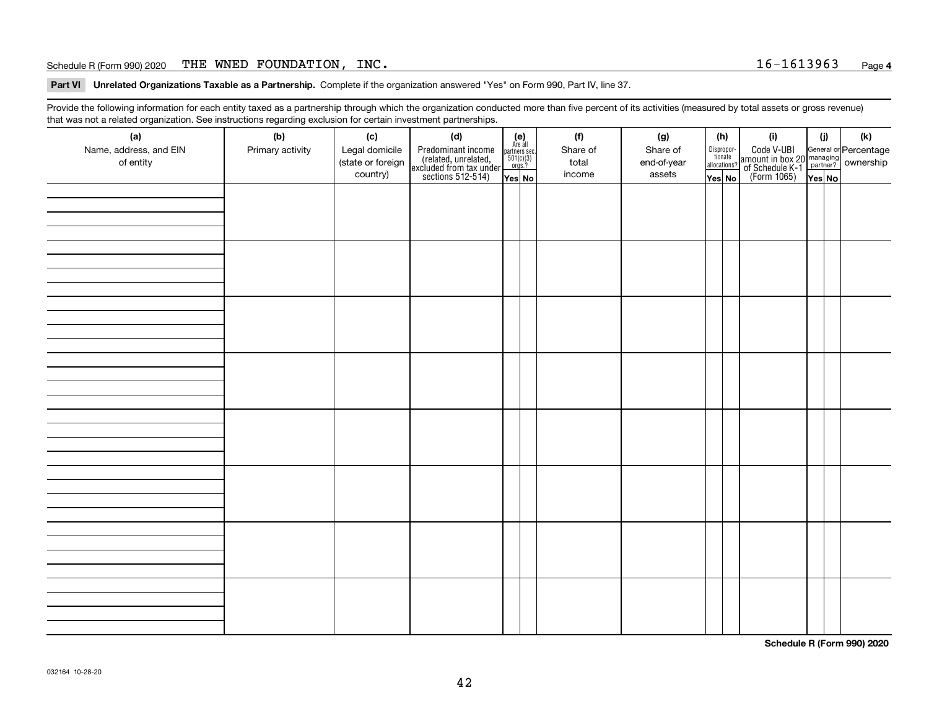### Schedule R (Form 990) 2020 Page THE WNED FOUNDATION, INC. 16-1613963

**Part VI Unrelated Organizations Taxable as a Partnership. Complete if the organization answered "Yes" on Form 990, Part IV, line 37.** 

Provide the following information for each entity taxed as a partnership through which the organization conducted more than five percent of its activities (measured by total assets or gross revenue) that was not a related organization. See instructions regarding exclusion for certain investment partnerships.

| (a)<br>Name, address, and EIN<br>of entity | ັ<br>(b)<br>Primary activity | (c)<br>Legal domicile<br>(state or foreign<br>country) | (d)<br>Predominant income<br>(related, unrelated,<br>excluded from tax under<br>sections 512-514) | $(e)$<br>Are all<br>partners sec.<br>501(c)(3)<br>orgs.?<br>Yes No | (f)<br>Share of<br>total<br>income | (g)<br>Share of<br>end-of-year<br>assets | (h)<br>Dispropor-<br>tionate<br>allocations?<br>Yes No | (i)<br>Code V-UBI<br> amount in box 20 managing<br>  of Schedule K-1 partner? ownership<br>  of Schedule K-1 partner? ownership<br>  Yes No | (i)<br>Yes No | $(\mathsf{k})$ |
|--------------------------------------------|------------------------------|--------------------------------------------------------|---------------------------------------------------------------------------------------------------|--------------------------------------------------------------------|------------------------------------|------------------------------------------|--------------------------------------------------------|---------------------------------------------------------------------------------------------------------------------------------------------|---------------|----------------|
|                                            |                              |                                                        |                                                                                                   |                                                                    |                                    |                                          |                                                        |                                                                                                                                             |               |                |
|                                            |                              |                                                        |                                                                                                   |                                                                    |                                    |                                          |                                                        |                                                                                                                                             |               |                |
|                                            |                              |                                                        |                                                                                                   |                                                                    |                                    |                                          |                                                        |                                                                                                                                             |               |                |
|                                            |                              |                                                        |                                                                                                   |                                                                    |                                    |                                          |                                                        |                                                                                                                                             |               |                |
|                                            |                              |                                                        |                                                                                                   |                                                                    |                                    |                                          |                                                        |                                                                                                                                             |               |                |
|                                            |                              |                                                        |                                                                                                   |                                                                    |                                    |                                          |                                                        |                                                                                                                                             |               |                |
|                                            |                              |                                                        |                                                                                                   |                                                                    |                                    |                                          |                                                        |                                                                                                                                             |               |                |
|                                            |                              |                                                        |                                                                                                   |                                                                    |                                    |                                          |                                                        |                                                                                                                                             |               |                |

**Schedule R (Form 990) 2020**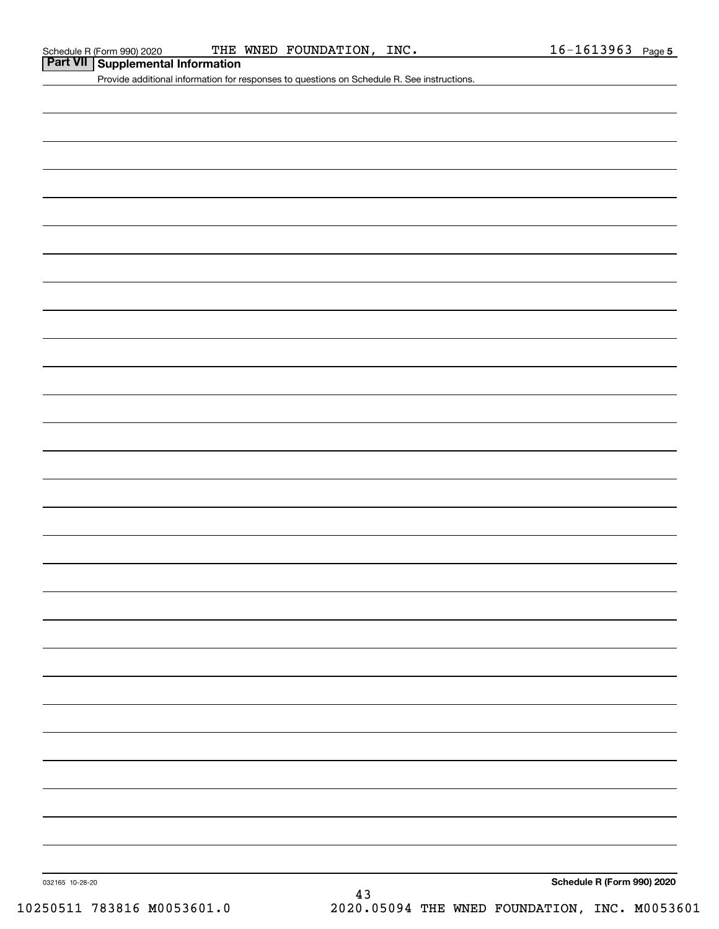| Part VII Supplemental Information |  |
|-----------------------------------|--|
|-----------------------------------|--|

Provide additional information for responses to questions on Schedule R. See instructions.

032165 10-28-20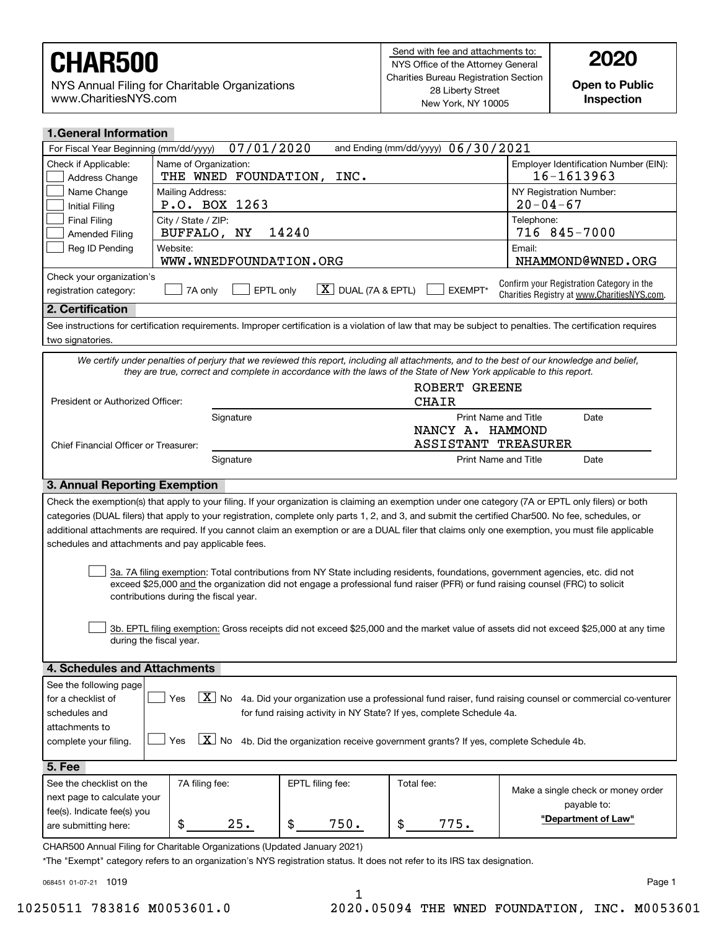NYS Annual Filing for Charitable Organizations www.CharitiesNYS.com

**Open to Public Inspection**

| <b>1.General Information</b>                                                                                                |                                                                                                                                                                                                        |                                                                                     |                                    |                                                                                                                                                                                                                                                                                                                                                                                                                                                                 |  |  |  |  |
|-----------------------------------------------------------------------------------------------------------------------------|--------------------------------------------------------------------------------------------------------------------------------------------------------------------------------------------------------|-------------------------------------------------------------------------------------|------------------------------------|-----------------------------------------------------------------------------------------------------------------------------------------------------------------------------------------------------------------------------------------------------------------------------------------------------------------------------------------------------------------------------------------------------------------------------------------------------------------|--|--|--|--|
| For Fiscal Year Beginning (mm/dd/yyyy)                                                                                      | 07/01/2020                                                                                                                                                                                             |                                                                                     | and Ending (mm/dd/yyyy) 06/30/2021 |                                                                                                                                                                                                                                                                                                                                                                                                                                                                 |  |  |  |  |
| Check if Applicable:<br>Address Change                                                                                      | Name of Organization:                                                                                                                                                                                  | Employer Identification Number (EIN):<br>16-1613963<br>THE WNED FOUNDATION,<br>INC. |                                    |                                                                                                                                                                                                                                                                                                                                                                                                                                                                 |  |  |  |  |
| Name Change<br><b>Initial Filing</b>                                                                                        | Mailing Address:<br>P.O. BOX 1263                                                                                                                                                                      | NY Registration Number:<br>$20 - 04 - 67$                                           |                                    |                                                                                                                                                                                                                                                                                                                                                                                                                                                                 |  |  |  |  |
| <b>Final Filing</b><br><b>Amended Filing</b>                                                                                | City / State / ZIP:<br>BUFFALO, NY                                                                                                                                                                     | Telephone:<br>14240<br>716 845-7000                                                 |                                    |                                                                                                                                                                                                                                                                                                                                                                                                                                                                 |  |  |  |  |
| Reg ID Pending                                                                                                              | Website:<br>WWW.WNEDFOUNDATION.ORG                                                                                                                                                                     |                                                                                     |                                    | Email:<br>NHAMMOND@WNED.ORG                                                                                                                                                                                                                                                                                                                                                                                                                                     |  |  |  |  |
| Check your organization's<br>registration category:                                                                         | EPTL only<br>7A only                                                                                                                                                                                   | $X$ DUAL (7A & EPTL)                                                                | EXEMPT*                            | Confirm your Registration Category in the<br>Charities Registry at www.CharitiesNYS.com.                                                                                                                                                                                                                                                                                                                                                                        |  |  |  |  |
| 2. Certification                                                                                                            |                                                                                                                                                                                                        |                                                                                     |                                    |                                                                                                                                                                                                                                                                                                                                                                                                                                                                 |  |  |  |  |
| two signatories.                                                                                                            |                                                                                                                                                                                                        |                                                                                     |                                    | See instructions for certification requirements. Improper certification is a violation of law that may be subject to penalties. The certification requires                                                                                                                                                                                                                                                                                                      |  |  |  |  |
|                                                                                                                             | they are true, correct and complete in accordance with the laws of the State of New York applicable to this report.                                                                                    |                                                                                     |                                    | We certify under penalties of perjury that we reviewed this report, including all attachments, and to the best of our knowledge and belief,                                                                                                                                                                                                                                                                                                                     |  |  |  |  |
| President or Authorized Officer:                                                                                            |                                                                                                                                                                                                        |                                                                                     | ROBERT GREENE<br><b>CHAIR</b>      |                                                                                                                                                                                                                                                                                                                                                                                                                                                                 |  |  |  |  |
|                                                                                                                             | Signature                                                                                                                                                                                              |                                                                                     | Print Name and Title               | Date                                                                                                                                                                                                                                                                                                                                                                                                                                                            |  |  |  |  |
|                                                                                                                             |                                                                                                                                                                                                        |                                                                                     | NANCY A. HAMMOND                   |                                                                                                                                                                                                                                                                                                                                                                                                                                                                 |  |  |  |  |
| Chief Financial Officer or Treasurer:                                                                                       |                                                                                                                                                                                                        |                                                                                     | ASSISTANT TREASURER                |                                                                                                                                                                                                                                                                                                                                                                                                                                                                 |  |  |  |  |
|                                                                                                                             | Signature                                                                                                                                                                                              |                                                                                     | Print Name and Title               | Date                                                                                                                                                                                                                                                                                                                                                                                                                                                            |  |  |  |  |
| 3. Annual Reporting Exemption                                                                                               |                                                                                                                                                                                                        |                                                                                     |                                    |                                                                                                                                                                                                                                                                                                                                                                                                                                                                 |  |  |  |  |
|                                                                                                                             | schedules and attachments and pay applicable fees.                                                                                                                                                     |                                                                                     |                                    | Check the exemption(s) that apply to your filing. If your organization is claiming an exemption under one category (7A or EPTL only filers) or both<br>categories (DUAL filers) that apply to your registration, complete only parts 1, 2, and 3, and submit the certified Char500. No fee, schedules, or<br>additional attachments are required. If you cannot claim an exemption or are a DUAL filer that claims only one exemption, you must file applicable |  |  |  |  |
|                                                                                                                             | exceed \$25,000 and the organization did not engage a professional fund raiser (PFR) or fund raising counsel (FRC) to solicit<br>contributions during the fiscal year.                                 |                                                                                     |                                    | 3a. 7A filing exemption: Total contributions from NY State including residents, foundations, government agencies, etc. did not                                                                                                                                                                                                                                                                                                                                  |  |  |  |  |
|                                                                                                                             | during the fiscal year.                                                                                                                                                                                |                                                                                     |                                    | 3b. EPTL filing exemption: Gross receipts did not exceed \$25,000 and the market value of assets did not exceed \$25,000 at any time                                                                                                                                                                                                                                                                                                                            |  |  |  |  |
| 4. Schedules and Attachments                                                                                                |                                                                                                                                                                                                        |                                                                                     |                                    |                                                                                                                                                                                                                                                                                                                                                                                                                                                                 |  |  |  |  |
| See the following page                                                                                                      |                                                                                                                                                                                                        |                                                                                     |                                    |                                                                                                                                                                                                                                                                                                                                                                                                                                                                 |  |  |  |  |
| for a checklist of                                                                                                          | $\boxed{\text{X}}$ No<br>Yes                                                                                                                                                                           |                                                                                     |                                    | 4a. Did your organization use a professional fund raiser, fund raising counsel or commercial co-venturer                                                                                                                                                                                                                                                                                                                                                        |  |  |  |  |
| for fund raising activity in NY State? If yes, complete Schedule 4a.<br>schedules and                                       |                                                                                                                                                                                                        |                                                                                     |                                    |                                                                                                                                                                                                                                                                                                                                                                                                                                                                 |  |  |  |  |
| attachments to                                                                                                              |                                                                                                                                                                                                        |                                                                                     |                                    |                                                                                                                                                                                                                                                                                                                                                                                                                                                                 |  |  |  |  |
| $X$ No<br>4b. Did the organization receive government grants? If yes, complete Schedule 4b.<br>Yes<br>complete your filing. |                                                                                                                                                                                                        |                                                                                     |                                    |                                                                                                                                                                                                                                                                                                                                                                                                                                                                 |  |  |  |  |
| 5. Fee                                                                                                                      |                                                                                                                                                                                                        |                                                                                     |                                    |                                                                                                                                                                                                                                                                                                                                                                                                                                                                 |  |  |  |  |
| See the checklist on the                                                                                                    | 7A filing fee:                                                                                                                                                                                         | EPTL filing fee:                                                                    | Total fee:                         |                                                                                                                                                                                                                                                                                                                                                                                                                                                                 |  |  |  |  |
|                                                                                                                             | Make a single check or money order<br>next page to calculate your                                                                                                                                      |                                                                                     |                                    |                                                                                                                                                                                                                                                                                                                                                                                                                                                                 |  |  |  |  |
| fee(s). Indicate fee(s) you                                                                                                 |                                                                                                                                                                                                        |                                                                                     |                                    | payable to:                                                                                                                                                                                                                                                                                                                                                                                                                                                     |  |  |  |  |
| "Department of Law"<br>\$<br>\$<br>25.<br>\$<br>750.<br>775.<br>are submitting here:                                        |                                                                                                                                                                                                        |                                                                                     |                                    |                                                                                                                                                                                                                                                                                                                                                                                                                                                                 |  |  |  |  |
|                                                                                                                             | CHAR500 Annual Filing for Charitable Organizations (Updated January 2021)<br>*The "Exempt" category refers to an organization's NYS registration status. It does not refer to its IRS tax designation. |                                                                                     |                                    |                                                                                                                                                                                                                                                                                                                                                                                                                                                                 |  |  |  |  |

068451 01-07-21 1019

Page 1

1